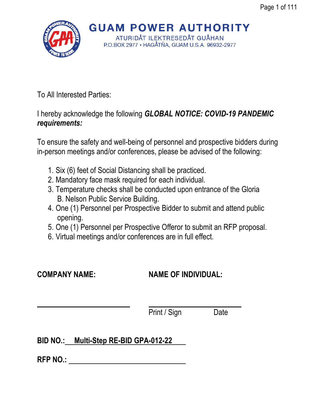

**GUAM POWER AUTHORITY** ATURIDÅT ILEKTRESEDÅT GUÅHAN

P.O.BOX 2977 · HAGÅTÑA, GUAM U.S.A. 96932-2977

To All Interested Parties:

I hereby acknowledge the following *GLOBAL NOTICE: COVID-19 PANDEMIC requirements:*

To ensure the safety and well-being of personnel and prospective bidders during in-person meetings and/or conferences, please be advised of the following:

- 1. Six (6) feet of Social Distancing shall be practiced.
- 2. Mandatory face mask required for each individual.
- 3. Temperature checks shall be conducted upon entrance of the Gloria B. Nelson Public Service Building.
- 4. One (1) Personnel per Prospective Bidder to submit and attend public opening.
- 5. One (1) Personnel per Prospective Offeror to submit an RFP proposal.
- 6. Virtual meetings and/or conferences are in full effect.

# **COMPANY NAME: NAME OF INDIVIDUAL:**

Print / Sign Date

# **BID NO.: Multi-Step RE-BID GPA-012-22**

**RFP NO.:**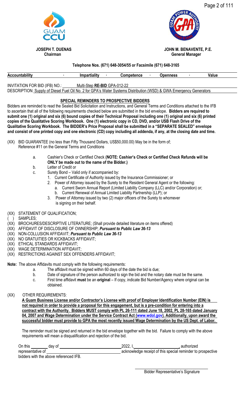





 **JOSEPH T. DUENAS JOHN M. BENAVENTE, P.E. Chairman** General Manager

## **Telephone Nos. (671) 648-3054/55 or Facsimile (671) 648-3165**

| <b>Accountability</b>                                                                                              | <b>Impartiality</b>          | <b>Competence</b> | Openness | Value |
|--------------------------------------------------------------------------------------------------------------------|------------------------------|-------------------|----------|-------|
|                                                                                                                    |                              |                   |          |       |
| INVITATION FOR BID (IFB) NO.:                                                                                      | Multi-Step RE-BID GPA-012-22 |                   |          |       |
| DESCRIPTION: Supply of Diesel Fuel Oil No. 2 for GPA's Water Systems Distribution (WSD) & GWA Emergency Generators |                              |                   |          |       |

## **SPECIAL REMINDERS TO PROSPECTIVE BIDDERS**

Bidders are reminded to read the Sealed Bid Solicitation and Instructions, and General Terms and Conditions attached to the IFB to ascertain that all of the following requirements checked below are submitted in the bid envelope. **Bidders are required to submit one (1) original and six (6) bound copies of their Technical Proposal including one (1) original and six (6) printed copies of the Qualitative Scoring Workbook. One (1) electronic copy in CD, DVD, and/or USB Flash Drive of the Qualitative Scoring Workbook. The BIDDER's Price Proposal shall be submitted in a "SEPARATE SEALED" envelope and consist of one printed copy and one electronic (CD) copy including all addenda, if any, at the closing date and time.**

- (XX) BID GUARANTEE (no less than Fifty Thousand Dollars, US\$50,000.00) May be in the form of; Reference #11 on the General Terms and Conditions
	- a. Cashier's Check or Certified Check **(NOTE: Cashier's Check or Certified Check Refunds will be ONLY be made out to the name of the Bidder.)**
	- b. Letter of Credit or
	- c. Surety Bond Valid only if accompanied by:
		- 1. Current Certificate of Authority issued by the Insurance Commissioner; or
		- 2. Power of Attorney issued by the Surety to the Resident General Agent or the following:
			- a. Current Sworn Annual Report (Limited Liability Company (LLC) and/or Corporation) or;
		- b. Current Renewal of Annual Limited Liability Partnership (LLP); or 3. Power of Attorney issued by two (2) major officers of the Surety to whomever is signing on their behalf.
- (XX) STATEMENT OF QUALIFICATION;
- SAMPLES;
- (XX) BROCHURES/DESCRIPTIVE LITERATURE; (Shall provide detailed literature on items offered)
- (XX) AFFIDAVIT OF DISCLOSURE OF OWNERSHIP; *Pursuant to Public Law 36-13*
- (XX) NON-COLLUSION AFFIDAVIT; *Pursuant to Public Law 36-13*
- (XX) NO GRATUITIES OR KICKBACKS AFFIDAVIT;
- (XX) ETHICAL STANDARDS AFFIDAVIT;
- (XX) WAGE DETERMINATION AFFIDAVIT;
- (XX) RESTRICTIONS AGAINST SEX OFFENDERS AFFIDAVIT;
- **Note:** The above Affidavits must comply with the following requirements:
	- a. The affidavit must be signed within 60 days of the date the bid is due;
	- b. Date of signature of the person authorized to sign the bid and the notary date must be the same.
	- c. First time affidavit **must** be an **original** If copy, indicate Bid Number/Agency where original can be obtained.
- (XX) OTHER REQUIREMENTS:

**A Guam Business License and/or Contractor's License with proof of Employer Identification Number (EIN) is not required in order to provide a proposal for this engagement, but is a pre-condition for entering into a contract with the Authority. Bidders MUST comply with PL 26-111 dated June 18, 2002, PL 28-165 dated January 04, 2007 and Wage Determination under the Service Contract Act [\(www.wdol.gov\)](http://www.wdol.gov/). Additionally, upon award the successful bidder must provide to GPA the most recently issued Wage Determination by the US Dept. of Labor.**

The reminder must be signed and returned in the bid envelope together with the bid. Failure to comply with the above requirements will mean a disqualification and rejection of the bid.

| On this           | dav of |      | 2022. | authorized                                                  |
|-------------------|--------|------|-------|-------------------------------------------------------------|
| representative of |        |      |       | acknowledge receipt of this special reminder to prospective |
| .<br>.            |        | ---- |       |                                                             |

bidders with the above referenced IFB.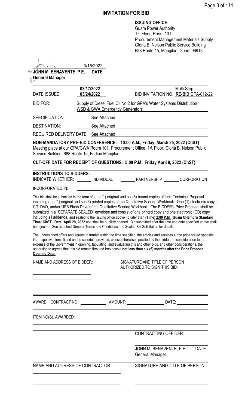# **INVITATION FOR BID**

| <b>ISSUING OFFICE:</b> |  |
|------------------------|--|
|------------------------|--|

Guam Power Authority 1 st. Floor, Room 101 Procurement Management Materials Supply Gloria B. Nelson Public Service Building 688 Route 15, Mangilao, Guam 96913

| <b>General Manager</b>  | for JOHN M. BENAVENTE, P.E.                      | 3/15/2022<br><b>DATE</b>                                                                                                                                                                                                                                                                                                                                                                                                                                                                                                                                                                                                                                                                                                                                                                                                                                        |                                                                                                        |                                                     |             |
|-------------------------|--------------------------------------------------|-----------------------------------------------------------------------------------------------------------------------------------------------------------------------------------------------------------------------------------------------------------------------------------------------------------------------------------------------------------------------------------------------------------------------------------------------------------------------------------------------------------------------------------------------------------------------------------------------------------------------------------------------------------------------------------------------------------------------------------------------------------------------------------------------------------------------------------------------------------------|--------------------------------------------------------------------------------------------------------|-----------------------------------------------------|-------------|
| DATE ISSUED:            | 03/17/2022<br>03/24/2022                         |                                                                                                                                                                                                                                                                                                                                                                                                                                                                                                                                                                                                                                                                                                                                                                                                                                                                 |                                                                                                        | Multi-Step<br>BID INVITATION NO.: RE-BID GPA-012-22 |             |
| <b>BID FOR:</b>         |                                                  | Supply of Diesel Fuel Oil No.2 for GPA's Water Systems Distribution<br><b>WSD &amp; GWA Emergency Generators</b>                                                                                                                                                                                                                                                                                                                                                                                                                                                                                                                                                                                                                                                                                                                                                |                                                                                                        |                                                     |             |
| <b>SPECIFICATION:</b>   |                                                  | See Attached                                                                                                                                                                                                                                                                                                                                                                                                                                                                                                                                                                                                                                                                                                                                                                                                                                                    |                                                                                                        |                                                     |             |
| <b>DESTINATION:</b>     |                                                  | See Attached                                                                                                                                                                                                                                                                                                                                                                                                                                                                                                                                                                                                                                                                                                                                                                                                                                                    |                                                                                                        |                                                     |             |
|                         | REQUIRED DELIVERY DATE: See Attached             |                                                                                                                                                                                                                                                                                                                                                                                                                                                                                                                                                                                                                                                                                                                                                                                                                                                                 |                                                                                                        |                                                     |             |
|                         | Service Building, 688 Route 15, Fadian Mangilao. | NON-MANDATORY PRE-BID CONFERENCE: 10:00 A.M., Friday, March 25, 2022 (ChST)<br>Meeting place at our GPA/GWA Room 101, Procurement Office, 1 <sup>st</sup> . Floor, Gloria B. Nelson Public                                                                                                                                                                                                                                                                                                                                                                                                                                                                                                                                                                                                                                                                      |                                                                                                        |                                                     |             |
|                         |                                                  | CUT-OFF DATE FOR RECEIPT OF QUESTIONS: 5:00 P.M., Friday April 8, 2022 (ChST)                                                                                                                                                                                                                                                                                                                                                                                                                                                                                                                                                                                                                                                                                                                                                                                   |                                                                                                        |                                                     |             |
|                         | <b>INSTRUCTIONS TO BIDDERS:</b>                  | INDICATE WHETHER: INDIVIDUAL PARTNERSHIP CORPORATION                                                                                                                                                                                                                                                                                                                                                                                                                                                                                                                                                                                                                                                                                                                                                                                                            |                                                                                                        |                                                     |             |
| <b>INCORPORATED IN:</b> |                                                  |                                                                                                                                                                                                                                                                                                                                                                                                                                                                                                                                                                                                                                                                                                                                                                                                                                                                 |                                                                                                        |                                                     |             |
|                         |                                                  |                                                                                                                                                                                                                                                                                                                                                                                                                                                                                                                                                                                                                                                                                                                                                                                                                                                                 | submitted in a "SEPARATE SEALED" envelope and consist of one printed copy and one electronic (CD) copy |                                                     |             |
|                         |                                                  | including all addenda, and sealed to the issuing office above no later than (Time) 2:00 P.M. (Guam CHamoru Standard<br>Time; ChST), Date: April 29, 2022 and shall be publicly opened. Bid submitted after the time and date specified above shall<br>be rejected. See attached General Terms and Conditions and Sealed Bid Solicitation for details.<br>The undersigned offers and agrees to furnish within the time specified, the articles and services at the price stated opposite<br>the respective items listed on the schedule provided, unless otherwise specified by the bidder. In consideration to the<br>expense of the Government in opening, tabulating, and evaluating this and other bids, and other considerations, the<br>undersigned agrees that this bid remain firm and irrevocable not less than six (6) months after the Price Proposal |                                                                                                        |                                                     |             |
| <b>Opening Date.</b>    | NAME AND ADDRESS OF BIDDER:                      |                                                                                                                                                                                                                                                                                                                                                                                                                                                                                                                                                                                                                                                                                                                                                                                                                                                                 | SIGNATURE AND TITLE OF PERSON<br>AUTHORIZED TO SIGN THIS BID:                                          |                                                     |             |
|                         |                                                  |                                                                                                                                                                                                                                                                                                                                                                                                                                                                                                                                                                                                                                                                                                                                                                                                                                                                 | <u> 1989 - Johann Barn, amerikansk politiker (d. 1989)</u>                                             |                                                     |             |
|                         |                                                  | AWARD: CONTRACT NO.: _______________ AMOUNT: ______________________DATE: _______________                                                                                                                                                                                                                                                                                                                                                                                                                                                                                                                                                                                                                                                                                                                                                                        |                                                                                                        |                                                     |             |
|                         |                                                  |                                                                                                                                                                                                                                                                                                                                                                                                                                                                                                                                                                                                                                                                                                                                                                                                                                                                 |                                                                                                        |                                                     |             |
|                         |                                                  |                                                                                                                                                                                                                                                                                                                                                                                                                                                                                                                                                                                                                                                                                                                                                                                                                                                                 | <b>CONTRACTING OFFICER:</b>                                                                            |                                                     |             |
|                         |                                                  |                                                                                                                                                                                                                                                                                                                                                                                                                                                                                                                                                                                                                                                                                                                                                                                                                                                                 | General Manager                                                                                        | JOHN M. BENAVENTE, P.E.                             | <b>DATE</b> |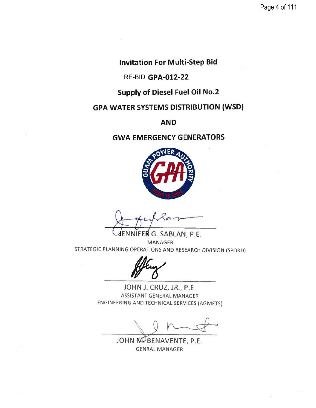Page 4 of 111

**Invitation For Multi-Step Bid** 

RE-BID GPA-012-22

**Supply of Diesel Fuel Oil No.2** 

**GPA WATER SYSTEMS DISTRIBUTION (WSD)** 

**AND** 

# **GWA EMERGENCY GENERATORS**



VIFE**R** G. SABLAN, P.E. **MANAGER** STRATEGIC PLANNING OPERATIONS AND RESEARCH DIVISION (SPORD)

JOHN J. CRUZ, JR., P.E. ASSISTANT GENERAL MANAGER ENGINEERING AND TECHNICAL SERVICES (AGMETS)

JOHN M. BENAVENTE, P.E. **GENRAL MANAGER**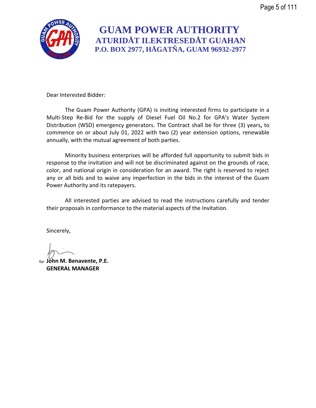

# **GUAM POWER AUTHORITY ATURIDÅT ILEKTRESEDÅT GUAHAN P.O. BOX 2977, HÅGATÑA, GUAM 96932-2977**

Dear Interested Bidder:

The Guam Power Authority (GPA) is inviting interested firms to participate in a Multi-Step Re-Bid for the supply of Diesel Fuel Oil No.2 for GPA's Water System Distribution (WSD) emergency generators. The Contract shall be for three (3) years**,** to commence on or about July 01, 2022 with two (2) year extension options, renewable annually, with the mutual agreement of both parties.

Minority business enterprises will be afforded full opportunity to submit bids in response to the invitation and will not be discriminated against on the grounds of race, color, and national origin in consideration for an award. The right is reserved to reject any or all bids and to waive any imperfection in the bids in the interest of the Guam Power Authority and its ratepayers.

All interested parties are advised to read the instructions carefully and tender their proposals in conformance to the material aspects of the Invitation.

Sincerely,

**John M. Benavente, P.E.** for**GENERAL MANAGER**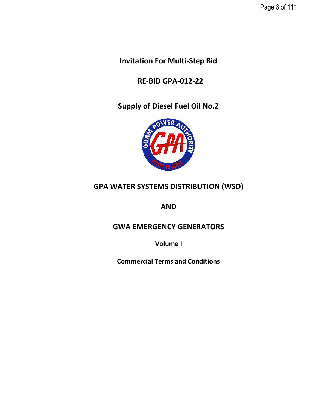Page 6 of 111

**Invitation For Multi-Step Bid**

 **RE-BID GPA-012-22**

**Supply of Diesel Fuel Oil No.2**



# **GPA WATER SYSTEMS DISTRIBUTION (WSD)**

**AND**

# **GWA EMERGENCY GENERATORS**

**Volume I**

**Commercial Terms and Conditions**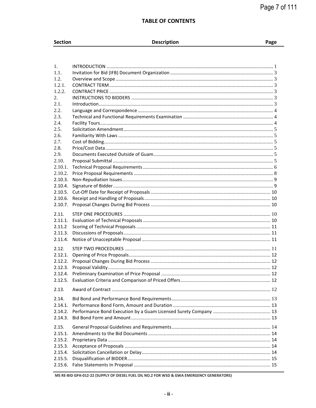## **TABLE OF CONTENTS**

| Section |  |  |
|---------|--|--|
|         |  |  |

# Description

| $1_{-}$ |  |
|---------|--|
| 1.1.    |  |
| 1.2.    |  |
| 1.2.1.  |  |
| 1.2.2.  |  |
| 2.      |  |
| 2.1.    |  |
| 2.2.    |  |
| 2.3.    |  |
| 2.4.    |  |
| 2.5.    |  |
| 2.6.    |  |
| 2.7.    |  |
| 2.8.    |  |
| 2.9.    |  |
| 2.10.   |  |
| 2.10.1. |  |
| 2.10.2. |  |
| 2.10.3. |  |
| 2.10.4. |  |
| 2.10.5. |  |
| 2.10.6. |  |
| 2.10.7. |  |
| 2.11.   |  |
| 2.11.1. |  |
| 2.11.2  |  |
| 2.11.3. |  |
| 2.11.4. |  |
|         |  |
| 2.12.   |  |
| 2.12.1. |  |
| 2.12.2. |  |
| 2.12.3. |  |
| 2.12.4. |  |
| 2.12.5. |  |
| 2.13.   |  |
|         |  |
| 2.14.   |  |
| 2.14.1. |  |
| 2.14.2. |  |
| 2.14.3. |  |
| 2.15.   |  |
| 2.15.1. |  |
| 2.15.2. |  |
| 2.15.3. |  |
| 2.15.4. |  |
| 2.15.5. |  |
| 2.15.6. |  |
|         |  |

MS RE-BID GPA-012-22 (SUPPLY OF DIESEL FUEL OIL NO.2 FOR WSD & GWA EMERGENCY GENERATORS)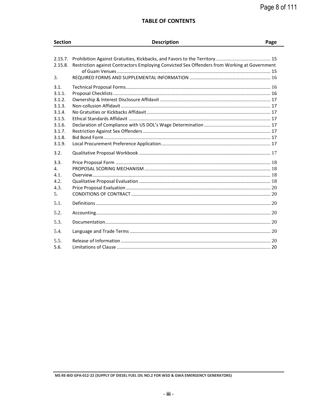## **TABLE OF CONTENTS**

| <b>Section</b>                                                                                 | <b>Description</b>                                                                           | Page |
|------------------------------------------------------------------------------------------------|----------------------------------------------------------------------------------------------|------|
|                                                                                                |                                                                                              |      |
| 2.15.7.<br>2.15.8.<br>3.                                                                       | Restriction against Contractors Employing Convicted Sex Offenders from Working at Government |      |
| 3.1.<br>3.1.1.<br>3.1.2.<br>3.1.3.<br>3.1.4.<br>3.1.5.<br>3.1.6.<br>3.1.7.<br>3.1.8.<br>3.1.9. |                                                                                              |      |
| 3.2.                                                                                           |                                                                                              |      |
| 3.3.<br>4.<br>4.1.<br>4.2.<br>4.3.<br>5 <sub>1</sub>                                           |                                                                                              |      |
| 5.1.                                                                                           |                                                                                              |      |
| 5.2.<br>5.3.                                                                                   |                                                                                              |      |
| 5.4.                                                                                           |                                                                                              |      |
| 5.5.<br>5.6.                                                                                   |                                                                                              |      |

MS RE-BID GPA-012-22 (SUPPLY OF DIESEL FUEL OIL NO.2 FOR WSD & GWA EMERGENCY GENERATORS)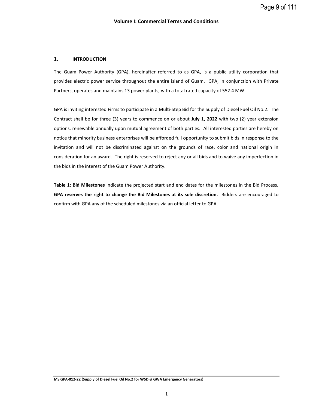## <span id="page-8-0"></span>**1. INTRODUCTION**

The Guam Power Authority (GPA), hereinafter referred to as GPA, is a public utility corporation that provides electric power service throughout the entire island of Guam. GPA, in conjunction with Private Partners, operates and maintains 13 power plants, with a total rated capacity of 552.4 MW.

GPA is inviting interested Firms to participate in a Multi-Step Bid for the Supply of Diesel Fuel Oil No.2. The Contract shall be for three (3) years to commence on or about **July 1, 2022** with two (2) year extension options, renewable annually upon mutual agreement of both parties. All interested parties are hereby on notice that minority business enterprises will be afforded full opportunity to submit bids in response to the invitation and will not be discriminated against on the grounds of race, color and national origin in consideration for an award. The right is reserved to reject any or all bids and to waive any imperfection in the bids in the interest of the Guam Power Authority.

**Table 1: Bid Milestones** indicate the projected start and end dates for the milestones in the Bid Process. **GPA reserves the right to change the Bid Milestones at its sole discretion.** Bidders are encouraged to confirm with GPA any of the scheduled milestones via an official letter to GPA.

**MS GPA-012-22 (Supply of Diesel Fuel Oil No.2 for WSD & GWA Emergency Generators)**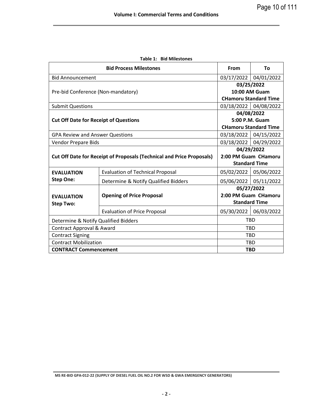|                                              | <b>Bid Process Milestones</b>                                                | <b>From</b>           | Τo                           |  |
|----------------------------------------------|------------------------------------------------------------------------------|-----------------------|------------------------------|--|
| <b>Bid Announcement</b>                      |                                                                              | 03/17/2022            | 04/01/2022                   |  |
|                                              | 03/25/2022                                                                   |                       |                              |  |
| Pre-bid Conference (Non-mandatory)           |                                                                              |                       | 10:00 AM Guam                |  |
|                                              |                                                                              |                       | <b>CHamoru Standard Time</b> |  |
| <b>Submit Questions</b>                      |                                                                              |                       | 03/18/2022 04/08/2022        |  |
|                                              |                                                                              | 04/08/2022            |                              |  |
| <b>Cut Off Date for Receipt of Questions</b> |                                                                              | 5:00 P.M. Guam        |                              |  |
|                                              |                                                                              |                       | <b>CHamoru Standard Time</b> |  |
| <b>GPA Review and Answer Questions</b>       |                                                                              |                       | 03/18/2022 04/15/2022        |  |
| <b>Vendor Prepare Bids</b>                   |                                                                              | 03/18/2022 04/29/2022 |                              |  |
|                                              |                                                                              | 04/29/2022            |                              |  |
|                                              | <b>Cut Off Date for Receipt of Proposals (Technical and Price Proposals)</b> | 2:00 PM Guam CHamoru  |                              |  |
|                                              |                                                                              | <b>Standard Time</b>  |                              |  |
| <b>EVALUATION</b>                            | <b>Evaluation of Technical Proposal</b>                                      | 05/02/2022            | 05/06/2022                   |  |
| <b>Step One:</b>                             | Determine & Notify Qualified Bidders                                         | 05/06/2022            | 05/11/2022                   |  |
|                                              |                                                                              | 05/27/2022            |                              |  |
| <b>EVALUATION</b>                            | <b>Opening of Price Proposal</b>                                             |                       | 2:00 PM Guam CHamoru         |  |
| <b>Step Two:</b>                             |                                                                              |                       | <b>Standard Time</b>         |  |
|                                              | <b>Evaluation of Price Proposal</b>                                          | 05/30/2022            | 06/03/2022                   |  |
|                                              | <b>TBD</b><br>Determine & Notify Qualified Bidders                           |                       |                              |  |
|                                              | Contract Approval & Award<br><b>TBD</b>                                      |                       |                              |  |
| <b>Contract Signing</b>                      |                                                                              |                       | <b>TBD</b>                   |  |
| <b>Contract Mobilization</b>                 |                                                                              |                       | <b>TBD</b>                   |  |
| <b>CONTRACT Commencement</b>                 |                                                                              | <b>TBD</b>            |                              |  |

**Table 1: Bid Milestones**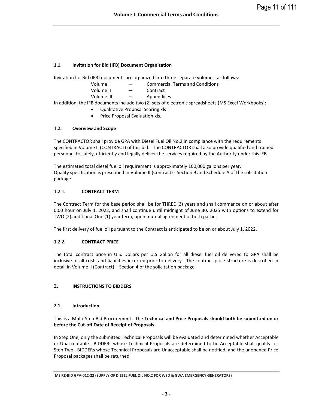## <span id="page-10-0"></span>**1.1. Invitation for Bid (IFB) Document Organization**

Invitation for Bid (IFB) documents are organized into three separate volumes, as follows:

- Volume I Commercial Terms and Conditions
- Volume II Contract
- Volume III Appendices

In addition, the IFB documents include two (2) sets of electronic spreadsheets (MS Excel Workbooks):

- Qualitative Proposal Scoring.xls
- Price Proposal Evaluation.xls.

## <span id="page-10-1"></span>**1.2. Overview and Scope**

The CONTRACTOR shall provide GPA with Diesel Fuel Oil No.2 in compliance with the requirements specified in Volume II (CONTRACT) of this bid. The CONTRACTOR shall also provide qualified and trained personnel to safely, efficiently and legally deliver the services required by the Authority under this IFB.

The estimated total diesel fuel oil requirement is approximately 100,000 gallons per year. Quality specification is prescribed in Volume II (Contract) - Section 9 and Schedule A of the solicitation package.

## <span id="page-10-2"></span>**1.2.1. CONTRACT TERM**

The Contract Term for the base period shall be for THREE (3) years and shall commence on or about after 0:00 hour on July 1, 2022, and shall continue until midnight of June 30, 2025 with options to extend for TWO (2) additional One (1) year term, upon mutual agreement of both parties.

The first delivery of fuel oil pursuant to the Contract is anticipated to be on or about July 1, 2022.

## <span id="page-10-3"></span>**1.2.2. CONTRACT PRICE**

The total contract price in U.S. Dollars per U.S Gallon for all diesel fuel oil delivered to GPA shall be inclusive of all costs and liabilities incurred prior to delivery. The contract price structure is described in detail in Volume II (Contract) – Section 4 of the solicitation package.

## <span id="page-10-4"></span>**2. INSTRUCTIONS TO BIDDERS**

## <span id="page-10-5"></span>**2.1. Introduction**

This is a Multi-Step Bid Procurement. The **Technical and Price Proposals should both be submitted on or before the Cut-off Date of Receipt of Proposals**.

In Step One, only the submitted Technical Proposals will be evaluated and determined whether Acceptable or Unacceptable. BIDDERs whose Technical Proposals are determined to be Acceptable shall qualify for Step Two. BIDDERs whose Technical Proposals are Unacceptable shall be notified, and the unopened Price Proposal packages shall be returned.

**MS RE-BID GPA-012-22 (SUPPLY OF DIESEL FUEL OIL NO.2 FOR WSD & GWA EMERGENCY GENERATORS)**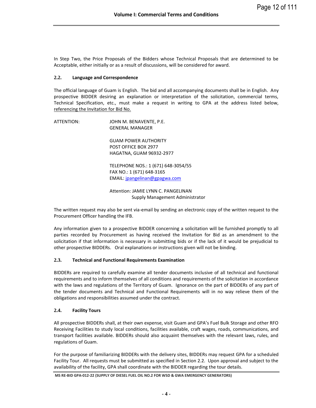In Step Two, the Price Proposals of the Bidders whose Technical Proposals that are determined to be Acceptable, either initially or as a result of discussions, will be considered for award.

## <span id="page-11-0"></span>**2.2. Language and Correspondence**

The official language of Guam is English. The bid and all accompanying documents shall be in English. Any prospective BIDDER desiring an explanation or interpretation of the solicitation, commercial terms, Technical Specification, etc., must make a request in writing to GPA at the address listed below, referencing the Invitation for Bid No.

ATTENTION: JOHN M. BENAVENTE, P.E. GENERAL MANAGER GUAM POWER AUTHORITY POST OFFICE BOX 2977 HAGATNA, GUAM 96932-2977 TELEPHONE NOS.: 1 (671) 648-3054/55 FAX NO.: 1 (671) 648-3165 EMAIL[: jpangelinan@gpagwa.com](mailto:jpangelinan@gpagwa.com) Attention: JAMIE LYNN C. PANGELINAN Supply Management Administrator

The written request may also be sent via-email by sending an electronic copy of the written request to the Procurement Officer handling the IFB.

Any information given to a prospective BIDDER concerning a solicitation will be furnished promptly to all parties recorded by Procurement as having received the Invitation for Bid as an amendment to the solicitation if that information is necessary in submitting bids or if the lack of it would be prejudicial to other prospective BIDDERs. Oral explanations or instructions given will not be binding.

## <span id="page-11-1"></span>**2.3. Technical and Functional Requirements Examination**

BIDDERs are required to carefully examine all tender documents inclusive of all technical and functional requirements and to inform themselves of all conditions and requirements of the solicitation in accordance with the laws and regulations of the Territory of Guam. Ignorance on the part of BIDDERs of any part of the tender documents and Technical and Functional Requirements will in no way relieve them of the obligations and responsibilities assumed under the contract.

## <span id="page-11-2"></span>**2.4. Facility Tours**

All prospective BIDDERs shall, at their own expense, visit Guam and GPA's Fuel Bulk Storage and other RFO Receiving Facilities to study local conditions, facilities available, craft wages, roads, communications, and transport facilities available. BIDDERs should also acquaint themselves with the relevant laws, rules, and regulations of Guam.

For the purpose of familiarizing BIDDERs with the delivery sites, BIDDERs may request GPA for a scheduled Facility Tour. All requests must be submitted as specified in Section 2.2. Upon approval and subject to the availability of the facility, GPA shall coordinate with the BIDDER regarding the tour details.

**MS RE-BID GPA-012-22 (SUPPLY OF DIESEL FUEL OIL NO.2 FOR WSD & GWA EMERGENCY GENERATORS)**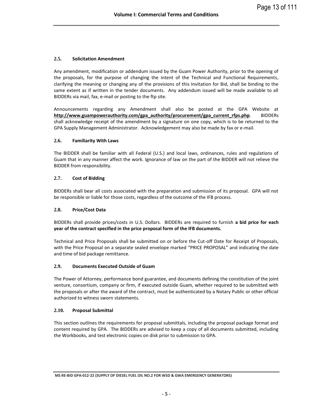## <span id="page-12-0"></span>**2.5. Solicitation Amendment**

Any amendment, modification or addendum issued by the Guam Power Authority, prior to the opening of the proposals, for the purpose of changing the intent of the Technical and Functional Requirements, clarifying the meaning or changing any of the provisions of this Invitation for Bid, shall be binding to the same extent as if written in the tender documents. Any addendum issued will be made available to all BIDDERs via mail, fax, e-mail or posting to the ftp site.

Announcements regarding any Amendment shall also be posted at the GPA Website at **[http://www.guampowerauthority.com/gpa\\_authority/procurement/gpa\\_current\\_rfps.php](http://www.guampowerauthority.com/gpa_authority/procurement/gpa_current_rfps.php)**. BIDDERs shall acknowledge receipt of the amendment by a signature on one copy, which is to be returned to the GPA Supply Management Administrator. Acknowledgement may also be made by fax or e-mail.

## <span id="page-12-1"></span>**2.6. Familiarity With Laws**

The BIDDER shall be familiar with all Federal (U.S.) and local laws, ordinances, rules and regulations of Guam that in any manner affect the work. Ignorance of law on the part of the BIDDER will not relieve the BIDDER from responsibility.

## <span id="page-12-2"></span>**2.7. Cost of Bidding**

BIDDERs shall bear all costs associated with the preparation and submission of its proposal. GPA will not be responsible or liable for those costs, regardless of the outcome of the IFB process.

## <span id="page-12-3"></span>**2.8. Price/Cost Data**

BIDDERs shall provide prices/costs in U.S. Dollars. BIDDERs are required to furnish **a bid price for each year of the contract specified in the price proposal form of the IFB documents.** 

Technical and Price Proposals shall be submitted on or before the Cut-off Date for Receipt of Proposals, with the Price Proposal on a separate sealed envelope marked "PRICE PROPOSAL" and indicating the date and time of bid package remittance.

## <span id="page-12-4"></span>**2.9. Documents Executed Outside of Guam**

The Power of Attorney, performance bond guarantee, and documents defining the constitution of the joint venture, consortium, company or firm, if executed outside Guam, whether required to be submitted with the proposals or after the award of the contract, must be authenticated by a Notary Public or other official authorized to witness sworn statements.

#### <span id="page-12-5"></span>**2.10. Proposal Submittal**

This section outlines the requirements for proposal submittals, including the proposal package format and content required by GPA. The BIDDERs are advised to keep a copy of all documents submitted, including the Workbooks, and test electronic copies on disk prior to submission to GPA.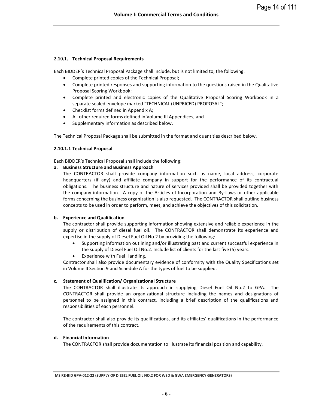## <span id="page-13-0"></span>**2.10.1. Technical Proposal Requirements**

Each BIDDER's Technical Proposal Package shall include, but is not limited to, the following:

- Complete printed copies of the Technical Proposal;
- Complete printed responses and supporting information to the questions raised in the Qualitative Proposal Scoring Workbook;
- Complete printed and electronic copies of the Qualitative Proposal Scoring Workbook in a separate sealed envelope marked "TECHNICAL (UNPRICED) PROPOSAL";
- Checklist forms defined in Appendix A;
- All other required forms defined in Volume III Appendices; and
- Supplementary information as described below.

The Technical Proposal Package shall be submitted in the format and quantities described below.

## **2.10.1.1 Technical Proposal**

Each BIDDER's Technical Proposal shall include the following:

## **a. Business Structure and Business Approach**

The CONTRACTOR shall provide company information such as name, local address, corporate headquarters (if any) and affiliate company in support for the performance of its contractual obligations. The business structure and nature of services provided shall be provided together with the company information. A copy of the Articles of Incorporation and By-Laws or other applicable forms concerning the business organization is also requested. The CONTRACTOR shall outline business concepts to be used in order to perform, meet, and achieve the objectives of this solicitation.

## **b. Experience and Qualification**

The contractor shall provide supporting information showing extensive and reliable experience in the supply or distribution of diesel fuel oil. The CONTRACTOR shall demonstrate its experience and expertise in the supply of Diesel Fuel Oil No.2 by providing the following:

- Supporting information outlining and/or illustrating past and current successful experience in the supply of Diesel Fuel Oil No.2. Include list of clients for the last five (5) years.
- Experience with Fuel Handling.

Contractor shall also provide documentary evidence of conformity with the Quality Specifications set in Volume II Section 9 and Schedule A for the types of fuel to be supplied.

## **c. Statement of Qualification/ Organizational Structure**

The CONTRACTOR shall illustrate its approach in supplying Diesel Fuel Oil No.2 to GPA. The CONTRACTOR shall provide an organizational structure including the names and designations of personnel to be assigned in this contract, including a brief description of the qualifications and responsibilities of each personnel.

The contractor shall also provide its qualifications, and its affiliates' qualifications in the performance of the requirements of this contract.

#### **d. Financial Information**

The CONTRACTOR shall provide documentation to illustrate its financial position and capability.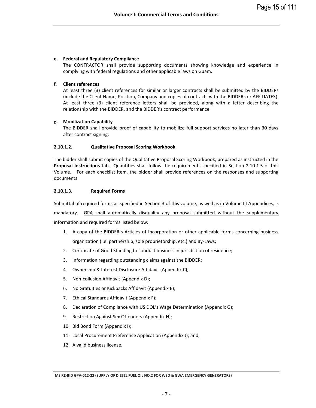## **e. Federal and Regulatory Compliance**

The CONTRACTOR shall provide supporting documents showing knowledge and experience in complying with federal regulations and other applicable laws on Guam.

## **f. Client references**

At least three (3) client references for similar or larger contracts shall be submitted by the BIDDERs (include the Client Name, Position, Company and copies of contracts with the BIDDERs or AFFILIATES). At least three (3) client reference letters shall be provided, along with a letter describing the relationship with the BIDDER, and the BIDDER's contract performance.

## **g. Mobilization Capability**

The BIDDER shall provide proof of capability to mobilize full support services no later than 30 days after contract signing.

#### **2.10.1.2. Qualitative Proposal Scoring Workbook**

The bidder shall submit copies of the Qualitative Proposal Scoring Workbook, prepared as instructed in the **Proposal Instructions** tab. Quantities shall follow the requirements specified in Section 2.10.1.5 of this Volume. For each checklist item, the bidder shall provide references on the responses and supporting documents.

#### **2.10.1.3. Required Forms**

Submittal of required forms as specified in Section 3 of this volume, as well as in Volume III Appendices, is

mandatory. GPA shall automatically disqualify any proposal submitted without the supplementary information and required forms listed below:

- 1. A copy of the BIDDER's Articles of Incorporation or other applicable forms concerning business organization (i.e. partnership, sole proprietorship, etc.) and By-Laws;
- 2. Certificate of Good Standing to conduct business in jurisdiction of residence;
- 3. Information regarding outstanding claims against the BIDDER;
- 4. Ownership & Interest Disclosure Affidavit (Appendix C);
- 5. Non-collusion Affidavit (Appendix D);
- 6. No Gratuities or Kickbacks Affidavit (Appendix E);
- 7. Ethical Standards Affidavit (Appendix F);
- 8. Declaration of Compliance with US DOL's Wage Determination (Appendix G);
- 9. Restriction Against Sex Offenders (Appendix H);
- 10. Bid Bond Form (Appendix I);
- 11. Local Procurement Preference Application (Appendix J); and,
- 12. A valid business license.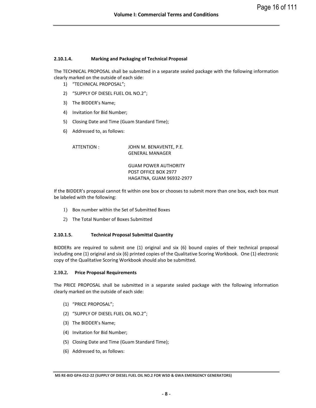#### **2.10.1.4. Marking and Packaging of Technical Proposal**

The TECHNICAL PROPOSAL shall be submitted in a separate sealed package with the following information clearly marked on the outside of each side:

- 1) "TECHNICAL PROPOSAL";
- 2) "SUPPLY OF DIESEL FUEL OIL NO.2";
- 3) The BIDDER's Name;
- 4) Invitation for Bid Number;
- 5) Closing Date and Time (Guam Standard Time);
- 6) Addressed to, as follows:

ATTENTION : JOHN M. BENAVENTE, P.E. GENERAL MANAGER

> GUAM POWER AUTHORITY POST OFFICE BOX 2977 HAGATNA, GUAM 96932-2977

If the BIDDER's proposal cannot fit within one box or chooses to submit more than one box, each box must be labeled with the following:

- 1) Box number within the Set of Submitted Boxes
- 2) The Total Number of Boxes Submitted

#### **2.10.1.5. Technical Proposal Submittal Quantity**

BIDDERs are required to submit one (1) original and six (6) bound copies of their technical proposal including one (1) original and six (6) printed copies of the Qualitative Scoring Workbook. One (1) electronic copy of the Qualitative Scoring Workbook should also be submitted.

#### <span id="page-15-0"></span>**2.10.2. Price Proposal Requirements**

The PRICE PROPOSAL shall be submitted in a separate sealed package with the following information clearly marked on the outside of each side:

- (1) "PRICE PROPOSAL";
- (2) "SUPPLY OF DIESEL FUEL OIL NO.2";
- (3) The BIDDER's Name;
- (4) Invitation for Bid Number;
- (5) Closing Date and Time (Guam Standard Time);
- (6) Addressed to, as follows:

**MS RE-BID GPA-012-22 (SUPPLY OF DIESEL FUEL OIL NO.2 FOR WSD & GWA EMERGENCY GENERATORS)**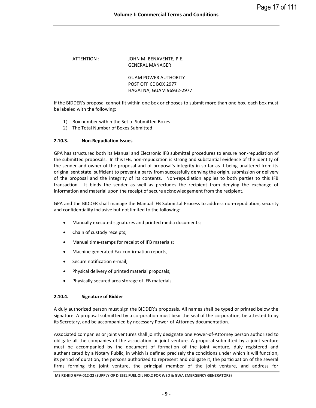ATTENTION : JOHN M. BENAVENTE, P.E. GENERAL MANAGER

> GUAM POWER AUTHORITY POST OFFICE BOX 2977 HAGATNA, GUAM 96932-2977

If the BIDDER's proposal cannot fit within one box or chooses to submit more than one box, each box must be labeled with the following:

- 1) Box number within the Set of Submitted Boxes
- 2) The Total Number of Boxes Submitted

## <span id="page-16-0"></span>**2.10.3. Non-Repudiation Issues**

GPA has structured both its Manual and Electronic IFB submittal procedures to ensure non-repudiation of the submitted proposals. In this IFB, non-repudiation is strong and substantial evidence of the identity of the sender and owner of the proposal and of proposal's integrity in so far as it being unaltered from its original sent state, sufficient to prevent a party from successfully denying the origin, submission or delivery of the proposal and the integrity of its contents. Non-repudiation applies to both parties to this IFB transaction. It binds the sender as well as precludes the recipient from denying the exchange of information and material upon the receipt of secure acknowledgement from the recipient.

GPA and the BIDDER shall manage the Manual IFB Submittal Process to address non-repudiation, security and confidentiality inclusive but not limited to the following:

- Manually executed signatures and printed media documents;
- Chain of custody receipts;
- Manual time-stamps for receipt of IFB materials;
- Machine generated Fax confirmation reports;
- Secure notification e-mail;
- Physical delivery of printed material proposals;
- Physically secured area storage of IFB materials.

## <span id="page-16-1"></span>**2.10.4. Signature of Bidder**

A duly authorized person must sign the BIDDER's proposals. All names shall be typed or printed below the signature. A proposal submitted by a corporation must bear the seal of the corporation, be attested to by its Secretary, and be accompanied by necessary Power-of-Attorney documentation.

Associated companies or joint ventures shall jointly designate one Power-of-Attorney person authorized to obligate all the companies of the association or joint venture. A proposal submitted by a joint venture must be accompanied by the document of formation of the joint venture, duly registered and authenticated by a Notary Public, in which is defined precisely the conditions under which it will function, its period of duration, the persons authorized to represent and obligate it, the participation of the several firms forming the joint venture, the principal member of the joint venture, and address for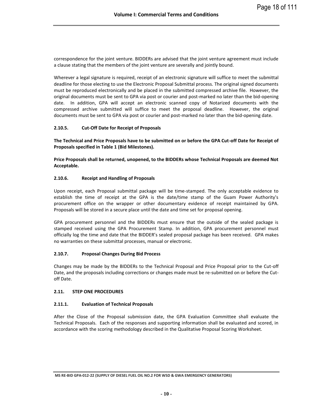correspondence for the joint venture. BIDDERs are advised that the joint venture agreement must include a clause stating that the members of the joint venture are severally and jointly bound.

Wherever a legal signature is required, receipt of an electronic signature will suffice to meet the submittal deadline for those electing to use the Electronic Proposal Submittal process. The original signed documents must be reproduced electronically and be placed in the submitted compressed archive file. However, the original documents must be sent to GPA via post or courier and post-marked no later than the bid-opening date. In addition, GPA will accept an electronic scanned copy of Notarized documents with the compressed archive submitted will suffice to meet the proposal deadline. However, the original documents must be sent to GPA via post or courier and post-marked no later than the bid-opening date.

## <span id="page-17-0"></span>**2.10.5. Cut-Off Date for Receipt of Proposals**

**The Technical and Price Proposals have to be submitted on or before the GPA Cut-off Date for Receipt of Proposals specified in Table 1 (Bid Milestones).** 

**Price Proposals shall be returned, unopened, to the BIDDERs whose Technical Proposals are deemed Not Acceptable.** 

## <span id="page-17-1"></span>**2.10.6. Receipt and Handling of Proposals**

Upon receipt, each Proposal submittal package will be time-stamped. The only acceptable evidence to establish the time of receipt at the GPA is the date/time stamp of the Guam Power Authority's procurement office on the wrapper or other documentary evidence of receipt maintained by GPA. Proposals will be stored in a secure place until the date and time set for proposal opening.

GPA procurement personnel and the BIDDERs must ensure that the outside of the sealed package is stamped received using the GPA Procurement Stamp. In addition, GPA procurement personnel must officially log the time and date that the BIDDER's sealed proposal package has been received. GPA makes no warranties on these submittal processes, manual or electronic.

## <span id="page-17-2"></span>**2.10.7. Proposal Changes During Bid Process**

Changes may be made by the BIDDERs to the Technical Proposal and Price Proposal prior to the Cut-off Date, and the proposals including corrections or changes made must be re-submitted on or before the Cutoff Date.

## <span id="page-17-3"></span>**2.11. STEP ONE PROCEDURES**

## <span id="page-17-4"></span>**2.11.1. Evaluation of Technical Proposals**

After the Close of the Proposal submission date, the GPA Evaluation Committee shall evaluate the Technical Proposals. Each of the responses and supporting information shall be evaluated and scored, in accordance with the scoring methodology described in the Qualitative Proposal Scoring Worksheet.

**MS RE-BID GPA-012-22 (SUPPLY OF DIESEL FUEL OIL NO.2 FOR WSD & GWA EMERGENCY GENERATORS)**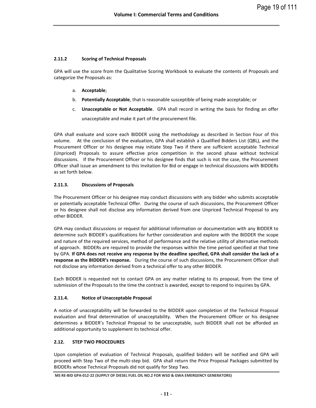## <span id="page-18-0"></span>**2.11.2 Scoring of Technical Proposals**

GPA will use the score from the Qualitative Scoring Workbook to evaluate the contents of Proposals and categorize the Proposals as:

- a. **Acceptable**;
- b. **Potentially Acceptable**, that is reasonable susceptible of being made acceptable; or
- c. **Unacceptable or Not Acceptable**. GPA shall record in writing the basis for finding an offer unacceptable and make it part of the procurement file.

GPA shall evaluate and score each BIDDER using the methodology as described in Section Four of this volume. At the conclusion of the evaluation, GPA shall establish a Qualified Bidders List (QBL), and the Procurement Officer or his designee may initiate Step Two if there are sufficient acceptable Technical (Unpriced) Proposals to assure effective price competition in the second phase without technical discussions. If the Procurement Officer or his designee finds that such is not the case, the Procurement Officer shall issue an amendment to this Invitation for Bid or engage in technical discussions with BIDDERs as set forth below.

## <span id="page-18-1"></span>**2.11.3. Discussions of Proposals**

The Procurement Officer or his designee may conduct discussions with any bidder who submits acceptable or potentially acceptable Technical Offer. During the course of such discussions, the Procurement Officer or his designee shall not disclose any information derived from one Unpriced Technical Proposal to any other BIDDER.

GPA may conduct discussions or request for additional information or documentation with any BIDDER to determine such BIDDER's qualifications for further consideration and explore with the BIDDER the scope and nature of the required services, method of performance and the relative utility of alternative methods of approach. BIDDERs are required to provide the responses within the time period specified at that time by GPA. **If GPA does not receive any response by the deadline specified, GPA shall consider the lack of a response as the BIDDER's response.** During the course of such discussions, the Procurement Officer shall not disclose any information derived from a technical offer to any other BIDDER.

Each BIDDER is requested not to contact GPA on any matter relating to its proposal, from the time of submission of the Proposals to the time the contract is awarded, except to respond to inquiries by GPA.

## <span id="page-18-2"></span>**2.11.4. Notice of Unacceptable Proposal**

A notice of unacceptability will be forwarded to the BIDDER upon completion of the Technical Proposal evaluation and final determination of unacceptability. When the Procurement Officer or his designee determines a BIDDER's Technical Proposal to be unacceptable, such BIDDER shall not be afforded an additional opportunity to supplement its technical offer.

## <span id="page-18-3"></span>**2.12. STEP TWO PROCEDURES**

Upon completion of evaluation of Technical Proposals, qualified bidders will be notified and GPA will proceed with Step Two of the multi-step bid. GPA shall return the Price Proposal Packages submitted by BIDDERs whose Technical Proposals did not qualify for Step Two.

**MS RE-BID GPA-012-22 (SUPPLY OF DIESEL FUEL OIL NO.2 FOR WSD & GWA EMERGENCY GENERATORS)**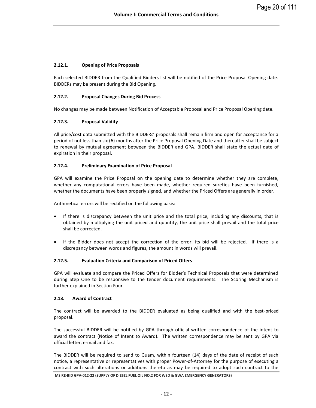## <span id="page-19-0"></span>**2.12.1. Opening of Price Proposals**

Each selected BIDDER from the Qualified Bidders list will be notified of the Price Proposal Opening date. BIDDERs may be present during the Bid Opening.

## <span id="page-19-1"></span>**2.12.2. Proposal Changes During Bid Process**

No changes may be made between Notification of Acceptable Proposal and Price Proposal Opening date.

#### <span id="page-19-2"></span>**2.12.3. Proposal Validity**

All price/cost data submitted with the BIDDERs' proposals shall remain firm and open for acceptance for a period of not less than six (6) months after the Price Proposal Opening Date and thereafter shall be subject to renewal by mutual agreement between the BIDDER and GPA. BIDDER shall state the actual date of expiration in their proposal.

#### <span id="page-19-3"></span>**2.12.4. Preliminary Examination of Price Proposal**

GPA will examine the Price Proposal on the opening date to determine whether they are complete, whether any computational errors have been made, whether required sureties have been furnished, whether the documents have been properly signed, and whether the Priced Offers are generally in order.

Arithmetical errors will be rectified on the following basis:

- If there is discrepancy between the unit price and the total price, including any discounts, that is obtained by multiplying the unit priced and quantity, the unit price shall prevail and the total price shall be corrected.
- If the Bidder does not accept the correction of the error, its bid will be rejected. If there is a discrepancy between words and figures, the amount in words will prevail.

#### <span id="page-19-4"></span>**2.12.5. Evaluation Criteria and Comparison of Priced Offers**

GPA will evaluate and compare the Priced Offers for Bidder's Technical Proposals that were determined during Step One to be responsive to the tender document requirements. The Scoring Mechanism is further explained in Section Four.

#### <span id="page-19-5"></span>**2.13. Award of Contract**

The contract will be awarded to the BIDDER evaluated as being qualified and with the best-priced proposal.

The successful BIDDER will be notified by GPA through official written correspondence of the intent to award the contract (Notice of Intent to Award). The written correspondence may be sent by GPA via official letter, e-mail and fax.

The BIDDER will be required to send to Guam, within fourteen (14) days of the date of receipt of such notice, a representative or representatives with proper Power-of-Attorney for the purpose of executing a contract with such alterations or additions thereto as may be required to adopt such contract to the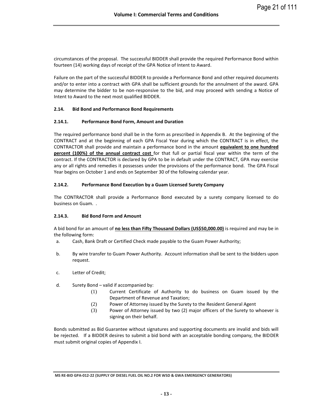circumstances of the proposal. The successful BIDDER shall provide the required Performance Bond within fourteen (14) working days of receipt of the GPA Notice of Intent to Award.

Failure on the part of the successful BIDDER to provide a Performance Bond and other required documents and/or to enter into a contract with GPA shall be sufficient grounds for the annulment of the award. GPA may determine the bidder to be non-responsive to the bid, and may proceed with sending a Notice of Intent to Award to the next most qualified BIDDER.

## <span id="page-20-0"></span>**2.14. Bid Bond and Performance Bond Requirements**

## <span id="page-20-1"></span>**2.14.1. Performance Bond Form, Amount and Duration**

The required performance bond shall be in the form as prescribed in Appendix B. At the beginning of the CONTRACT and at the beginning of each GPA Fiscal Year during which the CONTRACT is in effect, the CONTRACTOR shall provide and maintain a performance bond in the amount **equivalent to one hundred percent (100%) of the annual contract cost** for that full or partial fiscal year within the term of the contract. If the CONTRACTOR is declared by GPA to be in default under the CONTRACT, GPA may exercise any or all rights and remedies it possesses under the provisions of the performance bond. The GPA Fiscal Year begins on October 1 and ends on September 30 of the following calendar year.

## <span id="page-20-2"></span>**2.14.2. Performance Bond Execution by a Guam Licensed Surety Company**

The CONTRACTOR shall provide a Performance Bond executed by a surety company licensed to do business on Guam. .

## <span id="page-20-3"></span>**2.14.3. Bid Bond Form and Amount**

A bid bond for an amount of **no less than Fifty Thousand Dollars (US\$50,000.00)** is required and may be in the following form:

- a. Cash, Bank Draft or Certified Check made payable to the Guam Power Authority;
- b. By wire transfer to Guam Power Authority. Account information shall be sent to the bidders upon request.
- c. Letter of Credit;
- d. Surety Bond valid if accompanied by:
	- (1) Current Certificate of Authority to do business on Guam issued by the Department of Revenue and Taxation;
	- (2) Power of Attorney issued by the Surety to the Resident General Agent
	- (3) Power of Attorney issued by two (2) major officers of the Surety to whoever is signing on their behalf.

Bonds submitted as Bid Guarantee without signatures and supporting documents are invalid and bids will be rejected. If a BIDDER desires to submit a bid bond with an acceptable bonding company, the BIDDER must submit original copies of Appendix I.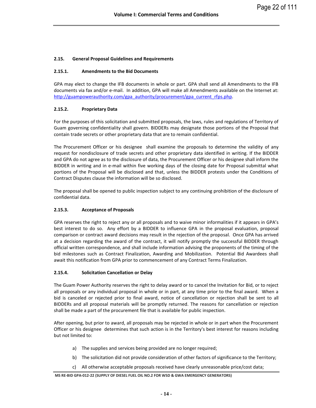## <span id="page-21-0"></span>**2.15. General Proposal Guidelines and Requirements**

#### <span id="page-21-1"></span>**2.15.1. Amendments to the Bid Documents**

GPA may elect to change the IFB documents in whole or part. GPA shall send all Amendments to the IFB documents via fax and/or e-mail. In addition, GPA will make all Amendments available on the Internet at: [http://guampowerauthority.com/gpa\\_authority/procurement/gpa\\_current\\_rfps.php.](http://guampowerauthority.com/gpa_authority/procurement/gpa_current_rfps.php)

## <span id="page-21-2"></span>**2.15.2. Proprietary Data**

For the purposes of this solicitation and submitted proposals, the laws, rules and regulations of Territory of Guam governing confidentiality shall govern. BIDDERs may designate those portions of the Proposal that contain trade secrets or other proprietary data that are to remain confidential.

The Procurement Officer or his designee shall examine the proposals to determine the validity of any request for nondisclosure of trade secrets and other proprietary data identified in writing. If the BIDDER and GPA do not agree as to the disclosure of data, the Procurement Officer or his designee shall inform the BIDDER in writing and in e-mail within five working days of the closing date for Proposal submittal what portions of the Proposal will be disclosed and that, unless the BIDDER protests under the Conditions of Contract Disputes clause the information will be so disclosed.

The proposal shall be opened to public inspection subject to any continuing prohibition of the disclosure of confidential data.

## <span id="page-21-3"></span>**2.15.3. Acceptance of Proposals**

GPA reserves the right to reject any or all proposals and to waive minor informalities if it appears in GPA's best interest to do so. Any effort by a BIDDER to influence GPA in the proposal evaluation, proposal comparison or contract award decisions may result in the rejection of the proposal. Once GPA has arrived at a decision regarding the award of the contract, it will notify promptly the successful BIDDER through official written correspondence, and shall include information advising the proponents of the timing of the bid milestones such as Contract Finalization, Awarding and Mobilization. Potential Bid Awardees shall await this notification from GPA prior to commencement of any Contract Terms Finalization.

#### <span id="page-21-4"></span>**2.15.4. Solicitation Cancellation or Delay**

The Guam Power Authority reserves the right to delay award or to cancel the Invitation for Bid, or to reject all proposals or any individual proposal in whole or in part, at any time prior to the final award. When a bid is canceled or rejected prior to final award, notice of cancellation or rejection shall be sent to all BIDDERs and all proposal materials will be promptly returned. The reasons for cancellation or rejection shall be made a part of the procurement file that is available for public inspection.

After opening, but prior to award, all proposals may be rejected in whole or in part when the Procurement Officer or his designee determines that such action is in the Territory's best interest for reasons including but not limited to:

- a) The supplies and services being provided are no longer required;
- b) The solicitation did not provide consideration of other factors of significance to the Territory;
- c) All otherwise acceptable proposals received have clearly unreasonable price/cost data;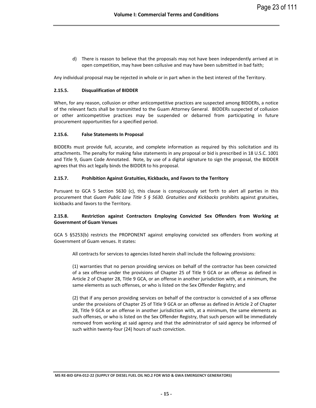d) There is reason to believe that the proposals may not have been independently arrived at in open competition, may have been collusive and may have been submitted in bad faith;

Any individual proposal may be rejected in whole or in part when in the best interest of the Territory.

## <span id="page-22-0"></span>**2.15.5. Disqualification of BIDDER**

When, for any reason, collusion or other anticompetitive practices are suspected among BIDDERs, a notice of the relevant facts shall be transmitted to the Guam Attorney General. BIDDERs suspected of collusion or other anticompetitive practices may be suspended or debarred from participating in future procurement opportunities for a specified period.

## <span id="page-22-1"></span>**2.15.6. False Statements In Proposal**

BIDDERs must provide full, accurate, and complete information as required by this solicitation and its attachments. The penalty for making false statements in any proposal or bid is prescribed in 18 U.S.C. 1001 and Title 9, Guam Code Annotated. Note, by use of a digital signature to sign the proposal, the BIDDER agrees that this act legally binds the BIDDER to his proposal.

## <span id="page-22-2"></span>**2.15.7. Prohibition Against Gratuities, Kickbacks, and Favors to the Territory**

Pursuant to GCA 5 Section 5630 (c), this clause is conspicuously set forth to alert all parties in this procurement that *Guam Public Law Title 5 § 5630. Gratuities and Kickbacks* prohibits against gratuities, kickbacks and favors to the Territory.

## <span id="page-22-3"></span>**2.15.8. Restriction against Contractors Employing Convicted Sex Offenders from Working at Government of Guam Venues**

GCA 5 §5253(b) restricts the PROPONENT against employing convicted sex offenders from working at Government of Guam venues. It states:

All contracts for services to agencies listed herein shall include the following provisions:

(1) warranties that no person providing services on behalf of the contractor has been convicted of a sex offense under the provisions of Chapter 25 of Title 9 GCA or an offense as defined in Article 2 of Chapter 28, Title 9 GCA, or an offense in another jurisdiction with, at a minimum, the same elements as such offenses, or who is listed on the Sex Offender Registry; and

(2) that if any person providing services on behalf of the contractor is convicted of a sex offense under the provisions of Chapter 25 of Title 9 GCA or an offense as defined in Article 2 of Chapter 28, Title 9 GCA or an offense in another jurisdiction with, at a minimum, the same elements as such offenses, or who is listed on the Sex Offender Registry, that such person will be immediately removed from working at said agency and that the administrator of said agency be informed of such within twenty-four (24) hours of such conviction.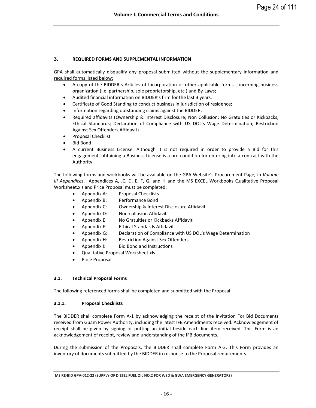## <span id="page-23-0"></span>**3. REQUIRED FORMS AND SUPPLEMENTAL INFORMATION**

GPA shall automatically disqualify any proposal submitted without the supplementary information and required forms listed below:

- A copy of the BIDDER's Articles of Incorporation or other applicable forms concerning business organization (i.e. partnership, sole proprietorship, etc.) and By-Laws;
- Audited financial information on BIDDER's firm for the last 3 years.
- Certificate of Good Standing to conduct business in jurisdiction of residence;
- Information regarding outstanding claims against the BIDDER;
- Required affidavits (Ownership & Interest Disclosure; Non Collusion; No Gratuities or Kickbacks; Ethical Standards; Declaration of Compliance with US DOL's Wage Determination; Restriction Against Sex Offenders Affidavit)
- Proposal Checklist
- Bid Bond
- A current Business License. Although it is not required in order to provide a Bid for this engagement, obtaining a Business License is a pre-condition for entering into a contract with the Authority.

The following forms and workbooks will be available on the GPA Website's Procurement Page, in *Volume III Appendices*. Appendices A, ,C, D, E, F, G, and H and the MS EXCEL Workbooks Qualitative Proposal Worksheet.xls and Price Proposal must be completed:

- Appendix A: Proposal Checklists
- Appendix B: Performance Bond
- Appendix C: Ownership & Interest Disclosure Affidavit
- Appendix D: Non-collusion Affidavit
- Appendix E: No Gratuities or Kickbacks Affidavit
- Appendix F: Ethical Standards Affidavit
- Appendix G: Declaration of Compliance with US DOL's Wage Determination
- Appendix H: Restriction Against Sex Offenders
- Appendix I: Bid Bond and Instructions
- Qualitative Proposal Worksheet.xls
- Price Proposal

## <span id="page-23-1"></span>**3.1. Technical Proposal Forms**

The following referenced forms shall be completed and submitted with the Proposal.

## <span id="page-23-2"></span>**3.1.1. Proposal Checklists**

The BIDDER shall complete Form A-1 by acknowledging the receipt of the Invitation For Bid Documents received from Guam Power Authority, including the latest IFB Amendments received. Acknowledgement of receipt shall be given by signing or putting an initial beside each line item received. This Form is an acknowledgement of receipt, review and understanding of the IFB documents.

During the submission of the Proposals, the BIDDER shall complete Form A-2. This Form provides an inventory of documents submitted by the BIDDER in response to the Proposal requirements.

**MS RE-BID GPA-012-22 (SUPPLY OF DIESEL FUEL OIL NO.2 FOR WSD & GWA EMERGENCY GENERATORS)**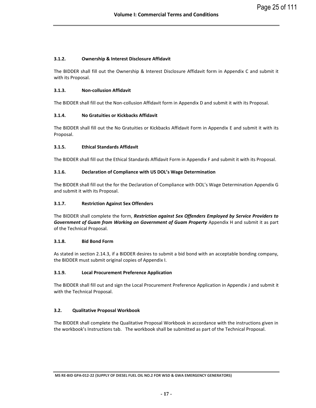## <span id="page-24-0"></span>**3.1.2. Ownership & Interest Disclosure Affidavit**

The BIDDER shall fill out the Ownership & Interest Disclosure Affidavit form in Appendix C and submit it with its Proposal.

## <span id="page-24-1"></span>**3.1.3. Non-collusion Affidavit**

The BIDDER shall fill out the Non-collusion Affidavit form in Appendix D and submit it with its Proposal.

## <span id="page-24-2"></span>**3.1.4. No Gratuities or Kickbacks Affidavit**

The BIDDER shall fill out the No Gratuities or Kickbacks Affidavit Form in Appendix E and submit it with its Proposal.

## <span id="page-24-3"></span>**3.1.5. Ethical Standards Affidavit**

The BIDDER shall fill out the Ethical Standards Affidavit Form in Appendix F and submit it with its Proposal.

## <span id="page-24-4"></span>**3.1.6. Declaration of Compliance with US DOL's Wage Determination**

The BIDDER shall fill out the for the Declaration of Compliance with DOL's Wage Determination Appendix G and submit it with its Proposal.

## <span id="page-24-5"></span>**3.1.7. Restriction Against Sex Offenders**

The BIDDER shall complete the form, *Restriction against Sex Offenders Employed by Service Providers to Government of Guam from Working on Government of Guam Property* Appendix H and submit it as part of the Technical Proposal.

## <span id="page-24-6"></span>**3.1.8. Bid Bond Form**

As stated in section 2.14.3, if a BIDDER desires to submit a bid bond with an acceptable bonding company, the BIDDER must submit original copies of Appendix I.

## <span id="page-24-7"></span>**3.1.9. Local Procurement Preference Application**

The BIDDER shall fill out and sign the Local Procurement Preference Application in Appendix J and submit it with the Technical Proposal.

## <span id="page-24-8"></span>**3.2. Qualitative Proposal Workbook**

The BIDDER shall complete the Qualitative Proposal Workbook in accordance with the instructions given in the workbook's Instructions tab. The workbook shall be submitted as part of the Technical Proposal.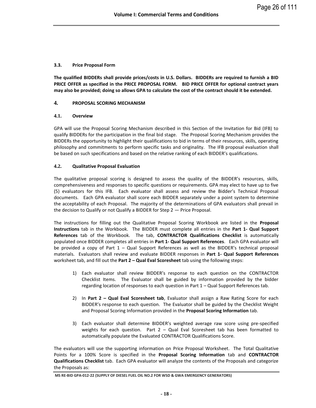## <span id="page-25-0"></span>**3.3. Price Proposal Form**

**The qualified BIDDERs shall provide prices/costs in U.S. Dollars. BIDDERs are required to furnish a BID PRICE OFFER as specified in the PRICE PROPOSAL FORM. BID PRICE OFFER for optional contract years may also be provided; doing so allows GPA to calculate the cost of the contract should it be extended.** 

## <span id="page-25-1"></span>**4. PROPOSAL SCORING MECHANISM**

#### <span id="page-25-2"></span>**4.1. Overview**

GPA will use the Proposal Scoring Mechanism described in this Section of the Invitation for Bid (IFB) to qualify BIDDERs for the participation in the final bid stage. The Proposal Scoring Mechanism provides the BIDDERs the opportunity to highlight their qualifications to bid in terms of their resources, skills, operating philosophy and commitments to perform specific tasks and originality. The IFB proposal evaluation shall be based on such specifications and based on the relative ranking of each BIDDER's qualifications.

## <span id="page-25-3"></span>**4.2. Qualitative Proposal Evaluation**

The qualitative proposal scoring is designed to assess the quality of the BIDDER's resources, skills, comprehensiveness and responses to specific questions or requirements. GPA may elect to have up to five (5) evaluators for this IFB. Each evaluator shall assess and review the Bidder's Technical Proposal documents. Each GPA evaluator shall score each BIDDER separately under a point system to determine the acceptability of each Proposal. The majority of the determinations of GPA evaluators shall prevail in the decision to Qualify or not Qualify a BIDDER for Step 2 — Price Proposal.

The instructions for filling out the Qualitative Proposal Scoring Workbook are listed in the **Proposal Instructions** tab in the Workbook. The BIDDER must complete all entries in the **Part 1- Qual Support References** tab of the Workbook. The tab, **CONTRACTOR Qualifications Checklist** is automatically populated once BIDDER completes all entries in **Part 1- Qual Support References**. Each GPA evaluator will be provided a copy of Part 1 – Qual Support References as well as the BIDDER's technical proposal materials. Evaluators shall review and evaluate BIDDER responses in **Part 1- Qual Support References**  worksheet tab, and fill out the **Part 2 – Qual Eval Scoresheet** tab using the following steps:

- 1) Each evaluator shall review BIDDER's response to each question on the CONTRACTOR Checklist Items. The Evaluator shall be guided by information provided by the bidder regarding location of responses to each question in Part 1 – Qual Support References tab.
- 2) In **Part 2 – Qual Eval Scoresheet tab**, Evaluator shall assign a Raw Rating Score for each BIDDER's response to each question. The Evaluator shall be guided by the Checklist Weight and Proposal Scoring Information provided in the **Proposal Scoring Information** tab.
- 3) Each evaluator shall determine BIDDER's weighted average raw score using pre-specified weights for each question. Part  $2 -$  Qual Eval Scoresheet tab has been formatted to automatically populate the Evaluated CONTRACTOR Qualifications Score.

The evaluators will use the supporting information on Price Proposal Worksheet. The Total Qualitative Points for a 100% Score is specified in the **Proposal Scoring Information** tab and **CONTRACTOR Qualifications Checklist** tab. Each GPA evaluator will analyze the contents of the Proposals and categorize the Proposals as:

**MS RE-BID GPA-012-22 (SUPPLY OF DIESEL FUEL OIL NO.2 FOR WSD & GWA EMERGENCY GENERATORS)**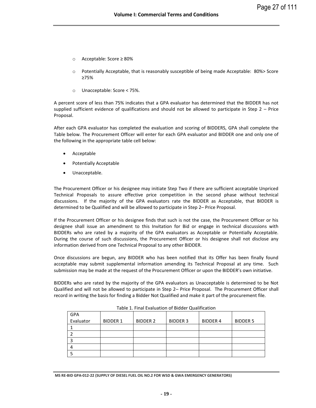- o Acceptable: Score ≥ 80%
- $\circ$  Potentially Acceptable, that is reasonably susceptible of being made Acceptable: 80% > Score ≥75%
- o Unacceptable: Score < 75%.

A percent score of less than 75% indicates that a GPA evaluator has determined that the BIDDER has not supplied sufficient evidence of qualifications and should not be allowed to participate in Step 2 – Price Proposal.

After each GPA evaluator has completed the evaluation and scoring of BIDDERS, GPA shall complete the Table below. The Procurement Officer will enter for each GPA evaluator and BIDDER one and only one of the following in the appropriate table cell below:

- Acceptable
- Potentially Acceptable
- Unacceptable.

The Procurement Officer or his designee may initiate Step Two if there are sufficient acceptable Unpriced Technical Proposals to assure effective price competition in the second phase without technical discussions. If the majority of the GPA evaluators rate the BIDDER as Acceptable, that BIDDER is determined to be Qualified and will be allowed to participate in Step 2– Price Proposal.

If the Procurement Officer or his designee finds that such is not the case, the Procurement Officer or his designee shall issue an amendment to this Invitation for Bid or engage in technical discussions with BIDDERs who are rated by a majority of the GPA evaluators as Acceptable or Potentially Acceptable. During the course of such discussions, the Procurement Officer or his designee shall not disclose any information derived from one Technical Proposal to any other BIDDER.

Once discussions are begun, any BIDDER who has been notified that its Offer has been finally found acceptable may submit supplemental information amending its Technical Proposal at any time. Such submission may be made at the request of the Procurement Officer or upon the BIDDER's own initiative.

BIDDERs who are rated by the majority of the GPA evaluators as Unacceptable is determined to be Not Qualified and will not be allowed to participate in Step 2– Price Proposal. The Procurement Officer shall record in writing the basis for finding a Bidder Not Qualified and make it part of the procurement file.

| <b>GPA</b> |                 |                 |                 |                 |                 |
|------------|-----------------|-----------------|-----------------|-----------------|-----------------|
| Evaluator  | <b>BIDDER 1</b> | <b>BIDDER 2</b> | <b>BIDDER 3</b> | <b>BIDDER 4</b> | <b>BIDDER 5</b> |
|            |                 |                 |                 |                 |                 |
|            |                 |                 |                 |                 |                 |
|            |                 |                 |                 |                 |                 |
|            |                 |                 |                 |                 |                 |
|            |                 |                 |                 |                 |                 |

Table 1. Final Evaluation of Bidder Qualification

**MS RE-BID GPA-012-22 (SUPPLY OF DIESEL FUEL OIL NO.2 FOR WSD & GWA EMERGENCY GENERATORS)**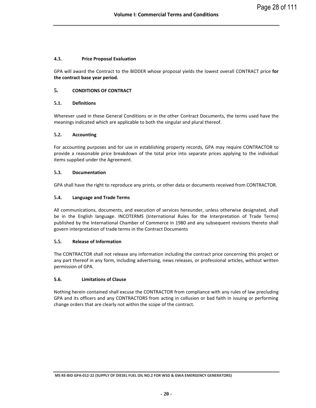## <span id="page-27-0"></span>**4.3. Price Proposal Evaluation**

GPA will award the Contract to the BIDDER whose proposal yields the lowest overall CONTRACT price **for the contract base year period.** 

## <span id="page-27-1"></span>**5. CONDITIONS OF CONTRACT**

## <span id="page-27-2"></span>**5.1. Definitions**

Wherever used in these General Conditions or in the other Contract Documents, the terms used have the meanings indicated which are applicable to both the singular and plural thereof.

## <span id="page-27-3"></span>**5.2. Accounting**

For accounting purposes and for use in establishing property records, GPA may require CONTRACTOR to provide a reasonable price breakdown of the total price into separate prices applying to the individual items supplied under the Agreement.

## <span id="page-27-4"></span>**5.3. Documentation**

GPA shall have the right to reproduce any prints, or other data or documents received from CONTRACTOR.

## <span id="page-27-5"></span>**5.4. Language and Trade Terms**

All communications, documents, and execution of services hereunder, unless otherwise designated, shall be in the English language. INCOTERMS (International Rules for the Interpretation of Trade Terms) published by the International Chamber of Commerce in 1980 and any subsequent revisions thereto shall govern interpretation of trade terms in the Contract Documents

## <span id="page-27-6"></span>**5.5. Release of Information**

The CONTRACTOR shall not release any information including the contract price concerning this project or any part thereof in any form, including advertising, news releases, or professional articles, without written permission of GPA.

## <span id="page-27-7"></span>**5.6. Limitations of Clause**

Nothing herein contained shall excuse the CONTRACTOR from compliance with any rules of law precluding GPA and its officers and any CONTRACTORS from acting in collusion or bad faith in issuing or performing change orders that are clearly not within the scope of the contract.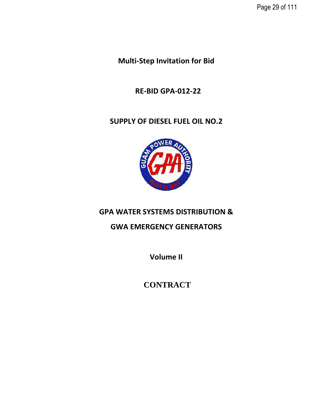Page 29 of 111

**Multi-Step Invitation for Bid**

 **RE-BID GPA-012-22**

# **SUPPLY OF DIESEL FUEL OIL NO.2**



# **GPA WATER SYSTEMS DISTRIBUTION &**

**GWA EMERGENCY GENERATORS**

**Volume II**

**CONTRACT**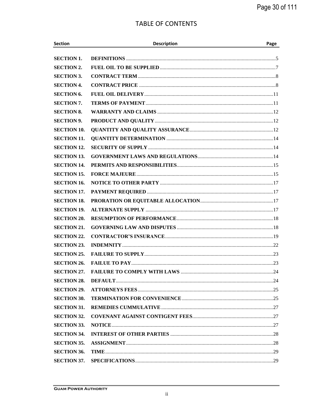# **TABLE OF CONTENTS**

| <b>Section</b>     | <b>Description</b> | Page |
|--------------------|--------------------|------|
| <b>SECTION 1.</b>  |                    |      |
| <b>SECTION 2.</b>  |                    |      |
| <b>SECTION 3.</b>  |                    |      |
| <b>SECTION 4.</b>  |                    |      |
| <b>SECTION 6.</b>  |                    |      |
| <b>SECTION 7.</b>  |                    |      |
| <b>SECTION 8.</b>  |                    |      |
| <b>SECTION 9.</b>  |                    |      |
| <b>SECTION 10.</b> |                    |      |
| <b>SECTION 11.</b> |                    |      |
| <b>SECTION 12.</b> |                    |      |
| <b>SECTION 13.</b> |                    |      |
| <b>SECTION 14.</b> |                    |      |
| <b>SECTION 15.</b> |                    |      |
| <b>SECTION 16.</b> |                    |      |
| <b>SECTION 17.</b> |                    |      |
| <b>SECTION 18.</b> |                    |      |
| <b>SECTION 19.</b> |                    |      |
| <b>SECTION 20.</b> |                    |      |
| <b>SECTION 21.</b> |                    |      |
| <b>SECTION 22.</b> |                    |      |
| <b>SECTION 23.</b> |                    |      |
| <b>SECTION 25.</b> |                    |      |
| <b>SECTION 26.</b> |                    |      |
| <b>SECTION 27.</b> |                    |      |
| <b>SECTION 28.</b> |                    |      |
| <b>SECTION 29.</b> |                    |      |
| <b>SECTION 30.</b> |                    |      |
| <b>SECTION 31.</b> |                    |      |
| <b>SECTION 32.</b> |                    |      |
| <b>SECTION 33.</b> |                    |      |
| <b>SECTION 34.</b> |                    |      |
| <b>SECTION 35.</b> |                    |      |
| <b>SECTION 36.</b> |                    |      |
| <b>SECTION 37.</b> |                    |      |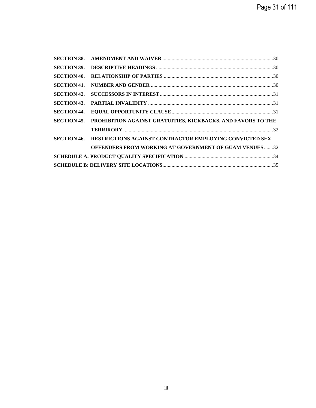| <b>SECTION 38.</b> |                                                                |  |
|--------------------|----------------------------------------------------------------|--|
| <b>SECTION 39.</b> |                                                                |  |
| <b>SECTION 40.</b> |                                                                |  |
| <b>SECTION 41.</b> |                                                                |  |
| <b>SECTION 42.</b> |                                                                |  |
| <b>SECTION 43.</b> |                                                                |  |
| <b>SECTION 44.</b> |                                                                |  |
| <b>SECTION 45.</b> | PROHIBITION AGAINST GRATUITIES, KICKBACKS, AND FAVORS TO THE   |  |
|                    |                                                                |  |
| <b>SECTION 46.</b> | <b>RESTRICTIONS AGAINST CONTRACTOR EMPLOYING CONVICTED SEX</b> |  |
|                    | <b>OFFENDERS FROM WORKING AT GOVERNMENT OF GUAM VENUES32</b>   |  |
|                    |                                                                |  |
|                    |                                                                |  |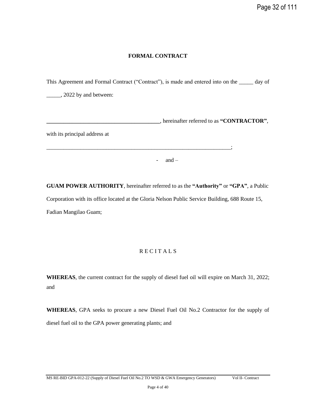## **FORMAL CONTRACT**

This Agreement and Formal Contract ("Contract"), is made and entered into on the \_\_\_\_\_ day of

\_\_\_\_\_, 2022 by and between:

**\_\_\_\_\_\_\_\_\_\_\_\_\_\_\_\_\_\_\_\_\_\_\_\_\_\_\_\_\_\_\_\_\_\_\_\_\_\_\_\_**, hereinafter referred to as **"CONTRACTOR"**,

with its principal address at

\_\_\_\_\_\_\_\_\_\_\_\_\_\_\_\_\_\_\_\_\_\_\_\_\_\_\_\_\_\_\_\_\_\_\_\_\_\_\_\_\_\_\_\_\_\_\_\_\_\_\_\_\_\_\_\_\_\_\_\_\_\_\_\_\_;

- and  $-$ 

**GUAM POWER AUTHORITY**, hereinafter referred to as the **"Authority"** or **"GPA"**, a Public Corporation with its office located at the Gloria Nelson Public Service Building, 688 Route 15, Fadian Mangilao Guam;

## R E C I T A L S

**WHEREAS**, the current contract for the supply of diesel fuel oil will expire on March 31, 2022; and

**WHEREAS**, GPA seeks to procure a new Diesel Fuel Oil No.2 Contractor for the supply of diesel fuel oil to the GPA power generating plants; and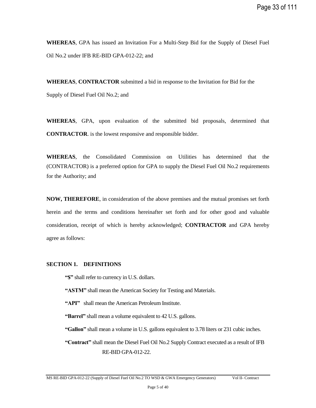**WHEREAS**, GPA has issued an Invitation For a Multi-Step Bid for the Supply of Diesel Fuel Oil No.2 under IFB RE-BID GPA-012-22; and

**WHEREAS**, **CONTRACTOR** submitted a bid in response to the Invitation for Bid for the Supply of Diesel Fuel Oil No.2; and

**WHEREAS**, GPA, upon evaluation of the submitted bid proposals, determined that **CONTRACTOR**. is the lowest responsive and responsible bidder.

**WHEREAS**, the Consolidated Commission on Utilities has determined that the (CONTRACTOR) is a preferred option for GPA to supply the Diesel Fuel Oil No.2 requirements for the Authority; and

**NOW, THEREFORE**, in consideration of the above premises and the mutual promises set forth herein and the terms and conditions hereinafter set forth and for other good and valuable consideration, receipt of which is hereby acknowledged; **CONTRACTOR** and GPA hereby agree as follows:

## <span id="page-32-0"></span>**SECTION 1. DEFINITIONS**

**"\$"** shall refer to currency in U.S. dollars.

**"ASTM"** shall mean the American Society for Testing and Materials.

**"API"** shall mean the American Petroleum Institute.

**"Barrel"** shall mean a volume equivalent to 42 U.S. gallons.

**"Gallon"** shall mean a volume in U.S. gallons equivalent to 3.78 liters or 231 cubic inches.

**"Contract"** shall mean the Diesel Fuel Oil No.2 Supply Contract executed as a result of IFB RE-BID GPA-012-22.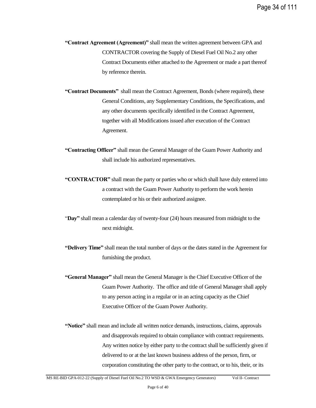- **"Contract Agreement (Agreement)"** shall mean the written agreement between GPA and CONTRACTOR covering the Supply of Diesel Fuel Oil No.2 any other Contract Documents either attached to the Agreement or made a part thereof by reference therein.
- **"Contract Documents"** shall mean the Contract Agreement, Bonds (where required), these General Conditions, any Supplementary Conditions, the Specifications, and any other documents specifically identified in the Contract Agreement, together with all Modifications issued after execution of the Contract Agreement.
- **"Contracting Officer"** shall mean the General Manager of the Guam Power Authority and shall include his authorized representatives.
- **"CONTRACTOR"** shall mean the party or parties who or which shall have duly entered into a contract with the Guam Power Authority to perform the work herein contemplated or his or their authorized assignee.
- "**Day"** shall mean a calendar day of twenty-four (24) hours measured from midnight to the next midnight.
- **"Delivery Time"** shall mean the total number of days or the dates stated in the Agreement for furnishing the product.
- **"General Manager"** shall mean the General Manager is the Chief Executive Officer of the Guam Power Authority. The office and title of General Manager shall apply to any person acting in a regular or in an acting capacity as the Chief Executive Officer of the Guam Power Authority.
- **"Notice"** shall mean and include all written notice demands, instructions, claims, approvals and disapprovals required to obtain compliance with contract requirements. Any written notice by either party to the contract shall be sufficiently given if delivered to or at the last known business address of the person, firm, or corporation constituting the other party to the contract, or to his, their, or its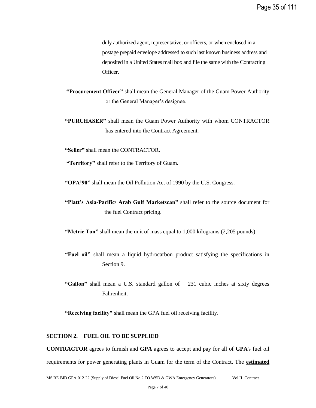duly authorized agent, representative, or officers, or when enclosed in a postage prepaid envelope addressed to such last known business address and deposited in a United States mail box and file the same with the Contracting Officer.

**"Procurement Officer"** shall mean the General Manager of the Guam Power Authority or the General Manager's designee.

**"PURCHASER"** shall mean the Guam Power Authority with whom CONTRACTOR has entered into the Contract Agreement.

**"Seller"** shall mean the CONTRACTOR.

**"Territory"** shall refer to the Territory of Guam.

**"OPA'90"** shall mean the Oil Pollution Act of 1990 by the U.S. Congress.

**"Platt's Asia-Pacific/ Arab Gulf Marketscan"** shall refer to the source document for the fuel Contract pricing.

**"Metric Ton"** shall mean the unit of mass equal to 1,000 kilograms (2,205 pounds)

- **"Fuel oil"** shall mean a liquid hydrocarbon product satisfying the specifications in Section 9.
- **"Gallon"** shall mean a U.S. standard gallon of 231 cubic inches at sixty degrees Fahrenheit.

**"Receiving facility"** shall mean the GPA fuel oil receiving facility.

## <span id="page-34-0"></span>**SECTION 2. FUEL OIL TO BE SUPPLIED**

**CONTRACTOR** agrees to furnish and **GPA** agrees to accept and pay for all of **GPA**'s fuel oil requirements for power generating plants in Guam for the term of the Contract. The **estimated**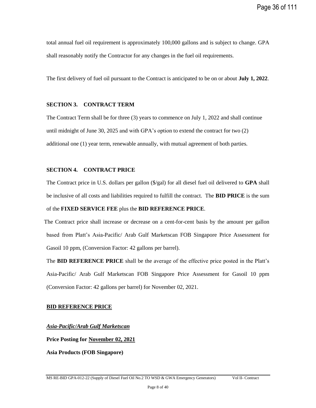total annual fuel oil requirement is approximately 100,000 gallons and is subject to change. GPA shall reasonably notify the Contractor for any changes in the fuel oil requirements.

The first delivery of fuel oil pursuant to the Contract is anticipated to be on or about **July 1, 2022**.

## <span id="page-35-0"></span>**SECTION 3. CONTRACT TERM**

The Contract Term shall be for three (3) years to commence on July 1, 2022 and shall continue until midnight of June 30, 2025 and with GPA's option to extend the contract for two (2) additional one (1) year term, renewable annually, with mutual agreement of both parties.

## <span id="page-35-1"></span>**SECTION 4. CONTRACT PRICE**

The Contract price in U.S. dollars per gallon (\$/gal) for all diesel fuel oil delivered to **GPA** shall be inclusive of all costs and liabilities required to fulfill the contract. The **BID PRICE** is the sum of the **FIXED SERVICE FEE** plus the **BID REFERENCE PRICE**.

The Contract price shall increase or decrease on a cent-for-cent basis by the amount per gallon based from Platt's Asia-Pacific/ Arab Gulf Marketscan FOB Singapore Price Assessment for Gasoil 10 ppm, (Conversion Factor: 42 gallons per barrel).

The **BID REFERENCE PRICE** shall be the average of the effective price posted in the Platt's Asia-Pacific/ Arab Gulf Marketscan FOB Singapore Price Assessment for Gasoil 10 ppm (Conversion Factor: 42 gallons per barrel) for November 02, 2021.

## **BID REFERENCE PRICE**

## *Asia-Pacific/Arab Gulf Marketscan*

**Price Posting for November 02, 2021**

**Asia Products (FOB Singapore)**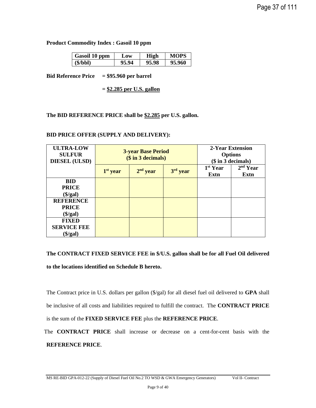**Product Commodity Index : Gasoil 10 ppm**

| Gasoil 10 ppm | Low   | High  | MOPS   |
|---------------|-------|-------|--------|
| (S/bbl)       | 95.94 | 95.98 | 95.960 |

**Bid Reference Price = \$95.960 per barrel**

**= \$2.285 per U.S. gallon**

# **The BID REFERENCE PRICE shall be \$2.285 per U.S. gallon.**

#### **BID PRICE OFFER (SUPPLY AND DELIVERY):**

| <b>ULTRA-LOW</b><br><b>SULFUR</b><br><b>DIESEL (ULSD)</b> |            | <b>3-year Base Period</b><br>$($$ in $3$ decimals) | 2-Year Extension<br><b>Options</b> | $($$ in 3 decimals)          |                              |
|-----------------------------------------------------------|------------|----------------------------------------------------|------------------------------------|------------------------------|------------------------------|
|                                                           | $1st$ year | $2nd$ year                                         | 3rd year                           | 1 <sup>st</sup> Year<br>Extn | 2 <sup>nd</sup> Year<br>Extn |
| <b>BID</b>                                                |            |                                                    |                                    |                              |                              |
| <b>PRICE</b>                                              |            |                                                    |                                    |                              |                              |
| $(\frac{1}{2})$                                           |            |                                                    |                                    |                              |                              |
| <b>REFERENCE</b>                                          |            |                                                    |                                    |                              |                              |
| <b>PRICE</b>                                              |            |                                                    |                                    |                              |                              |
| $(\$/gal)$                                                |            |                                                    |                                    |                              |                              |
| <b>FIXED</b>                                              |            |                                                    |                                    |                              |                              |
| <b>SERVICE FEE</b>                                        |            |                                                    |                                    |                              |                              |
| $(\$/gal)$                                                |            |                                                    |                                    |                              |                              |

# **The CONTRACT FIXED SERVICE FEE in \$/U.S. gallon shall be for all Fuel Oil delivered to the locations identified on Schedule B hereto.**

The Contract price in U.S. dollars per gallon (\$/gal) for all diesel fuel oil delivered to **GPA** shall be inclusive of all costs and liabilities required to fulfill the contract. The **CONTRACT PRICE** is the sum of the **FIXED SERVICE FEE** plus the **REFERENCE PRICE**.

The **CONTRACT PRICE** shall increase or decrease on a cent-for-cent basis with the **REFERENCE PRICE**.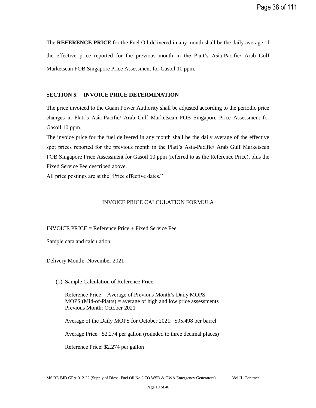The **REFERENCE PRICE** for the Fuel Oil delivered in any month shall be the daily average of the effective price reported for the previous month in the Platt's Asia-Pacific/ Arab Gulf Marketscan FOB Singapore Price Assessment for Gasoil 10 ppm.

# **SECTION 5. INVOICE PRICE DETERMINATION**

The price invoiced to the Guam Power Authority shall be adjusted according to the periodic price changes in Platt's Asia-Pacific/ Arab Gulf Marketscan FOB Singapore Price Assessment for Gasoil 10 ppm.

The invoice price for the fuel delivered in any month shall be the daily average of the effective spot prices reported for the previous month in the Platt's Asia-Pacific/ Arab Gulf Marketscan FOB Singapore Price Assessment for Gasoil 10 ppm (referred to as the Reference Price), plus the Fixed Service Fee described above.

All price postings are at the "Price effective dates."

# INVOICE PRICE CALCULATION FORMULA

# INVOICE PRICE = Reference Price  $+$  Fixed Service Fee

Sample data and calculation:

Delivery Month: November 2021

(1) Sample Calculation of Reference Price:

Reference Price = Average of Previous Month's Daily MOPS MOPS (Mid-of-Platts) = average of high and low price assessments Previous Month: October 2021

Average of the Daily MOPS for October 2021: \$95.498 per barrel

Average Price: \$2.274 per gallon (rounded to three decimal places)

Reference Price: \$2.274 per gallon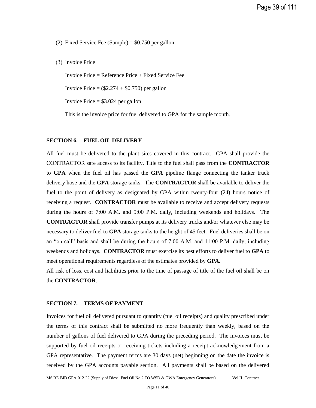(2) Fixed Service Fee (Sample) =  $$0.750$  per gallon

(3) Invoice Price

Invoice Price = Reference Price + Fixed Service Fee

Invoice Price  $=$   $(\$2.274 + \$0.750)$  per gallon

Invoice Price  $= $3.024$  per gallon

This is the invoice price for fuel delivered to GPA for the sample month.

# **SECTION 6. FUEL OIL DELIVERY**

All fuel must be delivered to the plant sites covered in this contract. GPA shall provide the CONTRACTOR safe access to its facility. Title to the fuel shall pass from the **CONTRACTOR** to **GPA** when the fuel oil has passed the **GPA** pipeline flange connecting the tanker truck delivery hose and the **GPA** storage tanks. The **CONTRACTOR** shall be available to deliver the fuel to the point of delivery as designated by GPA within twenty-four (24) hours notice of receiving a request. **CONTRACTOR** must be available to receive and accept delivery requests during the hours of 7:00 A.M. and 5:00 P.M. daily, including weekends and holidays. The **CONTRACTOR** shall provide transfer pumps at its delivery trucks and/or whatever else may be necessary to deliver fuel to **GPA** storage tanks to the height of 45 feet. Fuel deliveries shall be on an "on call" basis and shall be during the hours of 7:00 A.M. and 11:00 P.M. daily, including weekends and holidays. **CONTRACTOR** must exercise its best efforts to deliver fuel to **GPA** to meet operational requirements regardless of the estimates provided by **GPA.**

All risk of loss, cost and liabilities prior to the time of passage of title of the fuel oil shall be on the **CONTRACTOR**.

# **SECTION 7. TERMS OF PAYMENT**

Invoices for fuel oil delivered pursuant to quantity (fuel oil receipts) and quality prescribed under the terms of this contract shall be submitted no more frequently than weekly, based on the number of gallons of fuel delivered to GPA during the preceding period. The invoices must be supported by fuel oil receipts or receiving tickets including a receipt acknowledgement from a GPA representative. The payment terms are 30 days (net) beginning on the date the invoice is received by the GPA accounts payable section. All payments shall be based on the delivered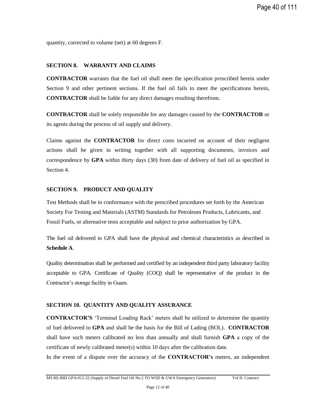quantity, corrected to volume (net) at 60 degrees F.

#### **SECTION 8. WARRANTY AND CLAIMS**

**CONTRACTOR** warrants that the fuel oil shall meet the specification prescribed herein under Section 9 and other pertinent sections. If the fuel oil fails to meet the specifications herein, **CONTRACTOR** shall be liable for any direct damages resulting therefrom.

**CONTRACTOR** shall be solely responsible for any damages caused by the **CONTRACTOR** or its agents during the process of oil supply and delivery.

Claims against the **CONTRACTOR** for direct costs incurred on account of their negligent actions shall be given in writing together with all supporting documents, invoices and correspondence by **GPA** within thirty days (30) from date of delivery of fuel oil as specified in Section 4.

#### **SECTION 9. PRODUCT AND QUALITY**

Test Methods shall be in conformance with the prescribed procedures set forth by the American Society For Testing and Materials (ASTM) Standards for Petroleum Products, Lubricants, and Fossil Fuels, or alternative tests acceptable and subject to prior authorization by GPA.

The fuel oil delivered to GPA shall have the physical and chemical characteristics as described in **Schedule A**.

Quality determination shall be performed and certified by an independent third party laboratory facility acceptable to GPA. Certificate of Quality (COQ) shall be representative of the product in the Contractor's storage facility in Guam.

#### **SECTION 10. QUANTITY AND QUALITY ASSURANCE**

**CONTRACTOR'S** 'Terminal Loading Rack' meters shall be utilized to determine the quantity of fuel delivered to **GPA** and shall be the basis for the Bill of Lading (BOL). **CONTRACTOR** shall have such meters calibrated no less than annually and shall furnish **GPA** a copy of the certificate of newly calibrated meter(s) within 10 days after the calibration date.

In the event of a dispute over the accuracy of the **CONTRACTOR's** meters, an independent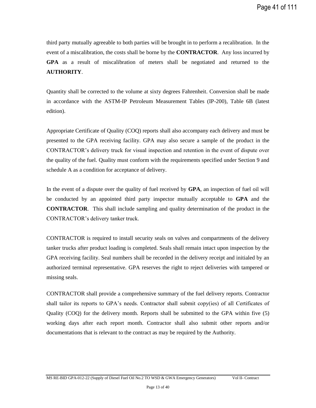third party mutually agreeable to both parties will be brought in to perform a recalibration. In the event of a miscalibration, the costs shall be borne by the **CONTRACTOR**. Any loss incurred by **GPA** as a result of miscalibration of meters shall be negotiated and returned to the **AUTHORITY**.

Quantity shall be corrected to the volume at sixty degrees Fahrenheit. Conversion shall be made in accordance with the ASTM-IP Petroleum Measurement Tables (IP-200), Table 6B (latest edition).

Appropriate Certificate of Quality (COQ) reports shall also accompany each delivery and must be presented to the GPA receiving facility. GPA may also secure a sample of the product in the CONTRACTOR's delivery truck for visual inspection and retention in the event of dispute over the quality of the fuel. Quality must conform with the requirements specified under Section 9 and schedule A as a condition for acceptance of delivery.

In the event of a dispute over the quality of fuel received by **GPA**, an inspection of fuel oil will be conducted by an appointed third party inspector mutually acceptable to **GPA** and the **CONTRACTOR**. This shall include sampling and quality determination of the product in the CONTRACTOR's delivery tanker truck.

CONTRACTOR is required to install security seals on valves and compartments of the delivery tanker trucks after product loading is completed. Seals shall remain intact upon inspection by the GPA receiving facility. Seal numbers shall be recorded in the delivery receipt and initialed by an authorized terminal representative. GPA reserves the right to reject deliveries with tampered or missing seals.

CONTRACTOR shall provide a comprehensive summary of the fuel delivery reports. Contractor shall tailor its reports to GPA's needs. Contractor shall submit copy(ies) of all Certificates of Quality (COQ) for the delivery month. Reports shall be submitted to the GPA within five (5) working days after each report month. Contractor shall also submit other reports and/or documentations that is relevant to the contract as may be required by the Authority.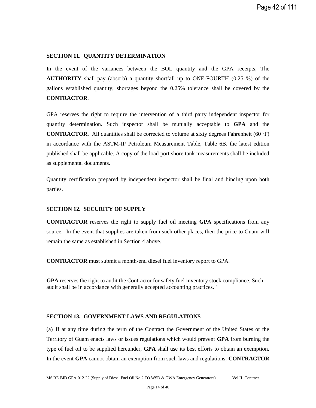#### **SECTION 11. QUANTITY DETERMINATION**

In the event of the variances between the BOL quantity and the GPA receipts, The **AUTHORITY** shall pay (absorb) a quantity shortfall up to ONE-FOURTH (0.25 %) of the gallons established quantity; shortages beyond the 0.25% tolerance shall be covered by the **CONTRACTOR**.

GPA reserves the right to require the intervention of a third party independent inspector for quantity determination. Such inspector shall be mutually acceptable to **GPA** and the **CONTRACTOR.** All quantities shall be corrected to volume at sixty degrees Fahrenheit (60 $\textdegree$ F) in accordance with the ASTM-IP Petroleum Measurement Table, Table 6B, the latest edition published shall be applicable. A copy of the load port shore tank measurements shall be included as supplemental documents.

Quantity certification prepared by independent inspector shall be final and binding upon both parties.

#### **SECTION 12. SECURITY OF SUPPLY**

**CONTRACTOR** reserves the right to supply fuel oil meeting **GPA** specifications from any source. In the event that supplies are taken from such other places, then the price to Guam will remain the same as established in Section 4 above.

**CONTRACTOR** must submit a month-end diesel fuel inventory report to GPA.

**GPA** reserves the right to audit the Contractor for safety fuel inventory stock compliance. Such audit shall be in accordance with generally accepted accounting practices. "

# **SECTION 13. GOVERNMENT LAWS AND REGULATIONS**

(a) If at any time during the term of the Contract the Government of the United States or the Territory of Guam enacts laws or issues regulations which would prevent **GPA** from burning the type of fuel oil to be supplied hereunder, **GPA** shall use its best efforts to obtain an exemption. In the event **GPA** cannot obtain an exemption from such laws and regulations, **CONTRACTOR**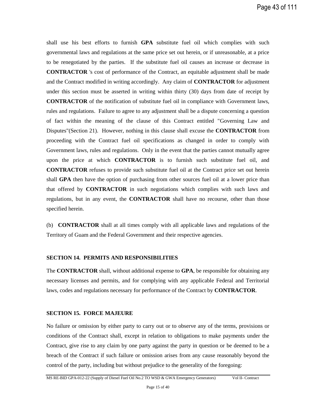shall use his best efforts to furnish **GPA** substitute fuel oil which complies with such governmental laws and regulations at the same price set out herein, or if unreasonable, at a price to be renegotiated by the parties. If the substitute fuel oil causes an increase or decrease in **CONTRACTOR** 's cost of performance of the Contract, an equitable adjustment shall be made and the Contract modified in writing accordingly. Any claim of **CONTRACTOR** for adjustment under this section must be asserted in writing within thirty (30) days from date of receipt by **CONTRACTOR** of the notification of substitute fuel oil in compliance with Government laws, rules and regulations. Failure to agree to any adjustment shall be a dispute concerning a question of fact within the meaning of the clause of this Contract entitled "Governing Law and Disputes"(Section 21). However, nothing in this clause shall excuse the **CONTRACTOR** from proceeding with the Contract fuel oil specifications as changed in order to comply with Government laws, rules and regulations. Only in the event that the parties cannot mutually agree upon the price at which **CONTRACTOR** is to furnish such substitute fuel oil, and **CONTRACTOR** refuses to provide such substitute fuel oil at the Contract price set out herein shall **GPA** then have the option of purchasing from other sources fuel oil at a lower price than that offered by **CONTRACTOR** in such negotiations which complies with such laws and regulations, but in any event, the **CONTRACTOR** shall have no recourse, other than those specified herein.

(b) **CONTRACTOR** shall at all times comply with all applicable laws and regulations of the Territory of Guam and the Federal Government and their respective agencies.

# **SECTION 14. PERMITS AND RESPONSIBILITIES**

The **CONTRACTOR** shall, without additional expense to **GPA**, be responsible for obtaining any necessary licenses and permits, and for complying with any applicable Federal and Territorial laws, codes and regulations necessary for performance of the Contract by **CONTRACTOR**.

# **SECTION 15. FORCE MAJEURE**

No failure or omission by either party to carry out or to observe any of the terms, provisions or conditions of the Contract shall, except in relation to obligations to make payments under the Contract, give rise to any claim by one party against the party in question or be deemed to be a breach of the Contract if such failure or omission arises from any cause reasonably beyond the control of the party, including but without prejudice to the generality of the foregoing: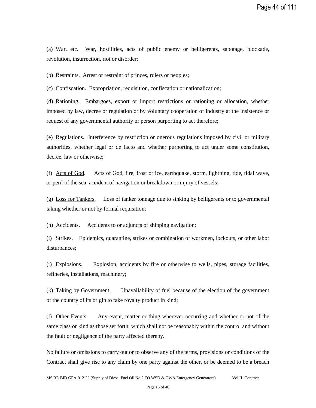(a) War, etc. War, hostilities, acts of public enemy or belligerents, sabotage, blockade, revolution, insurrection, riot or disorder;

(b) Restraints. Arrest or restraint of princes, rulers or peoples;

(c) Confiscation. Expropriation, requisition, confiscation or nationalization;

(d) Rationing. Embargoes, export or import restrictions or rationing or allocation, whether imposed by law, decree or regulation or by voluntary cooperation of industry at the insistence or request of any governmental authority or person purporting to act therefore;

(e) Regulations. Interference by restriction or onerous regulations imposed by civil or military authorities, whether legal or de facto and whether purporting to act under some constitution, decree, law or otherwise;

(f) Acts of God. Acts of God, fire, frost or ice, earthquake, storm, lightning, tide, tidal wave, or peril of the sea, accident of navigation or breakdown or injury of vessels;

(g) Loss for Tankers. Loss of tanker tonnage due to sinking by belligerents or to governmental taking whether or not by formal requisition;

(h) Accidents. Accidents to or adjuncts of shipping navigation;

(i) Strikes. Epidemics, quarantine, strikes or combination of workmen, lockouts, or other labor disturbances;

(j) Explosions. Explosion, accidents by fire or otherwise to wells, pipes, storage facilities, refineries, installations, machinery;

(k) Taking by Government. Unavailability of fuel because of the election of the government of the country of its origin to take royalty product in kind;

(l) Other Events. Any event, matter or thing wherever occurring and whether or not of the same class or kind as those set forth, which shall not be reasonably within the control and without the fault or negligence of the party affected thereby.

No failure or omissions to carry out or to observe any of the terms, provisions or conditions of the Contract shall give rise to any claim by one party against the other, or be deemed to be a breach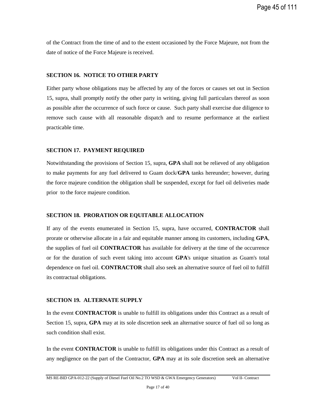of the Contract from the time of and to the extent occasioned by the Force Majeure, not from the date of notice of the Force Majeure is received.

#### **SECTION 16. NOTICE TO OTHER PARTY**

Either party whose obligations may be affected by any of the forces or causes set out in Section 15, supra, shall promptly notify the other party in writing, giving full particulars thereof as soon as possible after the occurrence of such force or cause. Such party shall exercise due diligence to remove such cause with all reasonable dispatch and to resume performance at the earliest practicable time.

#### **SECTION 17. PAYMENT REQUIRED**

Notwithstanding the provisions of Section 15, supra, **GPA** shall not be relieved of any obligation to make payments for any fuel delivered to Guam dock/**GPA** tanks hereunder; however, during the force majeure condition the obligation shall be suspended, except for fuel oil deliveries made prior to the force majeure condition.

# **SECTION 18. PRORATION OR EQUITABLE ALLOCATION**

If any of the events enumerated in Section 15, supra, have occurred, **CONTRACTOR** shall prorate or otherwise allocate in a fair and equitable manner among its customers, including **GPA**, the supplies of fuel oil **CONTRACTOR** has available for delivery at the time of the occurrence or for the duration of such event taking into account **GPA**'s unique situation as Guam's total dependence on fuel oil. **CONTRACTOR** shall also seek an alternative source of fuel oil to fulfill its contractual obligations.

#### **SECTION 19. ALTERNATE SUPPLY**

In the event **CONTRACTOR** is unable to fulfill its obligations under this Contract as a result of Section 15, supra, **GPA** may at its sole discretion seek an alternative source of fuel oil so long as such condition shall exist.

In the event **CONTRACTOR** is unable to fulfill its obligations under this Contract as a result of any negligence on the part of the Contractor, **GPA** may at its sole discretion seek an alternative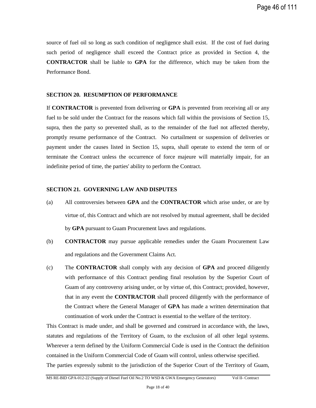source of fuel oil so long as such condition of negligence shall exist. If the cost of fuel during such period of negligence shall exceed the Contract price as provided in Section 4, the **CONTRACTOR** shall be liable to **GPA** for the difference, which may be taken from the Performance Bond.

#### **SECTION 20. RESUMPTION OF PERFORMANCE**

If **CONTRACTOR** is prevented from delivering or **GPA** is prevented from receiving all or any fuel to be sold under the Contract for the reasons which fall within the provisions of Section 15, supra, then the party so prevented shall, as to the remainder of the fuel not affected thereby, promptly resume performance of the Contract. No curtailment or suspension of deliveries or payment under the causes listed in Section 15, supra, shall operate to extend the term of or terminate the Contract unless the occurrence of force majeure will materially impair, for an indefinite period of time, the parties' ability to perform the Contract.

#### **SECTION 21. GOVERNING LAW AND DISPUTES**

- (a) All controversies between **GPA** and the **CONTRACTOR** which arise under, or are by virtue of, this Contract and which are not resolved by mutual agreement, shall be decided by **GPA** pursuant to Guam Procurement laws and regulations.
- (b) **CONTRACTOR** may pursue applicable remedies under the Guam Procurement Law and regulations and the Government Claims Act.
- (c) The **CONTRACTOR** shall comply with any decision of **GPA** and proceed diligently with performance of this Contract pending final resolution by the Superior Court of Guam of any controversy arising under, or by virtue of, this Contract; provided, however, that in any event the **CONTRACTOR** shall proceed diligently with the performance of the Contract where the General Manager of **GPA** has made a written determination that continuation of work under the Contract is essential to the welfare of the territory.

This Contract is made under, and shall be governed and construed in accordance with, the laws, statutes and regulations of the Territory of Guam, to the exclusion of all other legal systems. Wherever a term defined by the Uniform Commercial Code is used in the Contract the definition contained in the Uniform Commercial Code of Guam will control, unless otherwise specified. The parties expressly submit to the jurisdiction of the Superior Court of the Territory of Guam,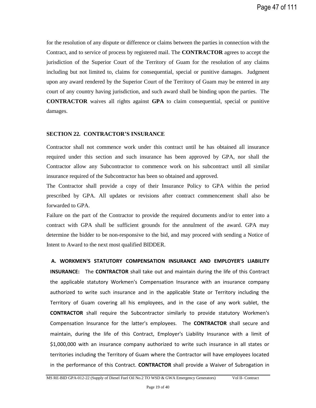for the resolution of any dispute or difference or claims between the parties in connection with the Contract, and to service of process by registered mail. The **CONTRACTOR** agrees to accept the jurisdiction of the Superior Court of the Territory of Guam for the resolution of any claims including but not limited to, claims for consequential, special or punitive damages. Judgment upon any award rendered by the Superior Court of the Territory of Guam may be entered in any court of any country having jurisdiction, and such award shall be binding upon the parties. The **CONTRACTOR** waives all rights against **GPA** to claim consequential, special or punitive damages.

#### **SECTION 22. CONTRACTOR'S INSURANCE**

Contractor shall not commence work under this contract until he has obtained all insurance required under this section and such insurance has been approved by GPA, nor shall the Contractor allow any Subcontractor to commence work on his subcontract until all similar insurance required of the Subcontractor has been so obtained and approved.

The Contractor shall provide a copy of their Insurance Policy to GPA within the period prescribed by GPA. All updates or revisions after contract commencement shall also be forwarded to GPA.

Failure on the part of the Contractor to provide the required documents and/or to enter into a contract with GPA shall be sufficient grounds for the annulment of the award. GPA may determine the bidder to be non-responsive to the bid, and may proceed with sending a Notice of Intent to Award to the next most qualified BIDDER.

#### **A. WORKMEN'S STATUTORY COMPENSATION INSURANCE AND EMPLOYER'S LIABILITY**

**INSURANCE:** The **CONTRACTOR** shall take out and maintain during the life of this Contract the applicable statutory Workmen's Compensation Insurance with an insurance company authorized to write such insurance and in the applicable State or Territory including the Territory of Guam covering all his employees, and in the case of any work sublet, the **CONTRACTOR** shall require the Subcontractor similarly to provide statutory Workmen's Compensation Insurance for the latter's employees. The **CONTRACTOR** shall secure and maintain, during the life of this Contract, Employer's Liability Insurance with a limit of \$1,000,000 with an insurance company authorized to write such insurance in all states or territories including the Territory of Guam where the Contractor will have employees located in the performance of this Contract. **CONTRACTOR** shall provide a Waiver of Subrogation in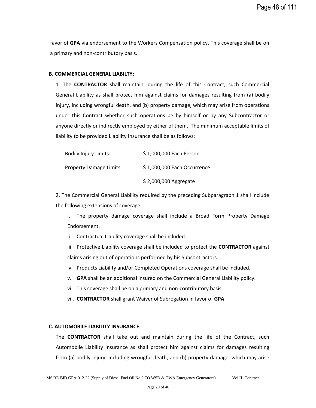favor of **GPA** via endorsement to the Workers Compensation policy. This coverage shall be on a primary and non-contributory basis.

#### **B. COMMERCIAL GENERAL LIABILTY:**

1. The **CONTRACTOR** shall maintain, during the life of this Contract, such Commercial General Liability as shall protect him against claims for damages resulting from (a) bodily injury, including wrongful death, and (b) property damage, which may arise from operations under this Contract whether such operations be by himself or by any Subcontractor or anyone directly or indirectly employed by either of them. The minimum acceptable limits of liability to be provided Liability Insurance shall be as follows:

| <b>Bodily Injury Limits:</b>   | \$1,000,000 Each Person     |
|--------------------------------|-----------------------------|
| <b>Property Damage Limits:</b> | \$1,000,000 Each Occurrence |
|                                | \$2,000,000 Aggregate       |

2. The Commercial General Liability required by the preceding Subparagraph 1 shall include the following extensions of coverage:

i. The property damage coverage shall include a Broad Form Property Damage Endorsement.

ii. Contractual Liability coverage shall be included.

iii. Protective Liability coverage shall be included to protect the **CONTRACTOR** against claims arising out of operations performed by his Subcontractors.

- iv. Products Liability and/or Completed Operations coverage shall be included.
- v. **GPA** shall be an additional insured on the Commercial General Liability policy.
- vi. This coverage shall be on a primary and non-contributory basis.
- vii. **CONTRACTOR** shall grant Waiver of Subrogation in favor of **GPA**.

#### **C. AUTOMOBILE LIABILITY INSURANCE:**

The **CONTRACTOR** shall take out and maintain during the life of the Contract, such Automobile Liability insurance as shall protect him against claims for damages resulting from (a) bodily injury, including wrongful death, and (b) property damage, which may arise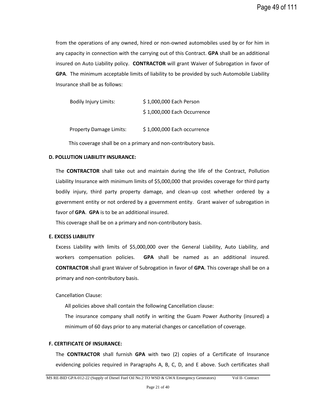from the operations of any owned, hired or non-owned automobiles used by or for him in any capacity in connection with the carrying out of this Contract. **GPA** shall be an additional insured on Auto Liability policy. **CONTRACTOR** will grant Waiver of Subrogation in favor of **GPA**. The minimum acceptable limits of liability to be provided by such Automobile Liability Insurance shall be as follows:

| <b>Bodily Injury Limits:</b>   | \$1,000,000 Each Person     |
|--------------------------------|-----------------------------|
|                                | \$1,000,000 Each Occurrence |
| <b>Property Damage Limits:</b> | \$1,000,000 Each occurrence |

This coverage shall be on a primary and non-contributory basis.

#### **D. POLLUTION LIABILITY INSURANCE:**

The **CONTRACTOR** shall take out and maintain during the life of the Contract, Pollution Liability Insurance with minimum limits of \$5,000,000 that provides coverage for third party bodily injury, third party property damage, and clean-up cost whether ordered by a government entity or not ordered by a government entity. Grant waiver of subrogation in favor of **GPA**. **GPA** is to be an additional insured.

This coverage shall be on a primary and non-contributory basis.

#### **E. EXCESS LIABILITY**

Excess Liability with limits of \$5,000,000 over the General Liability, Auto Liability, and workers compensation policies. **GPA** shall be named as an additional insured. **CONTRACTOR** shall grant Waiver of Subrogation in favor of **GPA**. This coverage shall be on a primary and non-contributory basis.

Cancellation Clause:

All policies above shall contain the following Cancellation clause:

The insurance company shall notify in writing the Guam Power Authority (insured) a minimum of 60 days prior to any material changes or cancellation of coverage.

#### **F. CERTIFICATE OF INSURANCE:**

The **CONTRACTOR** shall furnish **GPA** with two (2) copies of a Certificate of Insurance evidencing policies required in Paragraphs A, B, C, D, and E above. Such certificates shall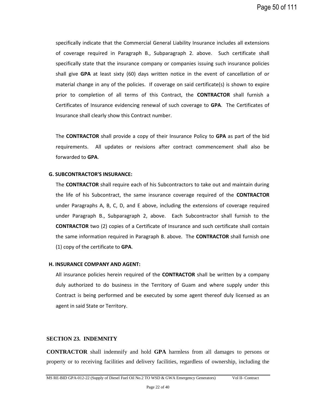specifically indicate that the Commercial General Liability Insurance includes all extensions of coverage required in Paragraph B., Subparagraph 2. above. Such certificate shall specifically state that the insurance company or companies issuing such insurance policies shall give **GPA** at least sixty (60) days written notice in the event of cancellation of or material change in any of the policies. If coverage on said certificate(s) is shown to expire prior to completion of all terms of this Contract, the **CONTRACTOR** shall furnish a Certificates of Insurance evidencing renewal of such coverage to **GPA**. The Certificates of Insurance shall clearly show this Contract number.

The **CONTRACTOR** shall provide a copy of their Insurance Policy to **GPA** as part of the bid requirements. All updates or revisions after contract commencement shall also be forwarded to **GPA**.

#### **G. SUBCONTRACTOR'S INSURANCE:**

The **CONTRACTOR** shall require each of his Subcontractors to take out and maintain during the life of his Subcontract, the same insurance coverage required of the **CONTRACTOR** under Paragraphs A, B, C, D, and E above, including the extensions of coverage required under Paragraph B., Subparagraph 2, above. Each Subcontractor shall furnish to the **CONTRACTOR** two (2) copies of a Certificate of Insurance and such certificate shall contain the same information required in Paragraph B. above. The **CONTRACTOR** shall furnish one (1) copy of the certificate to **GPA**.

#### **H. INSURANCE COMPANY AND AGENT:**

All insurance policies herein required of the **CONTRACTOR** shall be written by a company duly authorized to do business in the Territory of Guam and where supply under this Contract is being performed and be executed by some agent thereof duly licensed as an agent in said State or Territory.

#### **SECTION 23. INDEMNITY**

**CONTRACTOR** shall indemnify and hold **GPA** harmless from all damages to persons or property or to receiving facilities and delivery facilities, regardless of ownership, including the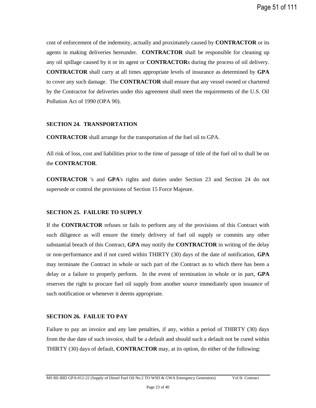cost of enforcement of the indemnity, actually and proximately caused by **CONTRACTOR** or its agents in making deliveries hereunder. **CONTRACTOR** shall be responsible for cleaning up any oil spillage caused by it or its agent or **CONTRACTOR**s during the process of oil delivery. **CONTRACTOR** shall carry at all times appropriate levels of insurance as determined by **GPA** to cover any such damage. The **CONTRACTOR** shall ensure that any vessel owned or chartered by the Contractor for deliveries under this agreement shall meet the requirements of the U.S. Oil Pollution Act of 1990 (OPA 90).

#### **SECTION 24. TRANSPORTATION**

**CONTRACTOR** shall arrange for the transportation of the fuel oil to GPA.

All risk of loss, cost and liabilities prior to the time of passage of title of the fuel oil to shall be on the **CONTRACTOR**.

**CONTRACTOR** 's and **GPA**'s rights and duties under Section 23 and Section 24 do not supersede or control the provisions of Section 15 Force Majeure.

# **SECTION 25. FAILURE TO SUPPLY**

If the **CONTRACTOR** refuses or fails to perform any of the provisions of this Contract with such diligence as will ensure the timely delivery of fuel oil supply or commits any other substantial breach of this Contract, **GPA** may notify the **CONTRACTOR** in writing of the delay or non-performance and if not cured within THIRTY (30) days of the date of notification, **GPA** may terminate the Contract in whole or such part of the Contract as to which there has been a delay or a failure to properly perform. In the event of termination in whole or in part, **GPA** reserves the right to procure fuel oil supply from another source immediately upon issuance of such notification or whenever it deems appropriate.

#### **SECTION 26. FAILUE TO PAY**

Failure to pay an invoice and any late penalties, if any, within a period of THIRTY (30) days from the due date of such invoice, shall be a default and should such a default not be cured within THIRTY (30) days of default, **CONTRACTOR** may, at its option, do either of the following: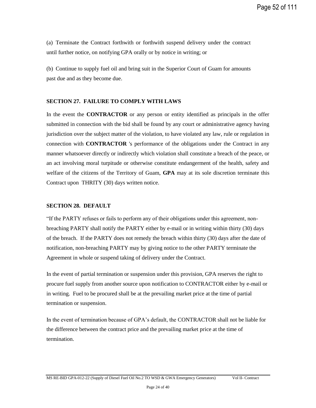(a) Terminate the Contract forthwith or forthwith suspend delivery under the contract until further notice, on notifying GPA orally or by notice in writing; or

(b) Continue to supply fuel oil and bring suit in the Superior Court of Guam for amounts past due and as they become due.

#### **SECTION 27. FAILURE TO COMPLY WITH LAWS**

In the event the **CONTRACTOR** or any person or entity identified as principals in the offer submitted in connection with the bid shall be found by any court or administrative agency having jurisdiction over the subject matter of the violation, to have violated any law, rule or regulation in connection with **CONTRACTOR** 's performance of the obligations under the Contract in any manner whatsoever directly or indirectly which violation shall constitute a breach of the peace, or an act involving moral turpitude or otherwise constitute endangerment of the health, safety and welfare of the citizens of the Territory of Guam, **GPA** may at its sole discretion terminate this Contract upon THRITY (30) days written notice.

#### **SECTION 28. DEFAULT**

"If the PARTY refuses or fails to perform any of their obligations under this agreement, nonbreaching PARTY shall notify the PARTY either by e-mail or in writing within thirty (30) days of the breach. If the PARTY does not remedy the breach within thirty (30) days after the date of notification, non-breaching PARTY may by giving notice to the other PARTY terminate the Agreement in whole or suspend taking of delivery under the Contract.

In the event of partial termination or suspension under this provision, GPA reserves the right to procure fuel supply from another source upon notification to CONTRACTOR either by e-mail or in writing. Fuel to be procured shall be at the prevailing market price at the time of partial termination or suspension.

In the event of termination because of GPA's default, the CONTRACTOR shall not be liable for the difference between the contract price and the prevailing market price at the time of termination.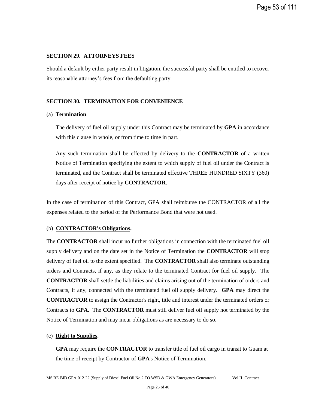## **SECTION 29. ATTORNEYS FEES**

Should a default by either party result in litigation, the successful party shall be entitled to recover its reasonable attorney's fees from the defaulting party.

#### **SECTION 30. TERMINATION FOR CONVENIENCE**

#### (a) **Termination**.

The delivery of fuel oil supply under this Contract may be terminated by **GPA** in accordance with this clause in whole, or from time to time in part.

Any such termination shall be effected by delivery to the **CONTRACTOR** of a written Notice of Termination specifying the extent to which supply of fuel oil under the Contract is terminated, and the Contract shall be terminated effective THREE HUNDRED SIXTY (360) days after receipt of notice by **CONTRACTOR**.

In the case of termination of this Contract, GPA shall reimburse the CONTRACTOR of all the expenses related to the period of the Performance Bond that were not used.

#### (b) **CONTRACTOR's Obligations.**

The **CONTRACTOR** shall incur no further obligations in connection with the terminated fuel oil supply delivery and on the date set in the Notice of Termination the **CONTRACTOR** will stop delivery of fuel oil to the extent specified. The **CONTRACTOR** shall also terminate outstanding orders and Contracts, if any, as they relate to the terminated Contract for fuel oil supply. The **CONTRACTOR** shall settle the liabilities and claims arising out of the termination of orders and Contracts, if any, connected with the terminated fuel oil supply delivery. **GPA** may direct the **CONTRACTOR** to assign the Contractor's right, title and interest under the terminated orders or Contracts to **GPA**. The **CONTRACTOR** must still deliver fuel oil supply not terminated by the Notice of Termination and may incur obligations as are necessary to do so.

#### (c) **Right to Supplies.**

**GPA** may require the **CONTRACTOR** to transfer title of fuel oil cargo in transit to Guam at the time of receipt by Contractor of **GPA**'s Notice of Termination.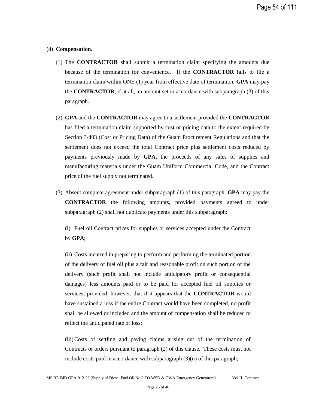#### (d) **Compensation.**

- (1) The **CONTRACTOR** shall submit a termination claim specifying the amounts due because of the termination for convenience. If the **CONTRACTOR** fails to file a termination claim within ONE (1) year from effective date of termination, **GPA** may pay the **CONTRACTOR**, if at all, an amount set in accordance with subparagraph (3) of this paragraph.
- (2) **GPA** and the **CONTRACTOR** may agree to a settlement provided the **CONTRACTOR** has filed a termination claim supported by cost or pricing data to the extent required by Section 3-403 (Cost or Pricing Data) of the Guam Procurement Regulations and that the settlement does not exceed the total Contract price plus settlement costs reduced by payments previously made by **GPA**, the proceeds of any sales of supplies and manufacturing materials under the Guam Uniform Commercial Code, and the Contract price of the fuel supply not terminated.
- (3) Absent complete agreement under subparagraph (1) of this paragraph, **GPA** may pay the **CONTRACTOR** the following amounts, provided payments agreed to under subparagraph (2) shall not duplicate payments under this subparagraph:

(i) Fuel oil Contract prices for supplies or services accepted under the Contract by **GPA**;

(ii) Costs incurred in preparing to perform and performing the terminated portion of the delivery of fuel oil plus a fair and reasonable profit on such portion of the delivery (such profit shall not include anticipatory profit or consequential damages) less amounts paid or to be paid for accepted fuel oil supplies or services; provided, however, that if it appears that the **CONTRACTOR** would have sustained a loss if the entire Contract would have been completed, no profit shall be allowed or included and the amount of compensation shall be reduced to reflect the anticipated rate of loss;

(iii)Costs of settling and paying claims arising out of the termination of Contracts or orders pursuant to paragraph (2) of this clause. These costs must not include costs paid in accordance with subparagraph (3)(ii) of this paragraph;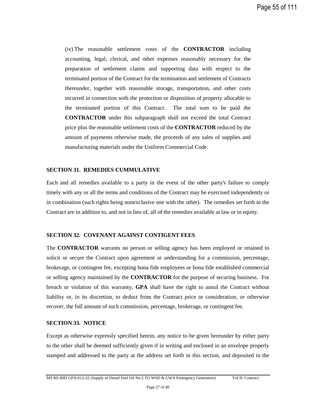(iv) The reasonable settlement costs of the **CONTRACTOR** including accounting, legal, clerical, and other expenses reasonably necessary for the preparation of settlement claims and supporting data with respect to the terminated portion of the Contract for the termination and settlement of Contracts thereunder, together with reasonable storage, transportation, and other costs incurred in connection with the protection or disposition of property allocable to the terminated portion of this Contract. The total sum to be paid the **CONTRACTOR** under this subparagraph shall not exceed the total Contract price plus the reasonable settlement costs of the **CONTRACTOR** reduced by the amount of payments otherwise made, the proceeds of any sales of supplies and manufacturing materials under the Uniform Commercial Code.

#### **SECTION 31. REMEDIES CUMMULATIVE**

Each and all remedies available to a party in the event of the other party's failure to comply timely with any or all the terms and conditions of the Contract may be exercised independently or in combination (such rights being nonexclusive one with the other). The remedies set forth in the Contract are in addition to, and not in lieu of, all of the remedies available at law or in equity.

#### **SECTION 32. COVENANT AGAINST CONTIGENT FEES**

The **CONTRACTOR** warrants no person or selling agency has been employed or retained to solicit or secure the Contract upon agreement or understanding for a commission, percentage, brokerage, or contingent fee, excepting bona fide employees or bona fide established commercial or selling agency maintained by the **CONTRACTOR** for the purpose of securing business. For breach or violation of this warranty, **GPA** shall have the right to annul the Contract without liability or, in its discretion, to deduct from the Contract price or consideration, or otherwise recover, the full amount of such commission, percentage, brokerage, or contingent fee.

#### **SECTION 33. NOTICE**

Except as otherwise expressly specified herein, any notice to be given hereunder by either party to the other shall be deemed sufficiently given if in writing and enclosed in an envelope properly stamped and addressed to the party at the address set forth in this section, and deposited in the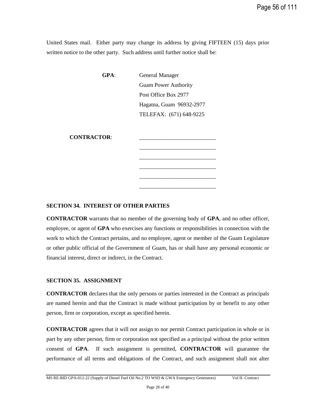United States mail. Either party may change its address by giving FIFTEEN (15) days prior written notice to the other party. Such address until further notice shall be:

> **GPA**: General Manager Guam Power Authority Post Office Box 2977 Hagatna, Guam 96932-2977 TELEFAX: (671) 648-9225

> > $\frac{1}{\sqrt{2}}$  ,  $\frac{1}{\sqrt{2}}$  ,  $\frac{1}{\sqrt{2}}$  ,  $\frac{1}{\sqrt{2}}$  ,  $\frac{1}{\sqrt{2}}$  ,  $\frac{1}{\sqrt{2}}$  ,  $\frac{1}{\sqrt{2}}$  ,  $\frac{1}{\sqrt{2}}$  ,  $\frac{1}{\sqrt{2}}$  ,  $\frac{1}{\sqrt{2}}$  ,  $\frac{1}{\sqrt{2}}$  ,  $\frac{1}{\sqrt{2}}$  ,  $\frac{1}{\sqrt{2}}$  ,  $\frac{1}{\sqrt{2}}$  ,  $\frac{1}{\sqrt{2}}$

\_\_\_\_\_\_\_\_\_\_\_\_\_\_\_\_\_\_\_\_\_\_\_\_\_\_\_ \_\_\_\_\_\_\_\_\_\_\_\_\_\_\_\_\_\_\_\_\_\_\_\_\_\_\_ \_\_\_\_\_\_\_\_\_\_\_\_\_\_\_\_\_\_\_\_\_\_\_\_\_\_\_ \_\_\_\_\_\_\_\_\_\_\_\_\_\_\_\_\_\_\_\_\_\_\_\_\_\_\_

**CONTRACTOR**: \_\_\_\_\_\_\_\_\_\_\_\_\_\_\_\_\_\_\_\_\_\_\_\_\_\_\_

#### **SECTION 34. INTEREST OF OTHER PARTIES**

**CONTRACTOR** warrants that no member of the governing body of **GPA**, and no other officer, employee, or agent of **GPA** who exercises any functions or responsibilities in connection with the work to which the Contract pertains, and no employee, agent or member of the Guam Legislature or other public official of the Government of Guam, has or shall have any personal economic or financial interest, direct or indirect, in the Contract.

#### **SECTION 35. ASSIGNMENT**

**CONTRACTOR** declares that the only persons or parties interested in the Contract as principals are named herein and that the Contract is made without participation by or benefit to any other person, firm or corporation, except as specified herein.

**CONTRACTOR** agrees that it will not assign to nor permit Contract participation in whole or in part by any other person, firm or corporation not specified as a principal without the prior written consent of **GPA**. If such assignment is permitted, **CONTRACTOR** will guarantee the performance of all terms and obligations of the Contract, and such assignment shall not alter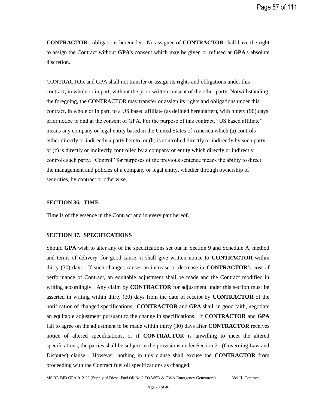**CONTRACTOR**'s obligations hereunder. No assignee of **CONTRACTOR** shall have the right to assign the Contract without **GPA**'s consent which may be given or refused at **GPA**'s absolute discretion.

CONTRACTOR and GPA shall not transfer or assign its rights and obligations under this contract, in whole or in part, without the prior written consent of the other party. Notwithstanding the foregoing, the CONTRACTOR may transfer or assign its rights and obligations under this contract, in whole or in part, to a US based affiliate (as defined hereinafter), with ninety (90) days prior notice to and at the consent of GPA. For the purpose of this contract, "US based affiliate" means any company or legal entity based in the United States of America which (a) controls either directly or indirectly a party hereto, or (b) is controlled directly or indirectly by such party, or (c) is directly or indirectly controlled by a company or entity which directly or indirectly controls such party. "Control" for purposes of the previous sentence means the ability to direct the management and policies of a company or legal entity, whether through ownership of securities, by contract or otherwise.

#### **SECTION 36. TIME**

Time is of the essence in the Contract and in every part hereof.

# **SECTION 37. SPECIFICATIONS**

Should **GPA** wish to alter any of the specifications set out in Section 9 and Schedule A, method and terms of delivery, for good cause, it shall give written notice to **CONTRACTOR** within thirty (30) days. If such changes causes an increase or decrease in **CONTRACTOR**'s cost of performance of Contract, an equitable adjustment shall be made and the Contract modified in writing accordingly. Any claim by **CONTRACTOR** for adjustment under this section must be asserted in writing within thirty (30) days from the date of receipt by **CONTRACTOR** of the notification of changed specifications. **CONTRACTOR** and **GPA** shall, in good faith, negotiate an equitable adjustment pursuant to the change in specifications. If **CONTRACTOR** and **GPA** fail to agree on the adjustment to be made within thirty (30) days after **CONTRACTOR** receives notice of altered specifications, or if **CONTRACTOR** is unwilling to meet the altered specifications, the parties shall be subject to the provisions under Section 21 (Governing Law and Disputes) clause. However, nothing in this clause shall excuse the **CONTRACTOR** from proceeding with the Contract fuel oil specifications as changed.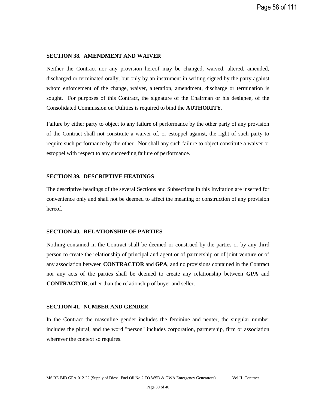#### **SECTION 38. AMENDMENT AND WAIVER**

Neither the Contract nor any provision hereof may be changed, waived, altered, amended, discharged or terminated orally, but only by an instrument in writing signed by the party against whom enforcement of the change, waiver, alteration, amendment, discharge or termination is sought. For purposes of this Contract, the signature of the Chairman or his designee, of the Consolidated Commission on Utilities is required to bind the **AUTHORITY**.

Failure by either party to object to any failure of performance by the other party of any provision of the Contract shall not constitute a waiver of, or estoppel against, the right of such party to require such performance by the other. Nor shall any such failure to object constitute a waiver or estoppel with respect to any succeeding failure of performance.

#### **SECTION 39. DESCRIPTIVE HEADINGS**

The descriptive headings of the several Sections and Subsections in this Invitation are inserted for convenience only and shall not be deemed to affect the meaning or construction of any provision hereof.

#### **SECTION 40. RELATIONSHIP OF PARTIES**

Nothing contained in the Contract shall be deemed or construed by the parties or by any third person to create the relationship of principal and agent or of partnership or of joint venture or of any association between **CONTRACTOR** and **GPA**, and no provisions contained in the Contract nor any acts of the parties shall be deemed to create any relationship between **GPA** and **CONTRACTOR**, other than the relationship of buyer and seller.

#### **SECTION 41. NUMBER AND GENDER**

In the Contract the masculine gender includes the feminine and neuter, the singular number includes the plural, and the word "person" includes corporation, partnership, firm or association wherever the context so requires.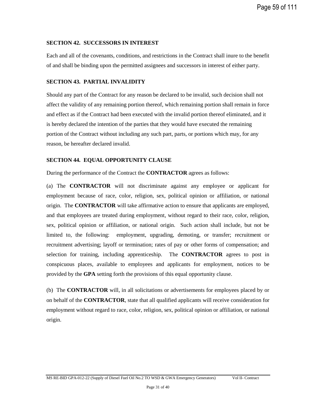#### **SECTION 42. SUCCESSORS IN INTEREST**

Each and all of the covenants, conditions, and restrictions in the Contract shall inure to the benefit of and shall be binding upon the permitted assignees and successors in interest of either party.

#### **SECTION 43. PARTIAL INVALIDITY**

Should any part of the Contract for any reason be declared to be invalid, such decision shall not affect the validity of any remaining portion thereof, which remaining portion shall remain in force and effect as if the Contract had been executed with the invalid portion thereof eliminated, and it is hereby declared the intention of the parties that they would have executed the remaining portion of the Contract without including any such part, parts, or portions which may, for any reason, be hereafter declared invalid.

#### **SECTION 44. EQUAL OPPORTUNITY CLAUSE**

During the performance of the Contract the **CONTRACTOR** agrees as follows:

(a) The **CONTRACTOR** will not discriminate against any employee or applicant for employment because of race, color, religion, sex, political opinion or affiliation, or national origin. The **CONTRACTOR** will take affirmative action to ensure that applicants are employed, and that employees are treated during employment, without regard to their race, color, religion, sex, political opinion or affiliation, or national origin. Such action shall include, but not be limited to, the following: employment, upgrading, demoting, or transfer; recruitment or recruitment advertising; layoff or termination; rates of pay or other forms of compensation; and selection for training, including apprenticeship. The **CONTRACTOR** agrees to post in conspicuous places, available to employees and applicants for employment, notices to be provided by the **GPA** setting forth the provisions of this equal opportunity clause.

(b) The **CONTRACTOR** will, in all solicitations or advertisements for employees placed by or on behalf of the **CONTRACTOR**, state that all qualified applicants will receive consideration for employment without regard to race, color, religion, sex, political opinion or affiliation, or national origin.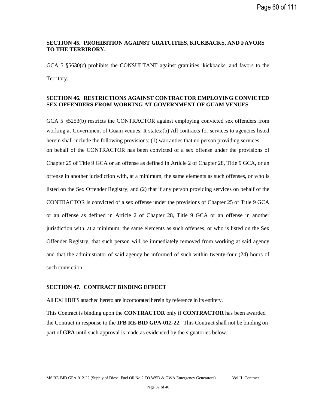Page 60 of 111

# **SECTION 45. PROHIBITION AGAINST GRATUITIES, KICKBACKS, AND FAVORS TO THE TERRIRORY.**

GCA 5 §5630(c) prohibits the CONSULTANT against gratuities, kickbacks, and favors to the Territory.

## **SECTION 46. RESTRICTIONS AGAINST CONTRACTOR EMPLOYING CONVICTED SEX OFFENDERS FROM WORKING AT GOVERNMENT OF GUAM VENUES**

GCA 5 §5253(b) restricts the CONTRACTOR against employing convicted sex offenders from working at Government of Guam venues. It states: (b) All contracts for services to agencies listed herein shall include the following provisions: (1) warranties that no person providing services on behalf of the CONTRACTOR has been convicted of a sex offense under the provisions of Chapter 25 of Title 9 GCA or an offense as defined in Article 2 of Chapter 28, Title 9 GCA, or an offense in another jurisdiction with, at a minimum, the same elements as such offenses, or who is listed on the Sex Offender Registry; and (2) that if any person providing services on behalf of the CONTRACTOR is convicted of a sex offense under the provisions of Chapter 25 of Title 9 GCA or an offense as defined in Article 2 of Chapter 28, Title 9 GCA or an offense in another jurisdiction with, at a minimum, the same elements as such offenses, or who is listed on the Sex Offender Registry, that such person will be immediately removed from working at said agency and that the administrator of said agency be informed of such within twenty-four (24) hours of such conviction.

#### **SECTION 47. CONTRACT BINDING EFFECT**

All EXHIBITS attached hereto are incorporated herein by reference in its entirety.

This Contract is binding upon the **CONTRACTOR** only if **CONTRACTOR** has been awarded the Contract in response to the **IFB RE-BID GPA-012-22**. This Contract shall not be binding on part of **GPA** until such approval is made as evidenced by the signatories below.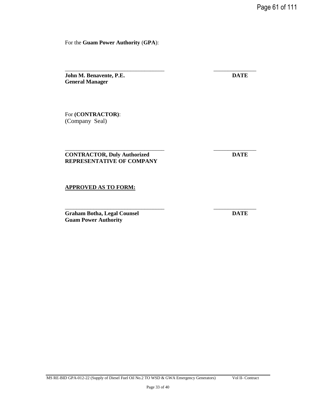Page 61 of 111

For the **Guam Power Authority** (**GPA**):

\_\_\_\_\_\_\_\_\_\_\_\_\_\_\_\_\_\_\_\_\_\_\_\_\_\_\_\_\_\_\_\_\_\_\_ \_\_\_\_\_\_\_\_\_\_\_\_\_\_\_

\_\_\_\_\_\_\_\_\_\_\_\_\_\_\_\_\_\_\_\_\_\_\_\_\_\_\_\_\_\_\_\_\_\_\_ \_\_\_\_\_\_\_\_\_\_\_\_\_\_\_

\_\_\_\_\_\_\_\_\_\_\_\_\_\_\_\_\_\_\_\_\_\_\_\_\_\_\_\_\_\_\_\_\_\_\_ \_\_\_\_\_\_\_\_\_\_\_\_\_\_\_

**John M. Benavente, P.E. DATE General Manager** 

For **(CONTRACTOR)**: (Company Seal)

# **CONTRACTOR, Duly Authorized DATE REPRESENTATIVE OF COMPANY**

#### **APPROVED AS TO FORM:**

**Graham Botha, Legal Counsel DATE Guam Power Authority**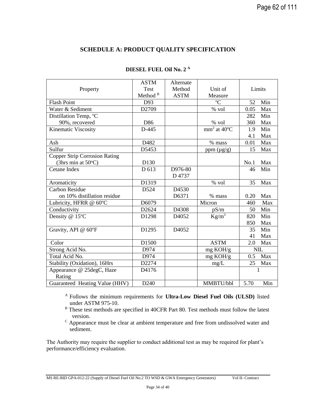# **SCHEDULE A: PRODUCT QUALITY SPECIFICATION**

|                                      | <b>ASTM</b>         | Alternate   |                  |        |     |
|--------------------------------------|---------------------|-------------|------------------|--------|-----|
| Property                             | <b>Test</b>         | Method      | Unit of          | Limits |     |
|                                      | Method <sup>B</sup> | <b>ASTM</b> | Measure          |        |     |
| <b>Flash Point</b>                   | D93                 |             | ${}^{\circ}C$    | 52     | Min |
| Water & Sediment                     | D2709               |             | % vol            | 0.05   | Max |
| Distillation Temp, °C                |                     |             |                  | 282    | Min |
| 90%, recovered                       | D86                 |             | $%$ vol          | 360    | Max |
| Kinematic Viscosity                  | D-445               |             | $mm2$ at 40 $°C$ | 1.9    | Min |
|                                      |                     |             |                  | 4.1    | Max |
| Ash                                  | D482                |             | % mass           | 0.01   | Max |
| Sulfur                               | D5453               |             | ppm $(\mu g/g)$  | 15     | Max |
| <b>Copper Strip Corrosion Rating</b> |                     |             |                  |        |     |
| (3hrs min at $50^{\circ}$ C)         | D130                |             |                  | No.1   | Max |
| Cetane Index                         | D 613               | D976-80     |                  | 46     | Min |
|                                      |                     | D 4737      |                  |        |     |
| Aromaticity                          | D1319               |             | % vol            | 35     | Max |
| <b>Carbon Residue</b>                | D524                | D4530       |                  |        |     |
| on 10% distillation residue          |                     | D6371       | % mass           | 0.20   | Max |
| Lubricity, HFRR @ 60°C               | D6079               |             | Micron           | 460    | Max |
| Conductivity                         | D2624               | D4308       | pS/m             | 50     | Min |
| Density @ 15°C                       | D1298               | D4052       | $\text{Kg/m}^3$  | 820    | Min |
|                                      |                     |             |                  | 850    | Max |
| Gravity, API @ 60°F                  | D1295               | D4052       |                  | 35     | Min |
|                                      |                     |             |                  | 41     | Max |
| Color                                | D1500               |             | <b>ASTM</b>      | 2.0    | Max |
| Strong Acid No.                      | D974                |             | mg KOH/g         |        | NIL |
| Total Acid No.                       | D974                |             | $mg$ KOH/g       | 0.5    | Max |
| Stability (Oxidation), 16Hrs         | D2274               |             | mg/L             | 25     | Max |
| Appearance @ 25degC, Haze            | D4176               |             |                  |        |     |
| Rating                               |                     |             |                  |        |     |
| Guaranteed Heating Value (HHV)       | D <sub>240</sub>    |             | MMBTU/bbl        | 5.70   | Min |

# **DIESEL FUEL Oil No. 2 <sup>A</sup>**

<sup>A</sup>Follows the minimum requirements for **Ultra-Low Diesel Fuel Oils (ULSD)** listed under ASTM 975-10.

B These test methods are specified in 40CFR Part 80. Test methods must follow the latest version.

<sup>C</sup> Appearance must be clear at ambient temperature and free from undissolved water and sediment.

The Authority may require the supplier to conduct additional test as may be required for plant's performance/efficiency evaluation.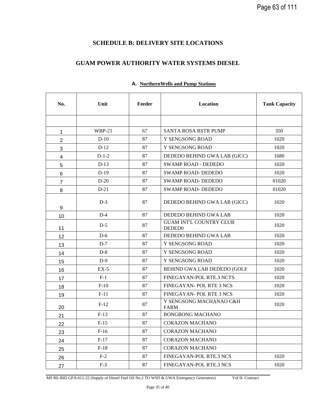# **SCHEDULE B: DELIVERY SITE LOCATIONS**

# **GUAM POWER AUTHORITY WATER SYSTEMS DIESEL**

| No.            | Unit     | Feeder | Location                                             | <b>Tank Capacity</b> |
|----------------|----------|--------|------------------------------------------------------|----------------------|
|                |          |        |                                                      |                      |
| 1              | $WBP-21$ | 67     | <b>SANTA ROSA BSTR PUMP</b>                          | 350                  |
| $\overline{2}$ | $D-10$   | 87     | Y SENGSONG ROAD                                      | 1020                 |
| 3              | $D-12$   | 87     | Y SENGSONG ROAD                                      | 1020                 |
| 4              | $D-1-2$  | 87     | DEDEDO BEHIND GWA LAB (GICC)                         | 1680                 |
| 5              | $D-13$   | 87     | <b>SWAMP ROAD - DEDEDO</b>                           | 1020                 |
| 6              | $D-19$   | 87     | <b>SWAMP ROAD-DEDEDO</b>                             | 1020                 |
| $\overline{7}$ | $D-20$   | 87     | <b>SWAMP ROAD- DEDEDO</b>                            | 01020                |
| 8              | $D-21$   | 87     | <b>SWAMP ROAD-DEDEDO</b>                             | 01020                |
| 9              | $D-3$    | 87     | DEDEDO BEHIND GWA LAB (GICC)                         | 1020                 |
| 10             | $D-4$    | 87     | DEDEDO BEHIND GWA LAB                                | 1020                 |
| 11             | $D-5$    | 87     | <b>GUAM INT'L COUNTRY CLUB</b><br>DEDED <sub>0</sub> | 1020                 |
| 12             | $D-6$    | 87     | DEDEDO BEHIND GWA LAB                                | 1020                 |
| 13             | $D-7$    | 87     | Y SENGSONG ROAD                                      | 1020                 |
| 14             | $D-8$    | 87     | Y SENGSONG ROAD                                      | 1020                 |
| 15             | $D-9$    | 87     | Y SENGSONG ROAD                                      | 1020                 |
| 16             | $EX-5$   | 87     | BEHIND GWA LAB DEDEDO (GOLF                          | 1020                 |
| 17             | $F-1$    | 87     | FINEGAYAN-POL RTE.3 NCTS                             | 1020                 |
| 18             | $F-10$   | 87     | FINEGAYAN- POL RTE 3 NCS                             | 1020                 |
| 19             | $F-11$   | 87     | FINEGAYAN- POL RTE 3 NCS                             | 1020                 |
| 20             | $F-12$   | 87     | Y SENGSONG MACHANAO C&H<br><b>FARM</b>               | 1020                 |
| 21             | $F-13$   | 87     | <b>BONGBONG MACHANO</b>                              |                      |
| 22             | $F-15$   | $87\,$ | CORAZON MACHANO                                      |                      |
| 23             | $F-16$   | 87     | <b>CORAZON MACHANO</b>                               |                      |
| 24             | $F-17$   | 87     | <b>CORAZON MACHANO</b>                               |                      |
| 25             | $F-18$   | 87     | <b>CORAZON MACHANO</b>                               |                      |
| 26             | $F-2$    | 87     | FINEGAYAN-POL RTE.3 NCS                              | 1020                 |
| 27             | $F-3$    | 87     | FINEGAYAN-POL RTE.3 NCS                              | 1020                 |

## **A. NorthernWells and Pump Stations**

MS RE-BID GPA-012-22 (Supply of Diesel Fuel Oil No.2 TO WSD & GWA Emergency Generators) Vol II- Contract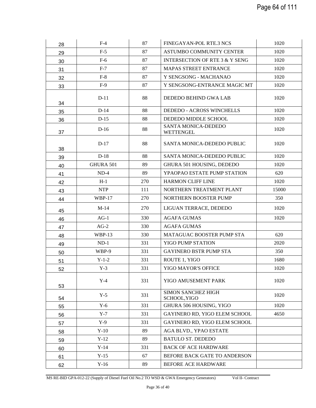| 28 | $F-4$         | 87  | FINEGAYAN-POL RTE.3 NCS                   | 1020  |
|----|---------------|-----|-------------------------------------------|-------|
| 29 | $F-5$         | 87  | ASTUMBO COMMUNITY CENTER                  | 1020  |
| 30 | $F-6$         | 87  | INTERSECTION OF RTE 3 & Y SENG            | 1020  |
| 31 | $F-7$         | 87  | <b>MAPAS STREET ENTRANCE</b>              | 1020  |
| 32 | $F-8$         | 87  | Y SENGSONG - MACHANAO                     | 1020  |
| 33 | $F-9$         | 87  | Y SENGSONG-ENTRANCE MAGIC MT              | 1020  |
| 34 | $D-11$        | 88  | DEDEDO BEHIND GWA LAB                     | 1020  |
| 35 | $D-14$        | 88  | <b>DEDEDO - ACROSS WINCHELLS</b>          | 1020  |
| 36 | $D-15$        | 88  | DEDEDO MIDDLE SCHOOL                      | 1020  |
| 37 | $D-16$        | 88  | SANTA MONICA-DEDEDO<br>WETTENGEL          | 1020  |
| 38 | $D-17$        | 88  | SANTA MONICA-DEDEDO PUBLIC                | 1020  |
| 39 | $D-18$        | 88  | SANTA MONICA-DEDEDO PUBLIC                | 1020  |
| 40 | GHURA 501     | 89  | GHURA 501 HOUSING, DEDEDO                 | 1020  |
| 41 | $ND-4$        | 89  | YPAOPAO ESTATE PUMP STATION               | 620   |
| 42 | $H-1$         | 270 | <b>HARMON CLIFF LINE</b>                  | 1020  |
| 43 | <b>NTP</b>    | 111 | NORTHERN TREATMENT PLANT                  | 15000 |
| 44 | <b>WBP-17</b> | 270 | NORTHERN BOOSTER PUMP                     | 350   |
| 45 | $M-14$        | 270 | LIGUAN TERRACE, DEDEDO                    | 1020  |
| 46 | $AG-1$        | 330 | <b>AGAFA GUMAS</b>                        | 1020  |
| 47 | $AG-2$        | 330 | <b>AGAFA GUMAS</b>                        |       |
| 48 | <b>WBP-13</b> | 330 | MATAGUAC BOOSTER PUMP STA                 | 620   |
| 49 | $ND-1$        | 331 | <b>YIGO PUMP STATION</b>                  | 2020  |
| 50 | WBP-9         | 331 | <b>GAYINERO BSTR PUMP STA</b>             | 350   |
| 51 | $Y-1-2$       | 331 | ROUTE 1, YIGO                             | 1680  |
| 52 | $Y-3$         | 331 | YIGO MAYOR'S OFFICE                       | 1020  |
| 53 | $Y-4$         | 331 | YIGO AMUSEMENT PARK                       | 1020  |
| 54 | $Y-5$         | 331 | <b>SIMON SANCHEZ HIGH</b><br>SCHOOL, YIGO | 1020  |
| 55 | $Y-6$         | 331 | GHURA 506 HOUSING, YIGO                   | 1020  |
| 56 | $Y-7$         | 331 | GAYINERO RD, YIGO ELEM SCHOOL             | 4650  |
| 57 | $Y-9$         | 331 | GAYINERO RD, YIGO ELEM SCHOOL             |       |
| 58 | $Y-10$        | 89  | AGA BLVD., YPAO ESTATE                    |       |
| 59 | $Y-12$        | 89  | <b>BATULO ST. DEDEDO</b>                  |       |
| 60 | $Y-14$        | 331 | <b>BACK OF ACE HARDWARE</b>               |       |
| 61 | $Y-15$        | 67  | BEFORE BACK GATE TO ANDERSON              |       |
| 62 | $Y-16$        | 89  | <b>BEFORE ACE HARDWARE</b>                |       |

MS RE-BID GPA-012-22 (Supply of Diesel Fuel Oil No.2 TO WSD & GWA Emergency Generators) Vol II- Contract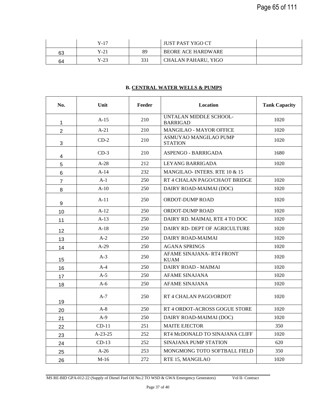|    | Y-17 |     | JUST PAST YIGO CT         |  |
|----|------|-----|---------------------------|--|
| 63 | Y-21 | 89  | <b>BEORE ACE HARDWARE</b> |  |
| 64 | Y-23 | 331 | CHALAN PAHARU, YIGO       |  |

# **B. CENTRAL WATER WELLS & PUMPS**

| No.            | Unit      | Feeder | Location                                  | <b>Tank Capacity</b> |
|----------------|-----------|--------|-------------------------------------------|----------------------|
| $\mathbf{1}$   | $A-15$    | 210    | UNTALAN MIDDLE SCHOOL-<br><b>BARRIGAD</b> | 1020                 |
| $\overline{2}$ | $A-21$    | 210    | MANGILAO - MAYOR OFFICE                   | 1020                 |
| 3              | $CD-2$    | 210    | ASMUYAO MANGILAO PUMP<br><b>STATION</b>   | 1020                 |
| 4              | $CD-3$    | 210    | ASPENGO - BARRIGADA                       | 1680                 |
| 5              | $A-28$    | 212    | LEYANG BARRIGADA                          | 1020                 |
| 6              | $A-14$    | 232    | MANGILAO-INTERS, RTE $10 \& 15$           |                      |
| $\overline{7}$ | $A-1$     | 250    | RT 4 CHALAN PAGO/CHAOT BRIDGE             | 1020                 |
| 8              | $A-10$    | 250    | DAIRY ROAD-MAIMAI (DOC)                   | 1020                 |
| 9              | $A-11$    | 250    | <b>ORDOT-DUMP ROAD</b>                    | 1020                 |
| 10             | $A-12$    | 250    | ORDOT-DUMP ROAD                           | 1020                 |
| 11             | $A-13$    | 250    | DAIRY RD. MAIMAI, RTE 4 TO DOC            | 1020                 |
| 12             | $A-18$    | 250    | DAIRY RD-DEPT OF AGRICULTURE              | 1020                 |
| 13             | $A-2$     | 250    | DAIRY ROAD-MAIMAI                         | 1020                 |
| 14             | $A-29$    | 250    | <b>AGANA SPRINGS</b>                      | 1020                 |
| 15             | $A-3$     | 250    | AFAME SINAJANA-RT4 FRONT<br><b>KUAM</b>   | 1020                 |
| 16             | $A-4$     | 250    | DAIRY ROAD - MAIMAI                       | 1020                 |
| 17             | $A-5$     | 250    | AFAME SINAJANA                            | 1020                 |
| 18             | A-6       | 250    | AFAME SINAJANA                            | 1020                 |
| 19             | $A-7$     | 250    | RT 4 CHALAN PAGO/ORDOT                    | 1020                 |
| 20             | $A-8$     | 250    | RT 4 ORDOT-ACROSS GOGUE STORE             | 1020                 |
| 21             | $A-9$     | 250    | DAIRY ROAD-MAIMAI (DOC)                   | 1020                 |
| 22             | $CD-11$   | 251    | <b>MAITE EJECTOR</b>                      | 350                  |
| 23             | $A-23-25$ | 252    | RT4 McDONALD TO SINAJANA CLIFF            | 1020                 |
| 24             | $CD-13$   | 252    | SINAJANA PUMP STATION                     | 620                  |
| 25             | $A-26$    | 253    | MONGMONG TOTO SOFTBALL FIELD              | 350                  |
| 26             | $M-16$    | 272    | RTE 15, MANGILAO                          | 1020                 |

MS RE-BID GPA-012-22 (Supply of Diesel Fuel Oil No.2 TO WSD & GWA Emergency Generators) Vol II- Contract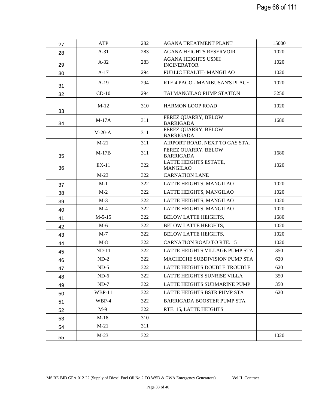| 27 | <b>ATP</b>    | 282 | AGANA TREATMENT PLANT                           | 15000 |
|----|---------------|-----|-------------------------------------------------|-------|
| 28 | $A-31$        | 283 | <b>AGANA HEIGHTS RESERVOIR</b>                  | 1020  |
| 29 | $A-32$        | 283 | <b>AGANA HEIGHTS USNH</b><br><b>INCINERATOR</b> | 1020  |
| 30 | $A-17$        | 294 | PUBLIC HEALTH- MANGILAO                         | 1020  |
| 31 | $A-19$        | 294 | RTE 4 PAGO - MANIBUSAN'S PLACE                  | 1020  |
| 32 | $CD-10$       | 294 | TAI MANGILAO PUMP STATION                       | 3250  |
| 33 | $M-12$        | 310 | <b>HARMON LOOP ROAD</b>                         | 1020  |
| 34 | $M-17A$       | 311 | PEREZ QUARRY, BELOW<br><b>BARRIGADA</b>         | 1680  |
|    | $M-20-A$      | 311 | PEREZ QUARRY, BELOW<br><b>BARRIGADA</b>         |       |
|    | $M-21$        | 311 | AIRPORT ROAD, NEXT TO GAS STA.                  |       |
| 35 | $M-17B$       | 311 | PEREZ QUARRY, BELOW<br><b>BARRIGADA</b>         | 1680  |
| 36 | EX-11         | 322 | LATTE HEIGHTS ESTATE,<br><b>MANGILAO</b>        | 1020  |
|    | $M-23$        | 322 | <b>CARNATION LANE</b>                           |       |
| 37 | $M-1$         | 322 | LATTE HEIGHTS, MANGILAO                         | 1020  |
| 38 | $M-2$         | 322 | LATTE HEIGHTS, MANGILAO                         | 1020  |
| 39 | $M-3$         | 322 | LATTE HEIGHTS, MANGILAO                         | 1020  |
| 40 | $M-4$         | 322 | LATTE HEIGHTS, MANGILAO                         | 1020  |
| 41 | $M-5-15$      | 322 | <b>BELOW LATTE HEIGHTS,</b>                     | 1680  |
| 42 | $M-6$         | 322 | <b>BELOW LATTE HEIGHTS,</b>                     | 1020  |
| 43 | $M-7$         | 322 | <b>BELOW LATTE HEIGHTS,</b>                     | 1020  |
| 44 | $M-8$         | 322 | <b>CARNATION ROAD TO RTE. 15</b>                | 1020  |
| 45 | $ND-11$       | 322 | LATTE HEIGHTS VILLAGE PUMP STA                  | 350   |
| 46 | $ND-2$        | 322 | MACHECHE SUBDIVISION PUMP STA                   | 620   |
| 47 | $ND-5$        | 322 | LATTE HEIGHTS DOUBLE TROUBLE                    | 620   |
| 48 | $ND-6$        | 322 | LATTE HEIGHTS SUNRISE VILLA                     | 350   |
| 49 | $ND-7$        | 322 | LATTE HEIGHTS SUBMARINE PUMP                    | 350   |
| 50 | <b>WBP-11</b> | 322 | LATTE HEIGHTS BSTR PUMP STA                     | 620   |
| 51 | WBP-4         | 322 | <b>BARRIGADA BOOSTER PUMP STA</b>               |       |
| 52 | $M-9$         | 322 | RTE. 15, LATTE HEIGHTS                          |       |
| 53 | $M-18$        | 310 |                                                 |       |
| 54 | $M-21$        | 311 |                                                 |       |
| 55 | $M-23$        | 322 |                                                 | 1020  |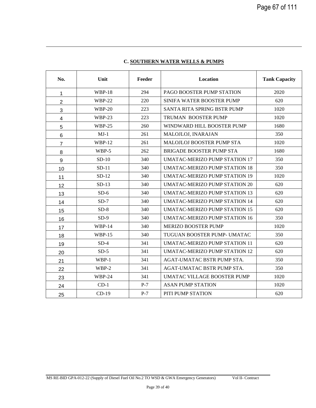| No.             | Unit          | Feeder | Location                             | <b>Tank Capacity</b> |
|-----------------|---------------|--------|--------------------------------------|----------------------|
| 1               | <b>WBP-18</b> | 294    | PAGO BOOSTER PUMP STATION            | 2020                 |
| $\overline{2}$  | $WBP-22$      | 220    | SINIFA WATER BOOSTER PUMP            | 620                  |
| 3               | <b>WBP-20</b> | 223    | SANTA RITA SPRING BSTR PUMP          | 1020                 |
| $\overline{4}$  | $WBP-23$      | 223    | <b>TRUMAN BOOSTER PUMP</b>           | 1020                 |
| 5               | <b>WBP-25</b> | 260    | WINDWARD HILL BOOSTER PUMP           | 1680                 |
| $6\phantom{1}6$ | $MJ-1$        | 261    | MALOJLOJ, INARAJAN                   | 350                  |
| $\overline{7}$  | <b>WBP-12</b> | 261    | MALOJLOJ BOOSTER PUMP STA            | 1020                 |
| 8               | WBP-5         | 262    | <b>BRIGADE BOOSTER PUMP STA</b>      | 1680                 |
| 9               | $SD-10$       | 340    | <b>UMATAC-MERIZO PUMP STATION 17</b> | 350                  |
| 10              | $SD-11$       | 340    | <b>UMATAC-MERIZO PUMP STATION 18</b> | 350                  |
| 11              | $SD-12$       | 340    | <b>UMATAC-MERIZO PUMP STATION 19</b> | 1020                 |
| 12              | $SD-13$       | 340    | <b>UMATAC-MERIZO PUMP STATION 20</b> | 620                  |
| 13              | $SD-6$        | 340    | <b>UMATAC-MERIZO PUMP STATION 13</b> | 620                  |
| 14              | $SD-7$        | 340    | <b>UMATAC-MERIZO PUMP STATION 14</b> | 620                  |
| 15              | $SD-8$        | 340    | <b>UMATAC-MERIZO PUMP STATION 15</b> | 620                  |
| 16              | $SD-9$        | 340    | <b>UMATAC-MERIZO PUMP STATION 16</b> | 350                  |
| 17              | <b>WBP-14</b> | 340    | <b>MERIZO BOOSTER PUMP</b>           | 1020                 |
| 18              | <b>WBP-15</b> | 340    | TUGUAN BOOSTER PUMP- UMATAC          | 350                  |
| 19              | $SD-4$        | 341    | <b>UMATAC-MERIZO PUMP STATION 11</b> | 620                  |
| 20              | $SD-5$        | 341    | <b>UMATAC-MERIZO PUMP STATION 12</b> | 620                  |
| 21              | WBP-1         | 341    | AGAT-UMATAC BSTR PUMP STA.           | 350                  |
| 22              | WBP-2         | 341    | AGAT-UMATAC BSTR PUMP STA.           | 350                  |
| 23              | <b>WBP-24</b> | 341    | UMATAC VILLAGE BOOSTER PUMP          | 1020                 |
| 24              | $CD-1$        | $P-7$  | <b>ASAN PUMP STATION</b>             | 1020                 |
| 25              | $CD-19$       | $P-7$  | PITI PUMP STATION                    | 620                  |

# **C. SOUTHERN WATER WELLS & PUMPS**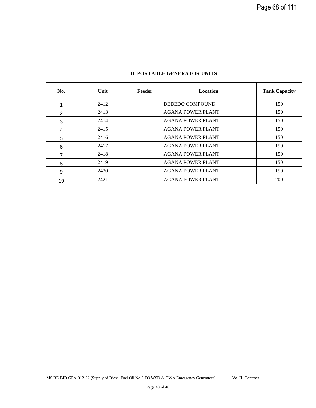| No. | Unit | Feeder | <b>Location</b>          | <b>Tank Capacity</b> |
|-----|------|--------|--------------------------|----------------------|
|     | 2412 |        | <b>DEDEDO COMPOUND</b>   | 150                  |
| 2   | 2413 |        | <b>AGANA POWER PLANT</b> | 150                  |
| 3   | 2414 |        | <b>AGANA POWER PLANT</b> | 150                  |
| 4   | 2415 |        | <b>AGANA POWER PLANT</b> | 150                  |
| 5   | 2416 |        | <b>AGANA POWER PLANT</b> | 150                  |
| 6   | 2417 |        | <b>AGANA POWER PLANT</b> | 150                  |
| 7   | 2418 |        | <b>AGANA POWER PLANT</b> | 150                  |
| 8   | 2419 |        | <b>AGANA POWER PLANT</b> | 150                  |
| 9   | 2420 |        | <b>AGANA POWER PLANT</b> | 150                  |
| 10  | 2421 |        | <b>AGANA POWER PLANT</b> | 200                  |

# **D. PORTABLE GENERATOR UNITS**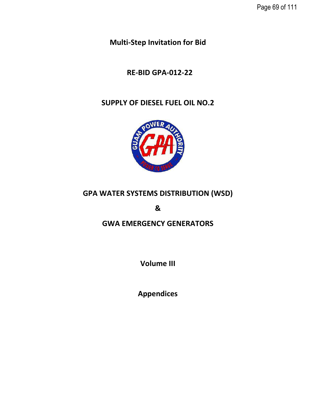**Multi-Step Invitation for Bid** 

# **RE-BID GPA-012-22**

# **SUPPLY OF DIESEL FUEL OIL NO.2**



# **GPA WATER SYSTEMS DISTRIBUTION (WSD)**

**&**

# **GWA EMERGENCY GENERATORS**

**Volume III**

**Appendices**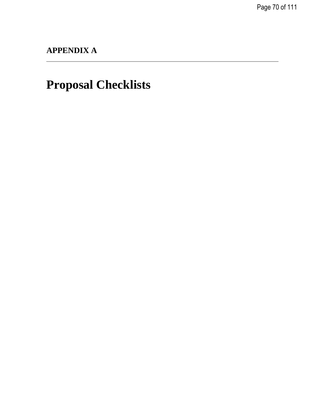Page 70 of 111

# **APPENDIX A**

# **Proposal Checklists**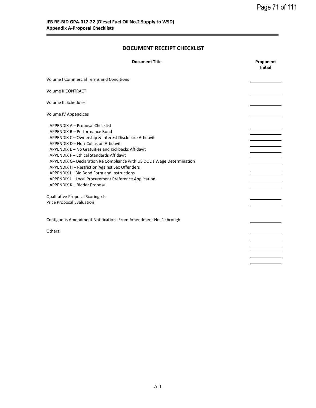# **DOCUMENT RECEIPT CHECKLIST**

| <b>Document Title</b>                                                  | Proponent<br><b>Initial</b> |
|------------------------------------------------------------------------|-----------------------------|
| <b>Volume I Commercial Terms and Conditions</b>                        |                             |
| Volume II CONTRACT                                                     |                             |
| Volume III Schedules                                                   |                             |
| Volume IV Appendices                                                   |                             |
| APPENDIX A - Proposal Checklist                                        |                             |
| APPENDIX B - Performance Bond                                          |                             |
| APPENDIX C - Ownership & Interest Disclosure Affidavit                 |                             |
| APPENDIX D - Non-Collusion Affidavit                                   |                             |
| APPENDIX E - No Gratuities and Kickbacks Affidavit                     |                             |
| APPENDIX F - Ethical Standards Affidavit                               |                             |
| APPENDIX G- Declaration Re Compliance with US DOL's Wage Determination |                             |
| APPENDIX H - Restriction Against Sex Offenders                         |                             |
| APPENDIX I - Bid Bond Form and Instructions                            |                             |
| APPENDIX J - Local Procurement Preference Application                  |                             |
| APPENDIX K - Bidder Proposal                                           |                             |
| Qualitative Proposal Scoring.xls                                       |                             |
| Price Proposal Evaluation                                              |                             |
|                                                                        |                             |
| Contiguous Amendment Notifications From Amendment No. 1 through        |                             |
| Others:                                                                |                             |
|                                                                        |                             |
|                                                                        |                             |
|                                                                        |                             |
|                                                                        |                             |
|                                                                        |                             |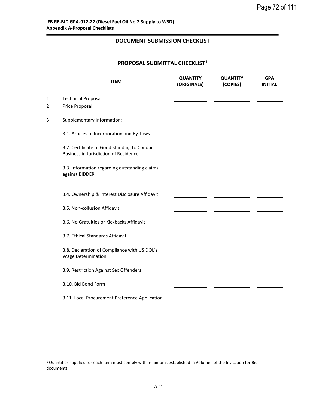# **DOCUMENT SUBMISSION CHECKLIST**

# **PROPOSAL SUBMITTAL CHECKLIST<sup>1</sup>**

|                | <b>ITEM</b>                                                                                  | <b>QUANTITY</b><br>(ORIGINALS) | <b>QUANTITY</b><br>(COPIES) | <b>GPA</b><br><b>INITIAL</b> |
|----------------|----------------------------------------------------------------------------------------------|--------------------------------|-----------------------------|------------------------------|
| $\mathbf{1}$   | <b>Technical Proposal</b>                                                                    |                                |                             |                              |
| $\overline{2}$ | Price Proposal                                                                               |                                |                             |                              |
| 3              | Supplementary Information:                                                                   |                                |                             |                              |
|                | 3.1. Articles of Incorporation and By-Laws                                                   |                                |                             |                              |
|                | 3.2. Certificate of Good Standing to Conduct<br><b>Business in Jurisdiction of Residence</b> |                                |                             |                              |
|                | 3.3. Information regarding outstanding claims<br>against BIDDER                              |                                |                             |                              |
|                |                                                                                              |                                |                             |                              |
|                | 3.4. Ownership & Interest Disclosure Affidavit                                               |                                |                             |                              |
|                | 3.5. Non-collusion Affidavit                                                                 |                                |                             |                              |
|                | 3.6. No Gratuities or Kickbacks Affidavit                                                    |                                |                             |                              |
|                | 3.7. Ethical Standards Affidavit                                                             |                                |                             |                              |
|                | 3.8. Declaration of Compliance with US DOL's<br><b>Wage Determination</b>                    |                                |                             |                              |
|                | 3.9. Restriction Against Sex Offenders                                                       |                                |                             |                              |
|                | 3.10. Bid Bond Form                                                                          |                                |                             |                              |
|                | 3.11. Local Procurement Preference Application                                               |                                |                             |                              |

 $\overline{a}$ 

<sup>1</sup> Quantities supplied for each item must comply with minimums established in Volume I of the Invitation for Bid documents.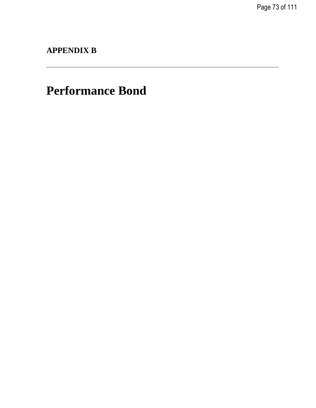Page 73 of 111

**APPENDIX B**

# **Performance Bond**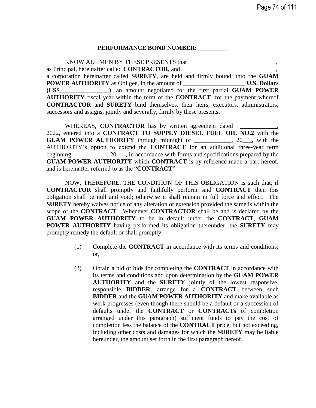### **PERFORMANCE BOND NUMBER:**

KNOW ALL MEN BY THESE PRESENTS that as Principal, hereinafter called **CONTRACTOR**, and , a corporation hereinafter called **SURETY**, are held and firmly bound unto the **GUAM POWER AUTHORITY** as Obligee, in the amount of **\_\_\_\_\_\_\_\_\_\_\_\_\_\_\_\_\_\_\_\_ U.S. Dollars (US\$\_\_\_\_\_\_\_\_\_\_\_\_\_\_\_\_)**, an amount negotiated for the first partial **GUAM POWER AUTHORITY** fiscal year within the term of the **CONTRACT**, for the payment whereof **CONTRACTOR** and **SURETY** bind themselves, their heirs, executors, administrators, successors and assigns, jointly and severally, firmly by these presents.

WHEREAS, **CONTRACTOR** has by written agreement dated 2022, entered into a **CONTRACT TO SUPPLY DIESEL FUEL OIL NO.2** with the **GUAM POWER AUTHORITY** through midnight of \_\_\_\_\_\_\_\_\_\_\_\_, 20\_\_\_, with the AUTHORITY's option to extend the **CONTRACT** for an additional three-year term beginning  $\qquad \qquad$ , 20  $\qquad$ , in accordance with forms and specifications prepared by the **GUAM POWER AUTHORITY** which **CONTRACT** is by reference made a part hereof, and is hereinafter referred to as the "**CONTRACT**".

NOW, THEREFORE, THE CONDITION OF THIS OBLIGATION is such that, if **CONTRACTOR** shall promptly and faithfully perform said **CONTRACT** then this obligation shall be null and void; otherwise it shall remain in full force and effect. The **SURETY** hereby waives notice of any alteration or extension provided the same is within the scope of the **CONTRACT**. Whenever **CONTRACTOR** shall be and is declared by the **GUAM POWER AUTHORITY** to be in default under the **CONTRACT**, **GUAM POWER AUTHORITY** having performed its obligation thereunder, the **SURETY** may promptly remedy the default or shall promptly:

- (1) Complete the **CONTRACT** in accordance with its terms and conditions; or,
- (2) Obtain a bid or bids for completing the **CONTRACT** in accordance with its terms and conditions and upon determination by the **GUAM POWER AUTHORITY** and the **SURETY** jointly of the lowest responsive, responsible **BIDDER**, arrange for a **CONTRACT** between such **BIDDER** and the **GUAM POWER AUTHORITY** and make available as work progresses (even though there should be a default or a succession of defaults under the **CONTRACT** or **CONTRACTs** of completion arranged under this paragraph) sufficient funds to pay the cost of completion less the balance of the **CONTRACT** price; but not exceeding, including other costs and damages for which the **SURETY** may be liable hereunder, the amount set forth in the first paragraph hereof.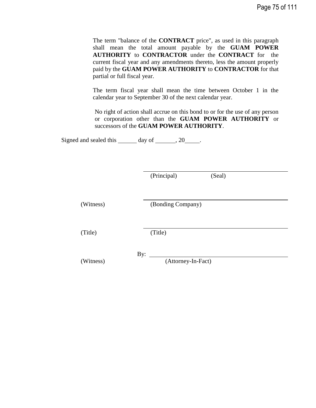The term "balance of the **CONTRACT** price", as used in this paragraph shall mean the total amount payable by the **GUAM POWER AUTHORITY** to **CONTRACTOR** under the **CONTRACT** for the current fiscal year and any amendments thereto, less the amount properly paid by the **GUAM POWER AUTHORITY** to **CONTRACTOR** for that partial or full fiscal year.

The term fiscal year shall mean the time between October 1 in the calendar year to September 30 of the next calendar year.

No right of action shall accrue on this bond to or for the use of any person or corporation other than the **GUAM POWER AUTHORITY** or successors of the **GUAM POWER AUTHORITY**.

Signed and sealed this  $\_\_\_\_$  day of  $\_\_\_\_$ , 20  $\_\_\_\_\.$ 

| (Principal) | (Seal) |
|-------------|--------|
|-------------|--------|

(Witness) (Bonding Company)

(Title) (Title)

By:

(Witness) (Attorney-In-Fact)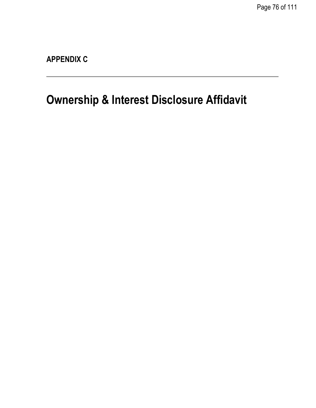Page 76 of 111

**APPENDIX C**

# **Ownership & Interest Disclosure Affidavit**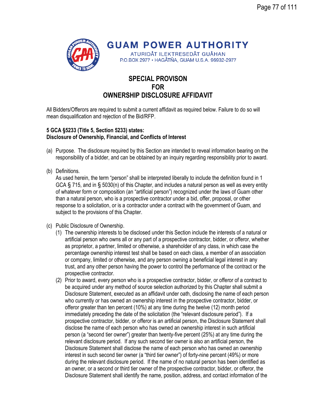

**GUAM POWER AUTHORITY** ATURIDÅT ILEKTRESEDÅT GUÅHAN

P.O.BOX 2977 · HAGÅTÑA, GUAM U.S.A. 96932-2977

## **SPECIAL PROVISON FOR OWNERSHIP DISCLOSURE AFFIDAVIT**

All Bidders/Offerors are required to submit a current affidavit as required below. Failure to do so will mean disqualification and rejection of the Bid/RFP.

### **5 GCA §5233 (Title 5, Section 5233) states: Disclosure of Ownership, Financial, and Conflicts of Interest**

- (a) Purpose. The disclosure required by this Section are intended to reveal information bearing on the responsibility of a bidder, and can be obtained by an inquiry regarding responsibility prior to award.
- (b) Definitions.

As used herein, the term "person" shall be interpreted liberally to include the definition found in 1 GCA § 715, and in § 5030(n) of this Chapter, and includes a natural person as well as every entity of whatever form or composition (an "artificial person") recognized under the laws of Guam other than a natural person, who is a prospective contractor under a bid, offer, proposal, or other response to a solicitation, or is a contractor under a contract with the government of Guam, and subject to the provisions of this Chapter.

- (c) Public Disclosure of Ownership.
	- (1) The ownership interests to be disclosed under this Section include the interests of a natural or artificial person who owns all or any part of a prospective contractor, bidder, or offeror, whether as proprietor, a partner, limited or otherwise, a shareholder of any class, in which case the percentage ownership interest test shall be based on each class, a member of an association or company, limited or otherwise, and any person owning a beneficial legal interest in any trust, and any other person having the power to control the performance of the contract or the prospective contractor.
	- (2) Prior to award, every person who is a prospective contractor, bidder, or offeror of a contract to be acquired under any method of source selection authorized by this Chapter shall submit a Disclosure Statement, executed as an affidavit under oath, disclosing the name of each person who currently or has owned an ownership interest in the prospective contractor, bidder, or offeror greater than ten percent (10%) at any time during the twelve (12) month period immediately preceding the date of the solicitation (the "relevant disclosure period"). If a prospective contractor, bidder, or offeror is an artificial person, the Disclosure Statement shall disclose the name of each person who has owned an ownership interest in such artificial person (a "second tier owner") greater than twenty-five percent (25%) at any time during the relevant disclosure period. If any such second tier owner is also an artificial person, the Disclosure Statement shall disclose the name of each person who has owned an ownership interest in such second tier owner (a "third tier owner") of forty-nine percent (49%) or more during the relevant disclosure period. If the name of no natural person has been identified as an owner, or a second or third tier owner of the prospective contractor, bidder, or offeror, the Disclosure Statement shall identify the name, position, address, and contact information of the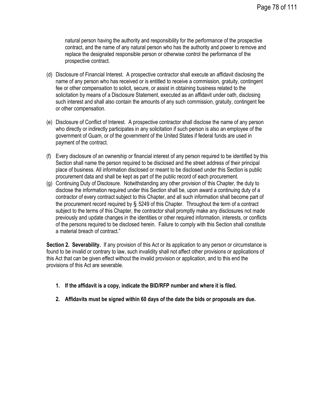natural person having the authority and responsibility for the performance of the prospective contract, and the name of any natural person who has the authority and power to remove and replace the designated responsible person or otherwise control the performance of the prospective contract.

- (d) Disclosure of Financial Interest. A prospective contractor shall execute an affidavit disclosing the name of any person who has received or is entitled to receive a commission, gratuity, contingent fee or other compensation to solicit, secure, or assist in obtaining business related to the solicitation by means of a Disclosure Statement, executed as an affidavit under oath, disclosing such interest and shall also contain the amounts of any such commission, gratuity, contingent fee or other compensation.
- (e) Disclosure of Conflict of Interest. A prospective contractor shall disclose the name of any person who directly or indirectly participates in any solicitation if such person is also an employee of the government of Guam, or of the government of the United States if federal funds are used in payment of the contract.
- (f) Every disclosure of an ownership or financial interest of any person required to be identified by this Section shall name the person required to be disclosed and the street address of their principal place of business. All information disclosed or meant to be disclosed under this Section is public procurement data and shall be kept as part of the public record of each procurement.
- (g) Continuing Duty of Disclosure. Notwithstanding any other provision of this Chapter, the duty to disclose the information required under this Section shall be, upon award a continuing duty of a contractor of every contract subject to this Chapter, and all such information shall become part of the procurement record required by § 5249 of this Chapter. Throughout the term of a contract subject to the terms of this Chapter, the contractor shall promptly make any disclosures not made previously and update changes in the identities or other required information, interests, or conflicts of the persons required to be disclosed herein. Failure to comply with this Section shall constitute a material breach of contract."

**Section 2. Severability.** If any provision of this Act or its application to any person or circumstance is found to be invalid or contrary to law, such invalidity shall not affect other provisions or applications of this Act that can be given effect without the invalid provision or application, and to this end the provisions of this Act are severable.

- **1. If the affidavit is a copy, indicate the BID/RFP number and where it is filed.**
- **2. Affidavits must be signed within 60 days of the date the bids or proposals are due.**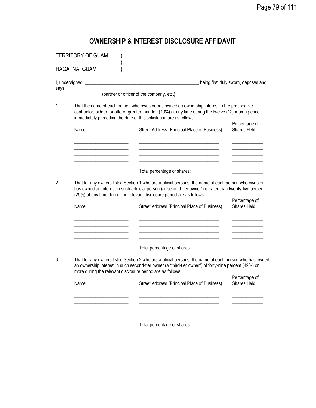# **OWNERSHIP & INTEREST DISCLOSURE AFFIDAVIT**

|       | <b>TERRITORY OF GUAM</b>                                           |                                                                                                                                                                                                                                                                                                                                                                                   |                              |
|-------|--------------------------------------------------------------------|-----------------------------------------------------------------------------------------------------------------------------------------------------------------------------------------------------------------------------------------------------------------------------------------------------------------------------------------------------------------------------------|------------------------------|
|       | HAGATNA, GUAM                                                      |                                                                                                                                                                                                                                                                                                                                                                                   |                              |
| says: |                                                                    | (partner or officer of the company, etc.)                                                                                                                                                                                                                                                                                                                                         |                              |
| 1.    | Name                                                               | That the name of each person who owns or has owned an ownership interest in the prospective<br>contractor, bidder, or offeror greater than ten (10%) at any time during the twelve (12) month period<br>immediately preceding the date of this solicitation are as follows:<br>Street Address (Principal Place of Business)                                                       | Percentage of<br>Shares Held |
| 2.    | <b>Name</b>                                                        | Total percentage of shares:<br>That for any owners listed Section 1 who are artificial persons, the name of each person who owns or<br>has owned an interest in such artificial person (a "second-tier owner") greater than twenty-five percent<br>(25%) at any time during the relevant disclosure period are as follows:<br><b>Street Address (Principal Place of Business)</b> | Percentage of<br>Shares Held |
| 3.    | more during the relevant disclosure period are as follows:<br>Name | Total percentage of shares:<br>That for any owners listed Section 2 who are artificial persons, the name of each person who has owned<br>an ownership interest in such second-tier owner (a "third-tier owner") of forty-nine percent (49%) or<br>Street Address (Principal Place of Business)                                                                                    | Percentage of<br>Shares Held |
|       |                                                                    | Total percentage of shares:                                                                                                                                                                                                                                                                                                                                                       |                              |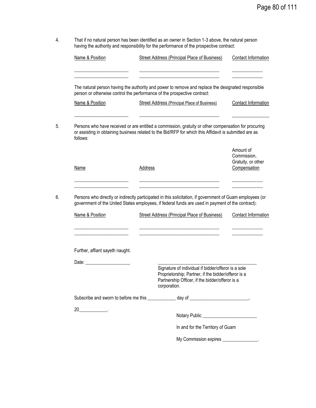4. That if no natural person has been identified as an owner in Section 1-3 above, the natural person having the authority and responsibility for the performance of the prospective contract:

| Name & Position                                                                                                                                                                                                                | Street Address (Principal Place of Business)                                                                                                                                                                   | Contact Information                                            |
|--------------------------------------------------------------------------------------------------------------------------------------------------------------------------------------------------------------------------------|----------------------------------------------------------------------------------------------------------------------------------------------------------------------------------------------------------------|----------------------------------------------------------------|
|                                                                                                                                                                                                                                | The natural person having the authority and power to remove and replace the designated responsible                                                                                                             |                                                                |
|                                                                                                                                                                                                                                | person or otherwise control the performance of the prospective contract:                                                                                                                                       |                                                                |
| Name & Position                                                                                                                                                                                                                | <b>Street Address (Principal Place of Business)</b>                                                                                                                                                            | Contact Information                                            |
| follows:                                                                                                                                                                                                                       | Persons who have received or are entitled a commission, gratuity or other compensation for procuring<br>or assisting in obtaining business related to the Bid/RFP for which this Affidavit is submitted are as |                                                                |
| Name                                                                                                                                                                                                                           | Address                                                                                                                                                                                                        | Amount of<br>Commission,<br>Gratuity, or other<br>Compensation |
|                                                                                                                                                                                                                                | Persons who directly or indirectly participated in this solicitation, if government of Guam employees (or<br>government of the United States employees, if federal funds are used in payment of the contract): |                                                                |
| Name & Position                                                                                                                                                                                                                | Street Address (Principal Place of Business)                                                                                                                                                                   | Contact Information                                            |
|                                                                                                                                                                                                                                |                                                                                                                                                                                                                |                                                                |
|                                                                                                                                                                                                                                |                                                                                                                                                                                                                |                                                                |
| Further, affiant sayeth naught.                                                                                                                                                                                                |                                                                                                                                                                                                                |                                                                |
| Date: the contract of the contract of the contract of the contract of the contract of the contract of the contract of the contract of the contract of the contract of the contract of the contract of the contract of the cont |                                                                                                                                                                                                                |                                                                |
|                                                                                                                                                                                                                                | Signature of individual if bidder/offeror is a sole<br>Proprietorship; Partner, if the bidder/offeror is a<br>Partnership Officer, if the bidder/offeror is a<br>corporation.                                  |                                                                |
|                                                                                                                                                                                                                                | Subscribe and sworn to before me this _____________ day of ______________________                                                                                                                              |                                                                |
|                                                                                                                                                                                                                                |                                                                                                                                                                                                                |                                                                |
|                                                                                                                                                                                                                                | In and for the Territory of Guam                                                                                                                                                                               |                                                                |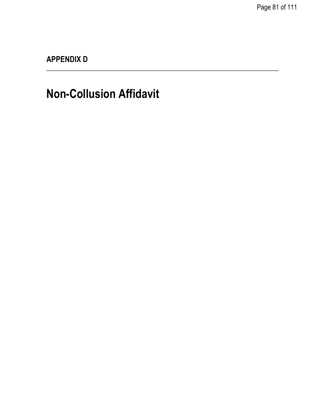**APPENDIX D**

# **Non-Collusion Affidavit**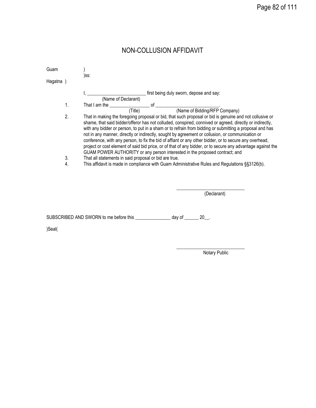| Guam      |                                                                                                                                                                                                                                                                                                                                                                                                                                                                                                                                                                                                                                                                                                                                            |
|-----------|--------------------------------------------------------------------------------------------------------------------------------------------------------------------------------------------------------------------------------------------------------------------------------------------------------------------------------------------------------------------------------------------------------------------------------------------------------------------------------------------------------------------------------------------------------------------------------------------------------------------------------------------------------------------------------------------------------------------------------------------|
|           | )SS:                                                                                                                                                                                                                                                                                                                                                                                                                                                                                                                                                                                                                                                                                                                                       |
| Hagatna ) |                                                                                                                                                                                                                                                                                                                                                                                                                                                                                                                                                                                                                                                                                                                                            |
|           | first being duly sworn, depose and say:<br>(Name of Declarant)                                                                                                                                                                                                                                                                                                                                                                                                                                                                                                                                                                                                                                                                             |
| 1.        | That I am the service and the service of service of service and the service of service of service of service of                                                                                                                                                                                                                                                                                                                                                                                                                                                                                                                                                                                                                            |
|           | (Name of Bidding/RFP Company)<br>(Title)                                                                                                                                                                                                                                                                                                                                                                                                                                                                                                                                                                                                                                                                                                   |
| 2.        | That in making the foregoing proposal or bid, that such proposal or bid is genuine and not collusive or<br>shame, that said bidder/offeror has not colluded, conspired, connived or agreed, directly or indirectly,<br>with any bidder or person, to put in a sham or to refrain from bidding or submitting a proposal and has<br>not in any manner, directly or indirectly, sought by agreement or collusion, or communication or<br>conference, with any person, to fix the bid of affiant or any other bidder, or to secure any overhead,<br>project or cost element of said bid price, or of that of any bidder, or to secure any advantage against the<br>GUAM POWER AUTHORITY or any person interested in the proposed contract; and |
| 3.        | That all statements in said proposal or bid are true.                                                                                                                                                                                                                                                                                                                                                                                                                                                                                                                                                                                                                                                                                      |
| 4.        | This affidavit is made in compliance with Guam Administrative Rules and Regulations §§3126(b).                                                                                                                                                                                                                                                                                                                                                                                                                                                                                                                                                                                                                                             |
|           |                                                                                                                                                                                                                                                                                                                                                                                                                                                                                                                                                                                                                                                                                                                                            |

NON-COLLUSION AFFIDAVIT

(Declarant)

SUBSCRIBED AND SWORN to me before this \_\_\_\_\_\_\_\_\_\_\_\_\_\_ day of \_\_\_\_\_\_ 20\_\_.

)Seal(

Notary Public

\_\_\_\_\_\_\_\_\_\_\_\_\_\_\_\_\_\_\_\_\_\_\_\_\_\_\_\_\_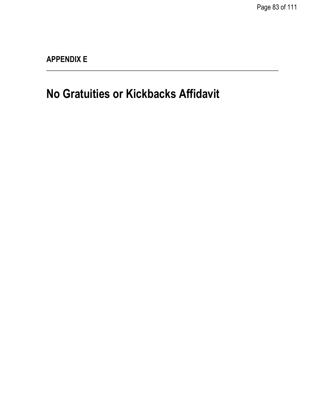**APPENDIX E**

**No Gratuities or Kickbacks Affidavit**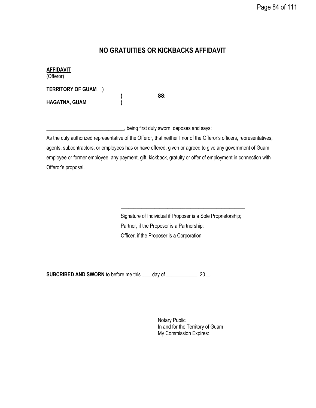## **NO GRATUITIES OR KICKBACKS AFFIDAVIT**

**AFFIDAVIT** (Offeror) **TERRITORY OF GUAM ) ) SS: HAGATNA, GUAM )**

\_\_\_\_\_\_\_\_\_\_\_\_\_\_\_\_\_\_\_\_\_\_\_\_\_\_\_\_\_\_, being first duly sworn, deposes and says:

As the duly authorized representative of the Offeror, that neither I nor of the Offeror's officers, representatives, agents, subcontractors, or employees has or have offered, given or agreed to give any government of Guam employee or former employee, any payment, gift, kickback, gratuity or offer of employment in connection with Offeror's proposal.

> Signature of Individual if Proposer is a Sole Proprietorship; Partner, if the Proposer is a Partnership; Officer, if the Proposer is a Corporation

\_\_\_\_\_\_\_\_\_\_\_\_\_\_\_\_\_\_\_\_\_\_\_\_\_\_\_\_\_\_\_\_\_\_\_\_\_\_\_\_\_\_\_\_\_\_\_\_

**SUBCRIBED AND SWORN** to before me this \_\_\_\_day of \_\_\_\_\_\_\_\_\_\_\_, 20\_\_.

\_\_\_\_\_\_\_\_\_\_\_\_\_\_\_\_\_\_\_\_\_\_\_\_\_ Notary Public In and for the Territory of Guam My Commission Expires: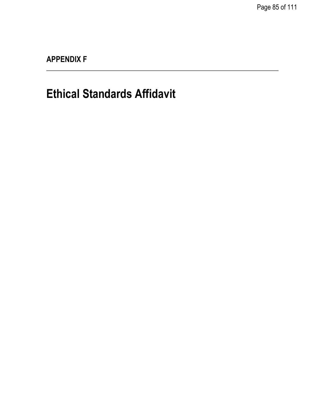**APPENDIX F**

# **Ethical Standards Affidavit**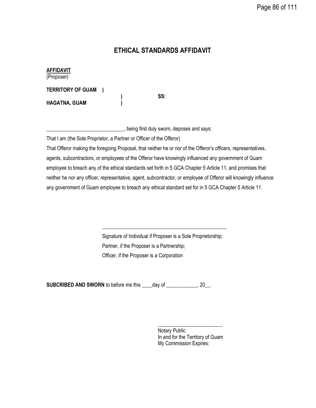## **ETHICAL STANDARDS AFFIDAVIT**

**AFFIDAVIT**

(Proposer)

**TERRITORY OF GUAM )**

**HAGATNA, GUAM )**

**) SS:**

\_\_\_\_\_\_\_\_\_\_\_\_\_\_\_\_\_\_\_\_\_\_\_\_\_\_\_\_\_\_, being first duly sworn, deposes and says:

That I am (the Sole Proprietor, a Partner or Officer of the Offeror)

That Offeror making the foregoing Proposal, that neither he or nor of the Offeror's officers, representatives, agents, subcontractors, or employees of the Offeror have knowingly influenced any government of Guam employee to breach any of the ethical standards set forth in 5 GCA Chapter 5 Article 11, and promises that neither he nor any officer, representative, agent, subcontractor, or employee of Offeror will knowingly influence any government of Guam employee to breach any ethical standard set for in 5 GCA Chapter 5 Article 11.

> Signature of Individual if Proposer is a Sole Proprietorship; Partner, if the Proposer is a Partnership; Officer, if the Proposer is a Corporation

\_\_\_\_\_\_\_\_\_\_\_\_\_\_\_\_\_\_\_\_\_\_\_\_\_\_\_\_\_\_\_\_\_\_\_\_\_\_\_\_\_\_\_\_\_\_\_\_

**SUBCRIBED AND SWORN** to before me this \_\_\_\_day of \_\_\_\_\_\_\_\_\_\_\_, 20\_\_.

\_\_\_\_\_\_\_\_\_\_\_\_\_\_\_\_\_\_\_\_\_\_\_\_\_ Notary Public In and for the Territory of Guam My Commission Expires: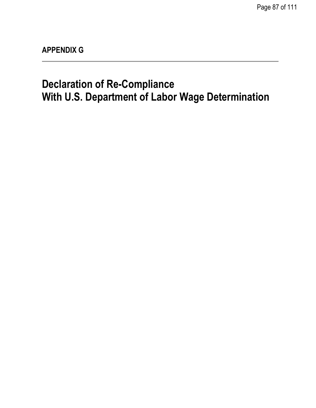Page 87 of 111

**APPENDIX G**

# **Declaration of Re-Compliance With U.S. Department of Labor Wage Determination**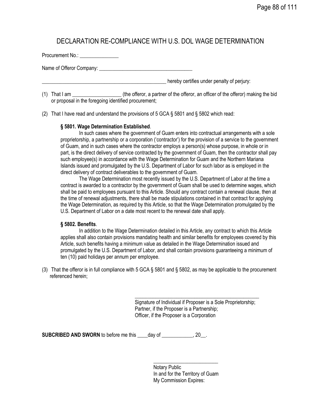## DECLARATION RE-COMPLIANCE WITH U.S. DOL WAGE DETERMINATION

Procurement No.: \_\_\_\_\_\_\_\_\_\_\_\_\_\_\_ Name of Offeror Company: \_\_\_\_\_\_\_\_\_\_\_\_\_\_\_\_\_\_\_\_\_\_\_\_\_\_\_\_\_\_\_\_\_\_\_\_

hereby certifies under penalty of perjury:

(1) That I am \_\_\_\_\_\_\_\_\_\_\_\_\_\_\_\_\_\_\_ (the offeror, a partner of the offeror, an officer of the offeror) making the bid or proposal in the foregoing identified procurement;

(2) That I have read and understand the provisions of 5 GCA § 5801 and § 5802 which read:

### **§ 5801. Wage Determination Established**.

In such cases where the government of Guam enters into contractual arrangements with a sole proprietorship, a partnership or a corporation ('contractor') for the provision of a service to the government of Guam, and in such cases where the contractor employs a person(s) whose purpose, in whole or in part, is the direct delivery of service contracted by the government of Guam, then the contractor shall pay such employee(s) in accordance with the Wage Determination for Guam and the Northern Mariana Islands issued and promulgated by the U.S. Department of Labor for such labor as is employed in the direct delivery of contract deliverables to the government of Guam.

The Wage Determination most recently issued by the U.S. Department of Labor at the time a contract is awarded to a contractor by the government of Guam shall be used to determine wages, which shall be paid to employees pursuant to this Article. Should any contract contain a renewal clause, then at the time of renewal adjustments, there shall be made stipulations contained in that contract for applying the Wage Determination, as required by this Article, so that the Wage Determination promulgated by the U.S. Department of Labor on a date most recent to the renewal date shall apply.

### **§ 5802. Benefits**.

In addition to the Wage Determination detailed in this Article, any contract to which this Article applies shall also contain provisions mandating health and similar benefits for employees covered by this Article, such benefits having a minimum value as detailed in the Wage Determination issued and promulgated by the U.S. Department of Labor, and shall contain provisions guaranteeing a minimum of ten (10) paid holidays per annum per employee.

(3) That the offeror is in full compliance with 5 GCA § 5801 and § 5802, as may be applicable to the procurement referenced herein;

> Signature of Individual if Proposer is a Sole Proprietorship; Partner, if the Proposer is a Partnership; Officer, if the Proposer is a Corporation

\_\_\_\_\_\_\_\_\_\_\_\_\_\_\_\_\_\_\_\_\_\_\_\_\_\_\_\_\_\_\_\_\_\_\_\_\_\_\_\_\_\_\_\_\_\_\_\_

**SUBCRIBED AND SWORN** to before me this \_\_\_\_day of \_\_\_\_\_\_\_\_\_\_\_, 20\_\_.

Notary Public In and for the Territory of Guam My Commission Expires:

\_\_\_\_\_\_\_\_\_\_\_\_\_\_\_\_\_\_\_\_\_\_\_\_\_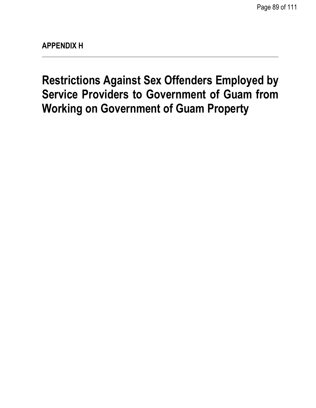**Restrictions Against Sex Offenders Employed by Service Providers to Government of Guam from Working on Government of Guam Property**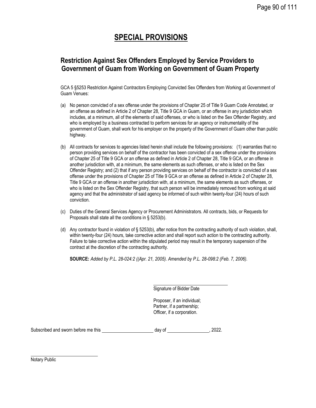# **SPECIAL PROVISIONS**

## **Restriction Against Sex Offenders Employed by Service Providers to Government of Guam from Working on Government of Guam Property**

GCA 5 §5253 Restriction Against Contractors Employing Convicted Sex Offenders from Working at Government of Guam Venues:

- (a) No person convicted of a sex offense under the provisions of Chapter 25 of Title 9 Guam Code Annotated, or an offense as defined in Article 2 of Chapter 28, Title 9 GCA in Guam, or an offense in any jurisdiction which includes, at a minimum, all of the elements of said offenses, or who is listed on the Sex Offender Registry, and who is employed by a business contracted to perform services for an agency or instrumentality of the government of Guam, shall work for his employer on the property of the Government of Guam other than public highway.
- (b) All contracts for services to agencies listed herein shall include the following provisions: (1) warranties that no person providing services on behalf of the contractor has been convicted of a sex offense under the provisions of Chapter 25 of Title 9 GCA or an offense as defined in Article 2 of Chapter 28, Title 9 GCA, or an offense in another jurisdiction with, at a minimum, the same elements as such offenses, or who is listed on the Sex Offender Registry; and (2) that if any person providing services on behalf of the contractor is convicted of a sex offense under the provisions of Chapter 25 of Title 9 GCA or an offense as defined in Article 2 of Chapter 28, Title 9 GCA or an offense in another jurisdiction with, at a minimum, the same elements as such offenses, or who is listed on the Sex Offender Registry, that such person will be immediately removed from working at said agency and that the administrator of said agency be informed of such within twenty-four (24) hours of such conviction.
- (c) Duties of the General Services Agency or Procurement Administrators. All contracts, bids, or Requests for Proposals shall state all the conditions in § 5253(b).
- (d) Any contractor found in violation of § 5253(b), after notice from the contracting authority of such violation, shall, within twenty-four (24) hours, take corrective action and shall report such action to the contracting authority. Failure to take corrective action within the stipulated period may result in the temporary suspension of the contract at the discretion of the contracting authority.

**SOURCE:** *Added by P.L. 28-024:2 ((Apr. 21, 2005). Amended by P.L. 28-098:2 (Feb. 7, 2006).*

Signature of Bidder Date

Proposer, if an individual; Partner, if a partnership; Officer, if a corporation.

| Subscribed and sworn before me this | dav of | 2022. |
|-------------------------------------|--------|-------|
|-------------------------------------|--------|-------|

Notary Public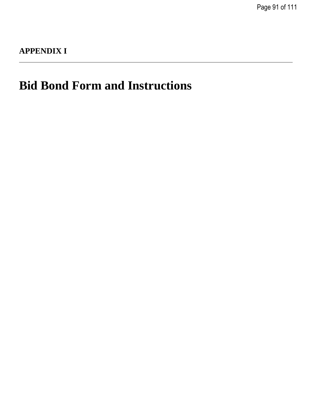Page 91 of 111

# **APPENDIX I**

# **Bid Bond Form and Instructions**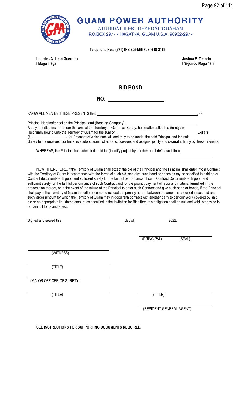

**Telephone Nos. (671) 648-3054/55 Fax: 648-3165**

**Lourdes A. Leon Guerrero Joshua F. Tenorio I Maga 'håga I Sigundo Maga 'låhi**

**BID BOND**

**NO.:** 

KNOW ALL MEN BY THESE PRESENTS that  $\overline{\hspace{1cm}}$  , as

Principal Hereinafter called the Principal, and (Bonding Company), A duly admitted insurer under the laws of the Territory of Guam, as Surety, hereinafter called the Surety are Held firmly bound unto the Territory of Guam for the sum of **Dollars** Dollars Dollars (\$ ), for Payment of which sum will and truly to be made, the said Principal and the said

Surety bind ourselves, our heirs, executors, administrators, successors and assigns, jointly and severally, firmly by these presents.

WHEREAS, the Principal has submitted a bid for (identify project by number and brief description)

NOW, THEREFORE, if the Territory of Guam shall accept the bid of the Principal and the Principal shall enter into a Contract with the Territory of Guam in accordance with the terms of such bid, and give such bond or bonds as my be specified in bidding or Contract documents with good and sufficient surety for the faithful performance of such Contract Documents with good and sufficient surety for the faithful performance of such Contract and for the prompt payment of labor and material furnished in the prosecution thereof, or in the event of the failure of the Principal to enter such Contract and give such bond or bonds, if the Principal shall pay to the Territory of Guam the difference not to exceed the penalty hereof between the amounts specified in said bid and such larger amount for which the Territory of Guam may in good faith contract with another party to perform work covered by said bid or an appropriate liquidated amount as specified in the Invitation for Bids then this obligation shall be null and void, otherwise to remain full force and effect.

|                           | day of |             | 2022.                    |
|---------------------------|--------|-------------|--------------------------|
|                           |        | (PRINCIPAL) | (SEAL)                   |
|                           |        |             |                          |
| (WITNESS)                 |        |             |                          |
| (TITLE)                   |        |             |                          |
| (MAJOR OFFICER OF SURETY) |        |             |                          |
| (TITLE)                   |        | (TITLE)     |                          |
|                           |        |             | (RESIDENT GENERAL AGENT) |

**SEE INSTRUCTIONS FOR SUPPORTING DOCUMENTS REQUIRED.**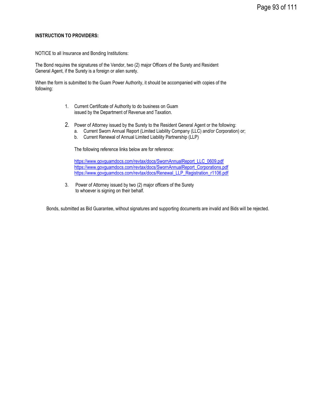#### **INSTRUCTION TO PROVIDERS:**

NOTICE to all Insurance and Bonding Institutions:

The Bond requires the signatures of the Vendor, two (2) major Officers of the Surety and Resident General Agent, if the Surety is a foreign or alien surety.

When the form is submitted to the Guam Power Authority, it should be accompanied with copies of the following:

- 1. Current Certificate of Authority to do business on Guam issued by the Department of Revenue and Taxation.
- 2. Power of Attorney issued by the Surety to the Resident General Agent or the following:
	- a. Current Sworn Annual Report (Limited Liability Company (LLC) and/or Corporation) or;
	- b. Current Renewal of Annual Limited Liability Partnership (LLP)

The following reference links below are for reference:

[https://www.govguamdocs.com/revtax/docs/SwornAnnualReport\\_LLC\\_0609.pdf](https://www.govguamdocs.com/revtax/docs/SwornAnnualReport_LLC_0609.pdf) [https://www.govguamdocs.com/revtax/docs/SwornAnnualReport\\_Corporations.pdf](https://www.govguamdocs.com/revtax/docs/SwornAnnualReport_Corporations.pdf) [https://www.govguamdocs.com/revtax/docs/Renewal\\_LLP\\_Registration\\_r1106.pdf](https://www.govguamdocs.com/revtax/docs/Renewal_LLP_Registration_r1106.pdf)

3. Power of Attorney issued by two (2) major officers of the Surety to whoever is signing on their behalf.

Bonds, submitted as Bid Guarantee, without signatures and supporting documents are invalid and Bids will be rejected.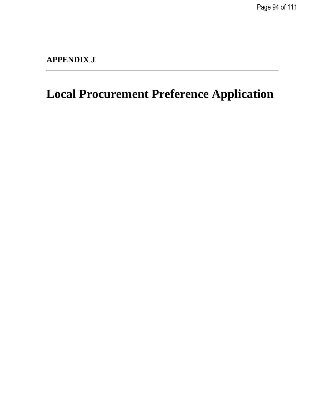Page 94 of 111

# **APPENDIX J**

# **Local Procurement Preference Application**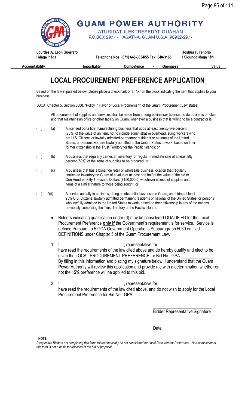

 **Accountability ∙ Impartiality ∙ Competence ∙ Openness ∙ Value**

# **LOCAL PROCUREMENT PREFERENCE APPLICATION**

Based on the law stipulated below, please place a checkmark or an "X" on the block indicating the item that applies to your business:

5GCA, Chapter 5, Section 5008, "Policy in Favor of Local Procurement" of the Guam Procurement Law states:

All procurement of supplies and services shall be made from among businesses licensed to do business on Guam and that maintains an office or other facility on Guam, whenever a business that is willing to be a contractor is:

- ( ) (a) A licensed bona fide manufacturing business that adds at least twenty-five percent (25%) of the value of an item, not to include administrative overhead, suing workers who are U.S. Citizens or lawfully admitted permanent residents or nationals of the United States, or persons who are lawfully admitted to the United States to work, based on their former citizenship in the Trust Territory for the Pacific Islands; or
- ( ) (b) A business that regularly carries an inventory for regular immediate sale of at least fifty percent (50%) of the items of supplies to be procured; or
- ( ) (c) A business that has a bona fide retail or wholesale business location that regularly carries an inventory on Guam of a value of at least one half of the value of the bid or One Hundred Fifty Thousand Dollars (\$150,000.0) whichever is less, of supplies and items of a similar nature to those being sought; or
- ()  $*(d)$  A service actually in business, doing a substantial business on Guam, and hiring at least 95% U.S. Citizens, lawfully admitted permanent residents or national of the United States, or persons who lawfully admitted to the United States to work, based on their citizenship in any of the nations previously comprising the Trust Territory of the Pacific Islands.
	- Bidders indicating qualification under (d) may be considered QUALIFIED for the Local Procurement Preference **only if** the Government's requirement is for service. Service is defined Pursuant to 5 GCA Government Operations Subparagraph 5030 entitled DEFINITIONS under Chapter 5 of the Guam Procurement Law.
	- 1. I , representative for , have read the requirements of the law cited above and do hereby qualify and elect to be given the LOCAL PROCUREMENT PREFERENCE for Bid No.: GPA By filling in this information and placing my signature below, I understand that the Guam Power Authority will review this application and provide me with a determination whether or not the 15% preference will be applied to this bid.
	- 2. I  $\frac{1}{2}$  representative for have read the requirements of the law cited above, and do not wish to apply for the Local Procurement Preference for Bid No.: GPA .

Bidder Representative Signature

Date

**NOTE:**

Prospective Bidders not completing this form will automatically be not considered for Local Procurement Preference. Non-completion of *this form is not a basis for rejection of the bid or proposal.*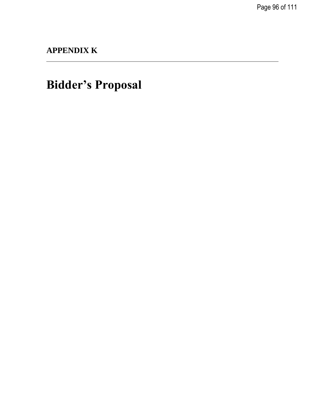Page 96 of 111

**APPENDIX K**

**Bidder's Proposal**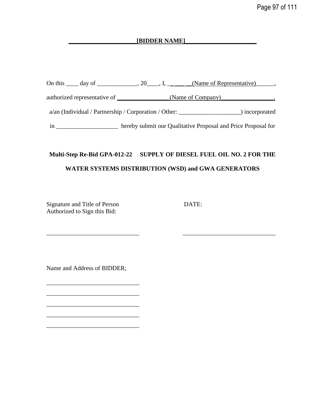## **\_\_\_\_\_\_\_\_\_\_\_\_\_\_\_\_\_\_\_\_\_\_[BIDDER NAME]\_\_\_\_\_\_\_\_\_\_\_\_\_\_\_\_\_\_\_\_\_\_\_**

|    | On this $\_\_\_$ day of $\_\_\_\_\_$ , 20, I, $\_\_\_\_\_\_\_\_$ (Name of Representative), |                |
|----|--------------------------------------------------------------------------------------------|----------------|
|    |                                                                                            |                |
|    | $a/\text{an}$ (Individual / Partnership / Corporation / Other:                             | ) incorporated |
| 1n | hereby submit our Qualitative Proposal and Price Proposal for                              |                |

# **Multi-Step Re-Bid GPA-012-22 SUPPLY OF DIESEL FUEL OIL NO. 2 FOR THE WATER SYSTEMS DISTRIBUTION (WSD) and GWA GENERATORS**

\_\_\_\_\_\_\_\_\_\_\_\_\_\_\_\_\_\_\_\_\_\_\_\_\_\_\_\_\_\_ \_\_\_\_\_\_\_\_\_\_\_\_\_\_\_\_\_\_\_\_\_\_\_\_\_\_\_\_\_\_

Signature and Title of Person DATE: Authorized to Sign this Bid:

Name and Address of BIDDER;

\_\_\_\_\_\_\_\_\_\_\_\_\_\_\_\_\_\_\_\_\_\_\_\_\_\_\_\_\_\_

\_\_\_\_\_\_\_\_\_\_\_\_\_\_\_\_\_\_\_\_\_\_\_\_\_\_\_\_\_\_

\_\_\_\_\_\_\_\_\_\_\_\_\_\_\_\_\_\_\_\_\_\_\_\_\_\_\_\_\_\_

\_\_\_\_\_\_\_\_\_\_\_\_\_\_\_\_\_\_\_\_\_\_\_\_\_\_\_\_\_\_

 $\overline{\phantom{a}}$  , and the contract of the contract of the contract of the contract of the contract of the contract of the contract of the contract of the contract of the contract of the contract of the contract of the contrac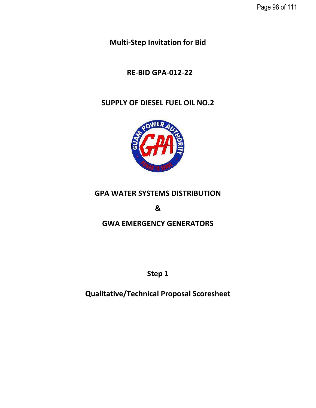**Multi-Step Invitation for Bid** 

# **RE-BID GPA-012-22**

# **SUPPLY OF DIESEL FUEL OIL NO.2**



# **GPA WATER SYSTEMS DISTRIBUTION**

**&**

# **GWA EMERGENCY GENERATORS**

**Step 1**

**Qualitative/Technical Proposal Scoresheet**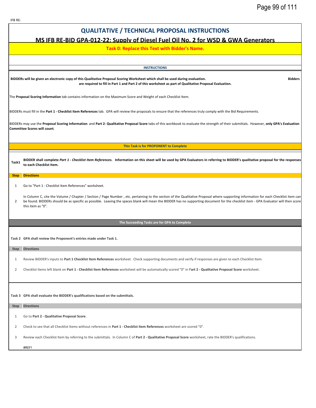## **QUALITATIVE / TECHNICAL PROPOSAL INSTRUCTIONS**

## **MS IFB RE-BID GPA-012-22: Supply of Diesel Fuel Oil No. 2 for WSD & GWA Generators**

#### **Task 0: Replace this Text with Bidder's Name.**

**INSTRUCTIONS**

**BIDDERs will be given an electronic copy of this Qualitative Proposal Scoring Worksheet which shall be used during evaluation. Bidders are required to fill in Part 1 and Part 2 of this worksheet as part of Qualitative Proposal Evaluation.** 

The **Proposal Scoring Information** tab contains information on the Maximum Score and Weight of each Checklist Item.

BIDDERs must fill in the **Part 1 - Checklist Item References** tab. GPA will review the proposals to ensure that the references truly comply with the Bid Requirements.

BIDDERs may use the **Proposal Scoring Information** and **Part 2- Qualitative Proposal Score** tabs of this workbook to evaluate the strength of their submittals. However, **only GPA's Evaluation Committee Scores will count**.

**This Task is for PROPONENT to Complete**

BIDDER shall complete Part 1 - Checklist Item References. Information on this sheet will be used by GPA Evaluators in referring to BIDDER's qualitative proposal for the responses **to each Checklist Item.** 

#### **Step Directions**

1 Go to "Part 1 - Checklist Item References" worksheet.

2 In Column C, cite the Volume / Chapter / Section / Page Number , etc. pertaining to the section of the Qualitative Proposal where supporting information for each Checklist item can be found. BIDDERs should be as specific as possible. Leaving the spaces blank will mean the BIDDER has no supporting document for the checklist item - GPA Evaluator will then score this item as "0".

#### **The Succeeding Tasks are for GPA to Complete**

**Task 2 GPA shall review the Proponent's entries made under Task 1.** 

#### **Step Directions**

- 1 Review BIDDER's inputs to **Part 1 Checklist Item References** worksheet. Check supporting documents and verify if responses are given to each Checklist Item.
- 2 Checklist Items left blank on **Part 1 Checklist Item References** worksheet will be automatically scored "0" in P**art 2 Qualitative Proposal Score** worksheet.

**Task 3 GPA shall evaluate the BIDDER's qualifications based on the submittals.** 

#### **Step Directions**

- 1 Go to **Part 2 Qualitative Proposal Score**.
- 2 Check to see that all Checklist Items without references in **Part 1 Checklist Item References** worksheet are scored "0".
- 3 Review each Checklist Item by referring to the submittals. In Column C of **Part 2 Qualitative Proposal Score** worksheet, rate the BIDDER's qualifications.

#REF!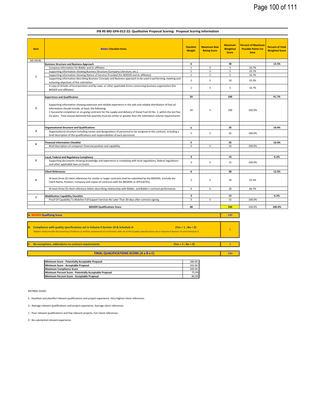240

| <b>Score</b><br>MS IFB RE-<br>6<br>30<br><b>Business Structure and Business Approach</b><br>5<br>$\mathbf{1}$<br>5<br>Company Information for Bidder and its affiliates<br>5<br>5<br>Supporting information showing Business Structure (Company Literature, etc.)<br>$\mathbf{1}$<br>$\mathbf{1}$<br>5<br>5<br>Supporting information showing Nature of Services Provided (for BIDDER and its affiliates)<br>$\mathbf{1}$<br>Supporting information describing Business Concepts and Business approach to be used in performing, meeting and<br>$\overline{2}$<br>5<br>10<br>achieving objectives of this solicitation<br>A copy of Articles of Incorporation and By-Laws, or other applicable forms concerning business organization (for<br>5<br>$\mathbf{1}$<br>5<br><b>BIDDER</b> and affiliates)<br>20<br>100<br><b>Experience and Qualification</b><br>Supporting information showing extensive and reliable experience in the safe and reliable distribution of fuel oil.<br>$\overline{2}$<br>Information should include, at least, the following:<br>20<br>5<br>100<br>. Successful completion or on-going contracts for the supply and delivery of Diesel Fuel Oil No. 2, within the last five<br>(5) years. Total annual delivered fuel quantity must be similar or greater than the Solicitation volume requirements.<br>25<br><b>Organizational Structure and Qualifications</b><br>5<br>3<br>Organizational structure including names and designations of personnel to be assigned ot this contract, including a<br>5<br>5<br>25<br>brief description of the qualifications and responsibilities of each personnel.<br>5<br>25<br><b>Financial Information Checklist</b><br>4<br>5.<br>5<br>25<br>Brief description of company's financial position and capability. | <b>Item</b><br>16.7%<br>16.7%<br>16.7%<br>33.3%<br>16.7%<br>100.0% | 12.5%<br>41.7% |
|-----------------------------------------------------------------------------------------------------------------------------------------------------------------------------------------------------------------------------------------------------------------------------------------------------------------------------------------------------------------------------------------------------------------------------------------------------------------------------------------------------------------------------------------------------------------------------------------------------------------------------------------------------------------------------------------------------------------------------------------------------------------------------------------------------------------------------------------------------------------------------------------------------------------------------------------------------------------------------------------------------------------------------------------------------------------------------------------------------------------------------------------------------------------------------------------------------------------------------------------------------------------------------------------------------------------------------------------------------------------------------------------------------------------------------------------------------------------------------------------------------------------------------------------------------------------------------------------------------------------------------------------------------------------------------------------------------------------------------------------------------------------------------------|--------------------------------------------------------------------|----------------|
|                                                                                                                                                                                                                                                                                                                                                                                                                                                                                                                                                                                                                                                                                                                                                                                                                                                                                                                                                                                                                                                                                                                                                                                                                                                                                                                                                                                                                                                                                                                                                                                                                                                                                                                                                                                   |                                                                    |                |
|                                                                                                                                                                                                                                                                                                                                                                                                                                                                                                                                                                                                                                                                                                                                                                                                                                                                                                                                                                                                                                                                                                                                                                                                                                                                                                                                                                                                                                                                                                                                                                                                                                                                                                                                                                                   |                                                                    |                |
|                                                                                                                                                                                                                                                                                                                                                                                                                                                                                                                                                                                                                                                                                                                                                                                                                                                                                                                                                                                                                                                                                                                                                                                                                                                                                                                                                                                                                                                                                                                                                                                                                                                                                                                                                                                   |                                                                    |                |
|                                                                                                                                                                                                                                                                                                                                                                                                                                                                                                                                                                                                                                                                                                                                                                                                                                                                                                                                                                                                                                                                                                                                                                                                                                                                                                                                                                                                                                                                                                                                                                                                                                                                                                                                                                                   |                                                                    |                |
|                                                                                                                                                                                                                                                                                                                                                                                                                                                                                                                                                                                                                                                                                                                                                                                                                                                                                                                                                                                                                                                                                                                                                                                                                                                                                                                                                                                                                                                                                                                                                                                                                                                                                                                                                                                   |                                                                    |                |
|                                                                                                                                                                                                                                                                                                                                                                                                                                                                                                                                                                                                                                                                                                                                                                                                                                                                                                                                                                                                                                                                                                                                                                                                                                                                                                                                                                                                                                                                                                                                                                                                                                                                                                                                                                                   |                                                                    |                |
|                                                                                                                                                                                                                                                                                                                                                                                                                                                                                                                                                                                                                                                                                                                                                                                                                                                                                                                                                                                                                                                                                                                                                                                                                                                                                                                                                                                                                                                                                                                                                                                                                                                                                                                                                                                   |                                                                    |                |
|                                                                                                                                                                                                                                                                                                                                                                                                                                                                                                                                                                                                                                                                                                                                                                                                                                                                                                                                                                                                                                                                                                                                                                                                                                                                                                                                                                                                                                                                                                                                                                                                                                                                                                                                                                                   |                                                                    |                |
|                                                                                                                                                                                                                                                                                                                                                                                                                                                                                                                                                                                                                                                                                                                                                                                                                                                                                                                                                                                                                                                                                                                                                                                                                                                                                                                                                                                                                                                                                                                                                                                                                                                                                                                                                                                   |                                                                    |                |
|                                                                                                                                                                                                                                                                                                                                                                                                                                                                                                                                                                                                                                                                                                                                                                                                                                                                                                                                                                                                                                                                                                                                                                                                                                                                                                                                                                                                                                                                                                                                                                                                                                                                                                                                                                                   |                                                                    |                |
|                                                                                                                                                                                                                                                                                                                                                                                                                                                                                                                                                                                                                                                                                                                                                                                                                                                                                                                                                                                                                                                                                                                                                                                                                                                                                                                                                                                                                                                                                                                                                                                                                                                                                                                                                                                   |                                                                    |                |
|                                                                                                                                                                                                                                                                                                                                                                                                                                                                                                                                                                                                                                                                                                                                                                                                                                                                                                                                                                                                                                                                                                                                                                                                                                                                                                                                                                                                                                                                                                                                                                                                                                                                                                                                                                                   |                                                                    |                |
|                                                                                                                                                                                                                                                                                                                                                                                                                                                                                                                                                                                                                                                                                                                                                                                                                                                                                                                                                                                                                                                                                                                                                                                                                                                                                                                                                                                                                                                                                                                                                                                                                                                                                                                                                                                   |                                                                    | 10.4%          |
|                                                                                                                                                                                                                                                                                                                                                                                                                                                                                                                                                                                                                                                                                                                                                                                                                                                                                                                                                                                                                                                                                                                                                                                                                                                                                                                                                                                                                                                                                                                                                                                                                                                                                                                                                                                   | 100.0%                                                             |                |
|                                                                                                                                                                                                                                                                                                                                                                                                                                                                                                                                                                                                                                                                                                                                                                                                                                                                                                                                                                                                                                                                                                                                                                                                                                                                                                                                                                                                                                                                                                                                                                                                                                                                                                                                                                                   |                                                                    |                |
|                                                                                                                                                                                                                                                                                                                                                                                                                                                                                                                                                                                                                                                                                                                                                                                                                                                                                                                                                                                                                                                                                                                                                                                                                                                                                                                                                                                                                                                                                                                                                                                                                                                                                                                                                                                   | 100.0%                                                             | 10.4%          |
|                                                                                                                                                                                                                                                                                                                                                                                                                                                                                                                                                                                                                                                                                                                                                                                                                                                                                                                                                                                                                                                                                                                                                                                                                                                                                                                                                                                                                                                                                                                                                                                                                                                                                                                                                                                   |                                                                    |                |
|                                                                                                                                                                                                                                                                                                                                                                                                                                                                                                                                                                                                                                                                                                                                                                                                                                                                                                                                                                                                                                                                                                                                                                                                                                                                                                                                                                                                                                                                                                                                                                                                                                                                                                                                                                                   |                                                                    |                |
| 3<br>15<br>Local, Federal and Regulatory Compliance                                                                                                                                                                                                                                                                                                                                                                                                                                                                                                                                                                                                                                                                                                                                                                                                                                                                                                                                                                                                                                                                                                                                                                                                                                                                                                                                                                                                                                                                                                                                                                                                                                                                                                                               |                                                                    | 6.3%           |
| 5<br>Supporting documents showing knowledge and experience in complying with local regulations, federal regulations<br>$\overline{3}$<br>5<br>15<br>and other applicable laws on Guam.                                                                                                                                                                                                                                                                                                                                                                                                                                                                                                                                                                                                                                                                                                                                                                                                                                                                                                                                                                                                                                                                                                                                                                                                                                                                                                                                                                                                                                                                                                                                                                                            | 100.0%                                                             |                |
|                                                                                                                                                                                                                                                                                                                                                                                                                                                                                                                                                                                                                                                                                                                                                                                                                                                                                                                                                                                                                                                                                                                                                                                                                                                                                                                                                                                                                                                                                                                                                                                                                                                                                                                                                                                   |                                                                    |                |
| <b>Client References</b><br>6<br>30                                                                                                                                                                                                                                                                                                                                                                                                                                                                                                                                                                                                                                                                                                                                                                                                                                                                                                                                                                                                                                                                                                                                                                                                                                                                                                                                                                                                                                                                                                                                                                                                                                                                                                                                               |                                                                    | 12.5%          |
| At least three (3) client references for similar or larger contracts shall be submitted by the BIDDERs (include the<br>6<br>$\overline{2}$<br>5<br>10<br>Client Name, Position, Company and copies of contracts with the BIDDERs or AFFILIATES).                                                                                                                                                                                                                                                                                                                                                                                                                                                                                                                                                                                                                                                                                                                                                                                                                                                                                                                                                                                                                                                                                                                                                                                                                                                                                                                                                                                                                                                                                                                                  | 33.3%                                                              |                |
| $\overline{4}$<br>5<br>20<br>At least three (3) client reference letters describing relationship with Bidder, and Bidder's contract performance.                                                                                                                                                                                                                                                                                                                                                                                                                                                                                                                                                                                                                                                                                                                                                                                                                                                                                                                                                                                                                                                                                                                                                                                                                                                                                                                                                                                                                                                                                                                                                                                                                                  | 66.7%                                                              |                |
|                                                                                                                                                                                                                                                                                                                                                                                                                                                                                                                                                                                                                                                                                                                                                                                                                                                                                                                                                                                                                                                                                                                                                                                                                                                                                                                                                                                                                                                                                                                                                                                                                                                                                                                                                                                   |                                                                    |                |
| <b>Mobilization Capability Checklist</b><br>3<br>15<br>$\overline{7}$                                                                                                                                                                                                                                                                                                                                                                                                                                                                                                                                                                                                                                                                                                                                                                                                                                                                                                                                                                                                                                                                                                                                                                                                                                                                                                                                                                                                                                                                                                                                                                                                                                                                                                             |                                                                    | 6.3%           |
| Proof Of Capability To Mobilize Full Support Services No Later Than 30 days after contract signing<br>15<br>3<br>5                                                                                                                                                                                                                                                                                                                                                                                                                                                                                                                                                                                                                                                                                                                                                                                                                                                                                                                                                                                                                                                                                                                                                                                                                                                                                                                                                                                                                                                                                                                                                                                                                                                                | 100.0%                                                             |                |
|                                                                                                                                                                                                                                                                                                                                                                                                                                                                                                                                                                                                                                                                                                                                                                                                                                                                                                                                                                                                                                                                                                                                                                                                                                                                                                                                                                                                                                                                                                                                                                                                                                                                                                                                                                                   |                                                                    |                |
| <b>BIDDER Qualifications Score</b><br>48<br>240                                                                                                                                                                                                                                                                                                                                                                                                                                                                                                                                                                                                                                                                                                                                                                                                                                                                                                                                                                                                                                                                                                                                                                                                                                                                                                                                                                                                                                                                                                                                                                                                                                                                                                                                   |                                                                    | 100.0%         |

#### **IFB RE-BID GPA-012-22: Qualitative Proposal Scoring: Proposal Scoring Information**

240 1 1 **B.** Compliance with quality specifications set in Volume II Section 10 & Schedule A. (Yes = 1; No = 0) Bidders shall provide Documentary Evidence (a written statement) of conformity with all of the Quality Specifications set in Volume II Section 10 and Schedule A. **C**. **No exceptions, addendums to contract requirements (Yes = 1 ; No = 0) A. BIDDER Qualifying Score**

**FINAL QUALIFICATIONS SCORE (A x B x C)**

| Minimum Score - Potentially Acceptable Proposal         |        |
|---------------------------------------------------------|--------|
| Minimum Score - Acceptable Proposal                     | 192.00 |
| <b>Maximum Compliance Score</b>                         | 240.00 |
| Minimum Percent Score - Potentially Acceptable Proposal | 75.0%  |
| Minimum Percent Score - Acceptable Proposal             | 80.0%  |

RATINGS GUIDE:

5 - Excellent and plentiful relevant qualifications and project experience. Very highest client references.

3 - Average relevant qualifications and project experience. Average client references.

1 - Poor relevant qualifications and few relevant projects. Fair Client references.

0 - No substantial relevant experience.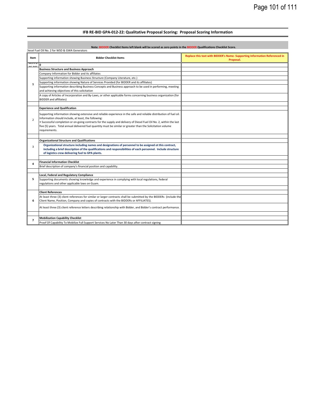#### **IFB RE-BID GPA-012-22: Qualitative Proposal Scoring: Proposal Scoring Information**

Ē.

| Item                                                | <b>Bidder Checklist Items</b>                                                                                                                                                                                                                                                | Replace this text with BIDDER's Name- Supporting Information Referenced in<br>Proposal. |
|-----------------------------------------------------|------------------------------------------------------------------------------------------------------------------------------------------------------------------------------------------------------------------------------------------------------------------------------|-----------------------------------------------------------------------------------------|
| $\frac{1}{\sqrt{2\ln \epsilon_{\rm DM}}}$<br>or nin |                                                                                                                                                                                                                                                                              |                                                                                         |
|                                                     | <b>Business Structure and Business Approach</b>                                                                                                                                                                                                                              |                                                                                         |
|                                                     | Company Information for Bidder and its affiliates                                                                                                                                                                                                                            |                                                                                         |
|                                                     | Supporting information showing Business Structure (Company Literature, etc.)                                                                                                                                                                                                 |                                                                                         |
| $\mathbf{1}$                                        | Supporting information showing Nature of Services Provided (for BIDDER and its affiliates)                                                                                                                                                                                   |                                                                                         |
|                                                     | Supporting information describing Business Concepts and Business approach to be used in performing, meeting<br>and achieving objectives of this solicitation                                                                                                                 |                                                                                         |
|                                                     | A copy of Articles of Incorporation and By-Laws, or other applicable forms concerning business organization (for<br><b>BIDDER</b> and affiliates)                                                                                                                            |                                                                                         |
|                                                     | <b>Experience and Qualification</b>                                                                                                                                                                                                                                          |                                                                                         |
| $\overline{2}$                                      | Supporting information showing extensive and reliable experience in the safe and reliable distribution of fuel oil.<br>Information should include, at least, the following:                                                                                                  |                                                                                         |
|                                                     | . Successful completion or on-going contracts for the supply and delivery of Diesel Fuel Oil No. 2, within the last<br>five (5) years. Total annual delivered fuel quantity must be similar or greater than the Solicitation volume<br>requirements.                         |                                                                                         |
|                                                     | <b>Organizational Structure and Qualifications</b>                                                                                                                                                                                                                           |                                                                                         |
| 3                                                   | Organizational structure including names and designations of personnel to be assigned ot this contract,<br>including a brief description of the qualifications and responsibilities of each personnel. Include structure<br>of logistics crew delivering fuel to GPA plants. |                                                                                         |
|                                                     | <b>Financial Information Checklist</b>                                                                                                                                                                                                                                       |                                                                                         |
| 4                                                   | Brief description of company's financial position and capability.                                                                                                                                                                                                            |                                                                                         |
|                                                     | Local, Federal and Regulatory Compliance                                                                                                                                                                                                                                     |                                                                                         |
| 5                                                   | Supporting documents showing knowledge and experience in complying with local regulations, federal<br>regulations and other applicable laws on Guam.                                                                                                                         |                                                                                         |
|                                                     | <b>Client References</b>                                                                                                                                                                                                                                                     |                                                                                         |
|                                                     | At least three (3) client references for similar or larger contracts shall be submitted by the BIDDERs (include the                                                                                                                                                          |                                                                                         |
| 6                                                   | Client Name, Position, Company and copies of contracts with the BIDDERs or AFFILIATES).                                                                                                                                                                                      |                                                                                         |
|                                                     | At least three (3) client reference letters describing relationship with Bidder, and Bidder's contract performance.                                                                                                                                                          |                                                                                         |
|                                                     |                                                                                                                                                                                                                                                                              |                                                                                         |
|                                                     | <b>Mobilization Capability Checklist</b>                                                                                                                                                                                                                                     |                                                                                         |
| $\overline{7}$                                      | Proof Of Capability To Mobilize Full Support Services No Later Than 30 days after contract signing                                                                                                                                                                           |                                                                                         |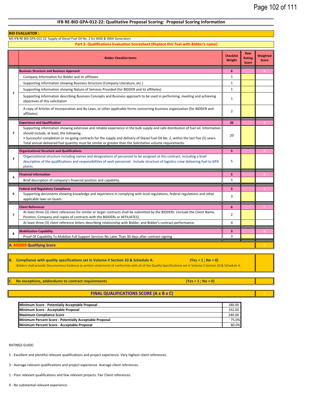#### **IFB RE-BID GPA-012-22: Qualitative Proposal Scoring: Proposal Scoring Information**

|                         | <b>BID EVALUATOR:</b>                                                                                                                                                                                                                                                                                                                                                                                                               |                            |                                      |                          |
|-------------------------|-------------------------------------------------------------------------------------------------------------------------------------------------------------------------------------------------------------------------------------------------------------------------------------------------------------------------------------------------------------------------------------------------------------------------------------|----------------------------|--------------------------------------|--------------------------|
|                         | MS IFB RE-BID GPA-012-22: Supply of Diesel Fuel Oil No. 2 for WSD & GWA Generators<br>Part 2- Qualifications Evaluation Scoresheet (Replace this Text with Bidder's name)                                                                                                                                                                                                                                                           |                            |                                      |                          |
|                         | <b>Bidder Checklist Items</b>                                                                                                                                                                                                                                                                                                                                                                                                       | <b>Checklist</b><br>Weight | Raw<br><b>Rating</b><br><b>Score</b> | Weighted<br><b>Score</b> |
|                         | <b>Business Structure and Business Approach</b>                                                                                                                                                                                                                                                                                                                                                                                     | 6                          |                                      | $\mathbf{0}$             |
|                         | Company Information for Bidder and its affiliates                                                                                                                                                                                                                                                                                                                                                                                   | $\mathbf{1}$               |                                      |                          |
|                         | Supporting information showing Business Structure (Company Literature, etc.)                                                                                                                                                                                                                                                                                                                                                        | $\mathbf{1}$               |                                      |                          |
| 1                       | Supporting information showing Nature of Services Provided (for BIDDER and its affiliates)                                                                                                                                                                                                                                                                                                                                          | $\mathbf{1}$               |                                      |                          |
|                         | Supporting information describing Business Concepts and Business approach to be used in performing, meeting and achieving<br>objectives of this solicitation                                                                                                                                                                                                                                                                        | $\mathbf{1}$               |                                      |                          |
|                         | A copy of Articles of Incorporation and By-Laws, or other applicable forms concerning business organization (for BIDDER and<br>affiliates)                                                                                                                                                                                                                                                                                          | $\overline{2}$             |                                      |                          |
|                         | <b>Experience and Qualification</b>                                                                                                                                                                                                                                                                                                                                                                                                 | 20                         |                                      |                          |
| $\overline{2}$          | Supporting information showing extensive and reliable experience in the bulk supply and safe distribution of fuel oil. Information<br>should include, at least, the following:<br>• Successful completion or on-going contracts for the supply and delivery of Diesel Fuel Oil No. 2, within the last five (5) years.<br>Total annual delivered fuel quantity must be similar or greater than the Solicitation volume requirements. | 20                         |                                      |                          |
|                         | <b>Organizational Structure and Qualifications</b>                                                                                                                                                                                                                                                                                                                                                                                  | 5                          |                                      | $\Omega$                 |
| $\overline{\mathbf{3}}$ | Organizational structure including names and designations of personnel to be assigned ot this contract, including a brief<br>description of the qualifications and responsibilities of each personnel. Include structure of logistics crew delivering fuel to GPA<br>plants.                                                                                                                                                        | 5                          |                                      |                          |
|                         | <b>Financial Information</b>                                                                                                                                                                                                                                                                                                                                                                                                        | 5                          |                                      | $\mathbf{0}$             |
| 4                       | Brief description of company's financial position and capability.                                                                                                                                                                                                                                                                                                                                                                   | 5                          |                                      |                          |
|                         | <b>Federal and Regulatory Compliance</b>                                                                                                                                                                                                                                                                                                                                                                                            | 3                          |                                      | $\mathbf{0}$             |
| 6                       | Supporting documents showing knowledge and experience in complying with local regulations, federal regulations and other<br>applicable laws on Guam.                                                                                                                                                                                                                                                                                | 3                          |                                      |                          |
|                         | <b>Client References</b>                                                                                                                                                                                                                                                                                                                                                                                                            | 6                          |                                      | $\Omega$                 |
| $\overline{\mathbf{z}}$ | At least three (3) client references for similar or larger contracts shall be submitted by the BIDDERs (include the Client Name,<br>Position, Company and copies of contracts with the BIDDERs or AFFILIATES).                                                                                                                                                                                                                      | $\overline{2}$             |                                      |                          |
|                         | At least three (3) client reference letters describing relationship with Bidder, and Bidder's contract performance.                                                                                                                                                                                                                                                                                                                 | 4                          |                                      |                          |
| 8                       | <b>Mobilization Capability</b>                                                                                                                                                                                                                                                                                                                                                                                                      | 3                          |                                      | $\mathbf{0}$             |
|                         | Proof Of Capability To Mobilize Full Support Services No Later Than 30 days after contract signing                                                                                                                                                                                                                                                                                                                                  | 3                          |                                      |                          |
|                         | <b>BIDDER Qualifying Score</b>                                                                                                                                                                                                                                                                                                                                                                                                      |                            |                                      | $\Omega$                 |

**B. Compliance with quality specifications set in Volume II Section 10 & Schedule A.** (Yes = 1; No = 0) Bidders shall provide Documentary Evidence (a written statement) of conformity with all of the Quality Specifications set in Volume II Section 10 & Schedule A.

**No exceptions, addendums to contract requirements** (Yes = 1; No = 0)

**FINAL QUALIFICATIONS SCORE (A x B x C)**

| Minimum Score - Potentially Acceptable Proposal         | 180.00 |
|---------------------------------------------------------|--------|
| <b>Minimum Score - Acceptable Proposal</b>              | 192.00 |
| <b>Maximum Compliance Score</b>                         | 240.00 |
| Minimum Percent Score - Potentially Acceptable Proposal | 75.0%  |
| <b>IMinimum Percent Score - Acceptable Proposal</b>     | 80.0%  |

RATINGS GUIDE:

5 - Excellent and plentiful relevant qualifications and project experience. Very highest client references.

3 - Average relevant qualifications and project experience. Average client references.

1 - Poor relevant qualifications and few relevant projects. Fair Client references.

0 - No substantial relevant experience.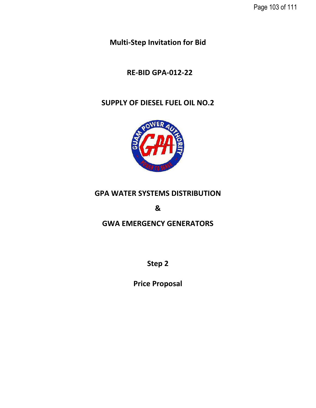**Multi-Step Invitation for Bid** 

# **RE-BID GPA-012-22**

# **SUPPLY OF DIESEL FUEL OIL NO.2**



# **GPA WATER SYSTEMS DISTRIBUTION**

**&**

## **GWA EMERGENCY GENERATORS**

**Step 2**

**Price Proposal**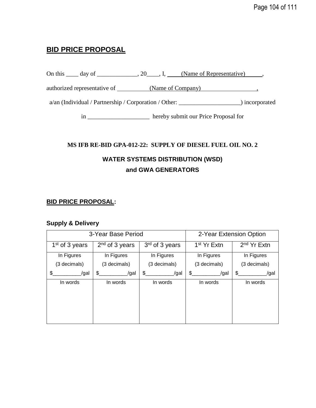## **BID PRICE PROPOSAL**

On this  $\_\_\_$  day of  $\_\_\_\_\_$ , 20 $\_\_\_\_$ , I,  $\_\_\_\_\_\_\_\_\_\$  (Name of Representative),

authorized representative of (Name of Company) ,

a/an (Individual / Partnership / Corporation / Other: \_\_\_\_\_\_\_\_\_\_\_\_\_\_\_\_\_\_\_\_) incorporated

in \_\_\_\_\_\_\_\_\_\_\_\_\_\_\_\_\_\_\_\_ hereby submit our Price Proposal for

## **MS IFB RE-BID GPA-012-22: SUPPLY OF DIESEL FUEL OIL NO. 2**

## **WATER SYSTEMS DISTRIBUTION (WSD) and GWA GENERATORS**

## **BID PRICE PROPOSAL:**

## **Supply & Delivery**

| 3-Year Base Period |                  |                | 2-Year Extension Option |                         |
|--------------------|------------------|----------------|-------------------------|-------------------------|
| $1st$ of 3 years   | $2nd$ of 3 years | 3rd of 3 years | 1 <sup>st</sup> Yr Extn | 2 <sup>nd</sup> Yr Extn |
| In Figures         | In Figures       | In Figures     | In Figures              | In Figures              |
| (3 decimals)       | (3 decimals)     | (3 decimals)   | (3 decimals)            | (3 decimals)            |
| \$.<br>/gal        | \$<br>/gal       | \$<br>/gal     | \$<br>/gal              | S.<br>/gal              |
| In words           | In words         | In words       | In words                | In words                |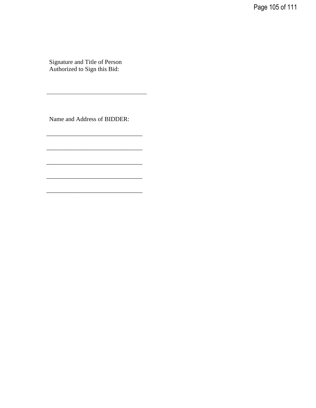Page 105 of 111

Signature and Title of Person Authorized to Sign this Bid:

Name and Address of BIDDER:

\_\_\_\_\_\_\_\_\_\_\_\_\_\_\_\_\_\_\_\_\_\_\_\_\_\_\_\_\_\_\_

\_\_\_\_\_\_\_\_\_\_\_\_\_\_\_\_\_\_\_\_\_\_\_\_\_\_\_\_\_\_\_

\_\_\_\_\_\_\_\_\_\_\_\_\_\_\_\_\_\_\_\_\_\_\_\_\_\_\_\_\_\_\_

\_\_\_\_\_\_\_\_\_\_\_\_\_\_\_\_\_\_\_\_\_\_\_\_\_\_\_\_\_\_\_

\_\_\_\_\_\_\_\_\_\_\_\_\_\_\_\_\_\_\_\_\_\_\_\_\_\_\_\_\_\_\_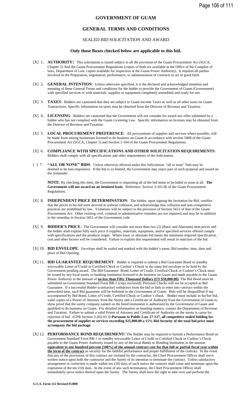### **GOVERNMENT OF GUAM**

### **GENERAL TERMS AND CONDITIONS**

#### SEALED BID SOLICITATION AND AWARD

#### **Only those Boxes checked below are applicable to this bid.**

- [X] 1. **AUTHORITY:** This solicitation is issued subject to all the provision of the Guam Procurement Act (5GCA, Chapter 5) And the Guam Procurement Regulations (copies of both are available at the Office of the Complier of laws, Department of Law, copies available for inspection at the Guam Power Authority). It requires all parties involved in the Preparation, negotiation, performance, or administration of contracts to act in good faith.
- [X] 2. **GENERAL INTENTION**: Unless otherwise specified, it is the declared and acknowledged intention and meaning of these General Terms and conditions for the bidder to provide the Government of Guam (Government) with specified services or with materials, supplies or equipment completely assembled and ready for use.
- [X] 3. **TAXES**: Bidders are cautioned that they are subject to Guam Income Taxes as well as all other taxes on Guam Transactions. Specific information on taxes may be obtained from the Director of Revenue and Taxation.
- [X] 4. **LICENSING**: Bidders are cautioned that the Government will not consider for award any offer submitted by a bidder who has not complied with the Guam Licensing Law. Specific information on licenses may be obtained from the Director of Revenue and Taxation.
- [X] 5. **LOCAL PROCUREMENT PREFERENCE**: All procurement of supplies and services where possible, will be made from among businesses licensed to do business on Guam in accordance with section 5008 of the Guam Procurement Act (5GCA, Chapter 5) and Section 1-104 of the Guam Procurement Regulations.
- [X] 6. **COMPLIANCE WITH SPECIFICATIONS AND OTHER SOLICITATION REQUIREMENTS**: Bidders shall comply with all specifications and other requirements of the Solicitation.
- [ ] 7. **"ALL OR NONE" BIDS**: Unless otherwise allowed under this Solicitation. "all or none" bids may be deemed to be non-responsive. If the bid is so limited, the Government may reject part of such proposal and award on the remainder.

**NOTE**: By checking this item, the Government is requesting all of the bid items to be bided or none at all. **The Government will not award on an itemized basis**. Reference: Section 3-101.06 of the Guam Procurement Regulations.

- [X] 8. **INDEPENDENT PRICE DETERMINATION**: The bidder, upon signing the Invitation for Bid, certifies that the prices in his bid were derived at without collusion, and acknowledge that collusion and anti-competitive practices are prohibited by law. Violations will be subject to the provision of Section 5651 of that of the Guam Procurement Act. Other existing civil, criminal or administrative remedies are not impaired and may be in addition to the remedies in Section 5651 of the Government code.
- [X] 9. **BIDDER'S PRICE**: The Government will consider not more than two (2) (Basic and Alternate) item prices and the bidder shall explain fully each price if supplies, materials, equipment, and/or specified services offered comply with specifications and the products origin. Where basic or alternate bid meets the minimum required specification, cost and other factors will be considered. Failure to explain this requirement will result in rejection of the bid.
- [X] 10. **BID ENVELOPE**: Envelope shall be sealed and marked with the bidder's name, Bid number, time, date and place of Bid Opening.
- [X] 11. **BID GUARANTEE REQUIREMENT**: Bidder is required to submit a Bid Guarantee Bond or standby irrevocable Letter of Credit or Certified Check or Cashier's Check in the same bid envelope to be held by the Government pending award. The Bid Guarantee Bond, Letter of Credit, Certified Check or Cashier's Check must be issued by any local surety or banking institution licensed to do business on Guam and made payable to the Guam Power Authority in the amount of **no less than Fifty Thousand Dollars (US \$50,000.00)**. The Bid Bond must be submitted on Government Standard Form BB-1 (copy enclosed). Personal Checks will not be accepted as Bid Guarantee. If a successful Bidder (contractor) withdraws from the bid or fails to enter into contract within the prescribed time, such Bid guarantee will be forfeited to the Government of Guam. Bids will be disqualified if not accompanied by Bid Bond, Letter of Credit, Certified Check or Cashier's check. Bidder must include in his/her bid, valid copies of a Power of Attorney from the Surety and a Certificate of Authority from the Government of Guam to show proof that the surety company named on the bond instrument is authorized by the Government of Guam and qualified to do business on Guam. For detailed information on bonding matters, contact the Department of Revenue and Taxation. Failure to submit a valid Power of Attorney and Certificate of Authority on the surety is cause for rejection of bid. (GPR Section 3-202.03.3) **Pursuant to Public Law 27-127, all competitive sealed bidding for the procurement of supplies or services exceeding \$25,000.00 a 15% Bid Security of the total bid price must accompany the bid package.**
- [X] 12. **PERFORMANCE BOND REQUIREMENT:** The Bidder may be required to furnish a Performance Bond on Government Standard Form BB-1 or standby irrevocable Letter of Credit or Certified Check or Cashier's Check payable to the Guam Power Authority issued by any of the local Banks or Bonding Institution in the amount **equivalent to one hundred percent (100%) of the annual contract cost for that full or partial fiscal year within the term of the contract** as security for the faithful performance and proper fulfillment of the contract. In the event that any of the provisions of this contract are violated by the contractor, the Chief Procurement Officer shall serve written notice upon both the contractor and the Surety of its intention to terminate the contract. Unless satisfactory arrangement or correction is made within ten (10) days of such notice the contract shall cease and terminate upon the expiration of the ten (10) days. In the event of any such termination, the Chief Procurement Officer shall immediately serve notice thereof upon the Surety. The Surety shall have the right to take over and perform the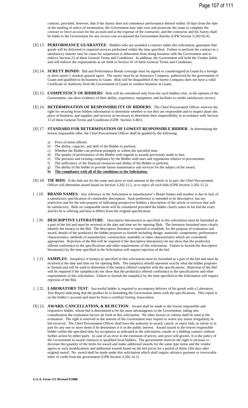contract, provided, however, that if the Surety does not commence performance thereof within 10 days from the date of the mailing of notice of termination, the Government may take over and prosecute the same to complete the contract or force account for the account and at the expense of the contractor, and the contractor and his Surety shall be liable to the Government for any excess cost occasioned the Government thereby (GPR Section 3-202.03.4).

- [X] 13. **PERFORMANCE GUARANTEE**: Bidders who are awarded a contract under this solicitation, guarantee that goods will be delivered or required services performed within the time specified. Failure to perform the contract in a satisfactory manner may be cause for suspension or debarment from doing business with the Government and to enforce Section 23 of these General Terms and Conditions. In addition, the Government will hold the Vendor liable and will enforce the requirements as set forth in Section 41 of these General Terms and Conditions.
- [X] 14. **SURETY BONDS**: Bid and Performance Bonds coverage must be signed or countersigned in Guam by a foreign or alien surety's resident general agent. The surety must be an Insurance Company, authorized by the government of Guam and qualified to do business in Guam. Bids will be disqualified if the Surety Company does not have a valid Certificate of Authority from the Government of Guam to conduct business in Guam.
- [X] 15. **COMPETENCY OF BIDDERS**: Bids will be considered only from the such bidders who, in the opinion of the Government, can show evidence of their ability, experience, equipment, and facilities to render satisfactory service.
- [X] 16. **DETERMINATION OF RESPONSIBILITY OF BIDDERS**: The Chief Procurement Officer reserves the right for securing from bidders information to determine whether or not they are responsible and to inspect plant site, place of business; and supplies and services as necessary to determine their responsibility in accordance with Section 15 of these General Terms and Conditions (GPR Section 3-401).
- [X] 17. **STANDARD FOR DETERMINATION OF LOWEST RESPONSIBLE BIDDER**: In determining the lowest responsible offer, the Chief Procurement Officer shall be guided by the following:
	- a) Price of items offered.
	- b) The ability, capacity, and skill of the Bidder to perform.
	- c) Whether the Bidder can perform promptly or within the specified time.
	- d) The quality of performance of the Bidder with regards to awards previously made to him.
	- e) The previous and existing compliance by the Bidder with laws and regulations relative to procurement.
	- f) The sufficiency of the financial resources and ability of the Bidder to perform.
	- g) The ability of the bidder to provide future maintenance and services for the subject of the award.<br> **h** The compliance with all of the conditions to the Solicitation.
	- **h) The compliance with all of the conditions to the Solicitation.**
- [X] 18. **TIE BIDS**: If the bids are for the same unit price or total amount in the whole or in part, the Chief Procurement Officer will determine award based on Section 3.202.15.2, or to reject all such bids (GPR Section 3-202.15.2).
- [ ] 19. **BRAND NAMES**: Any reference in the Solicitation to manufacturer's Brand Names and number is due to lack of a satisfactory specification of commodity description. Such preference is intended to be descriptive, but nor restrictive and for the sole purpose of indicating prospective bidders a description of the article or services that will be satisfactory. Bids on comparable items will be considered provided the bidder clearly states in his bid the exact articles he is offering and how it differs from the original specification.
- [ ] 20. **DESCRIPTIVE LITERATURE**: Descriptive literature(s) as specified in this solicitation must be furnished as a part of the bid and must be received at the date and time set for opening Bids. The literature furnished must clearly identify the item(s) in the Bid. The descriptive literature is required to establish, for the purpose of evaluation and award, details of the product(s) the bidder proposes to furnish including design, materials, components, performance characteristics, methods of manufacture, construction, assembly or other characteristics which are considered appropriate. Rejection of the Bid will be required if the descriptive literature(s) do not show that the product(s) offered conform(s) to the specifications and other requirements of this solicitation. Failure to furnish the descriptive literature(s) by the time specified in the Solicitation will require rejection of the bid.
- [ ] 21. **SAMPLES**: Sample(s) of item(s) as specified in this solicitation must be furnished as a part of the bid and must be received at the date and time set for opening Bids. The sample(s) should represent exactly what the bidder proposes to furnish and will be used to determine if the item(s) offered complies with the specifications. Rejection of the Bid will be required if the sample(s) do not show that the product(s) offered conform(s) to the specifications and other requirements of this solicitation. Failure to furnish the sample(s) by the time specified in the Solicitation will require rejection of the Bid.
- [ ] 22. **LABORATORY TEST**: Successful bidder is required to accompany delivery of his goods with a Laboratory Test Report indicating that the product he is furnishing the Government meets with the specifications. This report is on the bidder's account and must be from a certified Testing Association.
- [X] 23. **AWARD, CANCELLATION, & REJECTION**: Award shall be made to the lowest responsible and responsive bidder, whose bid is determined to be the most advantageous to the Government, taking into consideration the evaluation factors set forth in this solicitation. No other factors or criteria shall be used in the evaluation. The right is reserved as the interest of the Government may require to waive any minor irregularity in bid received. The Chief Procurement Officer shall have the authority to award, cancel, or reject bids, in whole or in part for any one or more items if he determines it is in the public interest. Award issued to the lowest responsible bidder within the specified time for acceptance as indicated in the solicitation, results in a bidding contract without further action by either party. In case of an error in the extension of prices, unit price will govern. It is the policy of the Government to award contracts to qualified local bidders. The government reserves the right to increase or decrease the quantity of the items for award and make additional awards for the same type items and the vendor agrees to such modifications and additional awards based on the bid prices for a period of thirty (30) days after original award. No. award shall be made under this solicitation which shall require advance payment or irrevocable letter of credit from the government (GPR Section 3-202.14.1).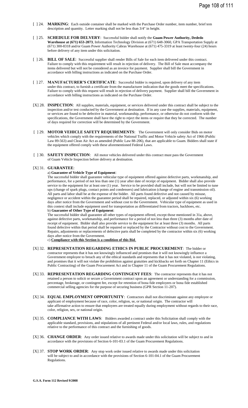- [ ] 24. **MARKING**: Each outside container shall be marked with the Purchase Order number, item number, brief tem description and quantity. Letter marking shall not be less than 3/4" in height.
- [ ] 25. **SCHEDULE FOR DELVERY**: Successful bidder shall notify the **Guam Power Authority, Dededo Warehouse at (671) 653-2073**, Information Technology Division at (671) 648-3060, GPA Transportation Supply at (671) 300-8318 and/or Guam Power Authority Cabras Warehouse at (671) 475-3319 at least twenty-four (24) hours before delivery of any item under this solicitation.
- [ ] 26. **BILL OF SALE**: Successful supplier shall render Bills of Sale for each item delivered under this contract. Failure to comply with this requirement will result in rejection of delivery. The Bill of Sale must accompany the items delivered but will not be considered as an invoice for payment. Supplier shall bill the Government in accordance with billing instructions as indicated on the Purchase Order.
- [ ] 27. **MANUFACTURER'S CERTIFICATE**: Successful bidder is required, upon delivery of any item under this contract, to furnish a certificate from the manufacturer indication that the goods meet the specifications. Failure to comply with this request will result in rejection of delivery payment. Supplier shall bill the Government in accordance with billing instructions as indicated on the Purchase Order.
- [X] 28. **INSPECTION**: All supplies, materials, equipment, or services delivered under this contract shall be subject to the inspection and/or test conducted by the Government at destination. If in any case the supplies, materials, equipment, or services are found to be defective in material, workmanship, performance, or otherwise do not conform with the specifications, the Government shall have the right to reject the items or require that they be corrected. The number of days required for correction will be determined by the Government.
- [ ] 29. **MOTOR VEHICLE SAFETY REQUIREMENTS**: The Government will only consider Bids on motor vehicles which comply with the requirements of the National Traffic and Motor Vehicle safety Act of 1966 (Public Law 89-563) and Clean Air Act as amended (Public Law 88-206), that are applicable to Guam. Bidders shall state if the equipment offered comply with these aforementioned Federal Laws.
- [ ] 30. **SAFETY INSPECTION:** All motor vehicles delivered under this contract must pass the Government of Guam Vehicle Inspection before delivery at destination.

#### [X] 31. **GUARANTEE**:

#### a) **Guarantee of Vehicle Type of Equipment**:

The successful bidder shall guarantee vehicular type of equipment offered against defective parts, workmanship, and performance, for a period of not less than one (1) year after date of receipt of equipment. Bidder shall also provide service to the equipment for at least one (1) year. Service to be provided shall include, but will not be limited to tune ups (change of spark plugs, contact points and condensers) and lubrication (change of engine and transmission oil). All parts and labor shall be at the expense of the bidder. All parts found defective and not caused by misuse, negligence or accident within the guarantee period shall be repaired, replaced, or adjusted within six (6) working days after notice from the Government and without cost to the Government. Vehicular type of equipment as used in this context shall include equipment used for transportation as differentiated from tractors, backhoes, etc. b) **Guarantee of Other Type of Equipment**:

The successful bidder shall guarantee all other types of equipment offered, except those mentioned in 31a, above, against defective parts, workmanship, and performance for a period of not less than three (3) months after date of receipt of equipment. Bidder shall also provide service to the equipment for at least three (3) months. All parts found defective within that period shall be repaired or replaced by the Contractor without cost to the Government. Repairs, adjustments or replacements of defective parts shall be completed by the contractor within six (6) working days after notice from the Government.

c) **Compliance with this Section is a condition of this Bid**.

- [X] 32. **REPRESENTATION REGARDING ETHICS IN PUBLIC PROCUREMENT**: The bidder or contractor represents that it has not knowingly influenced and promises that it will not knowingly influence a Government employee to breach any of the ethical standards and represents that it has not violated, is not violating, and promises that it will not violate the prohibition against gratuities and kickbacks set forth on Chapter 11 (Ethics in Public Contracting) of the Guam Procurement Act and in Chapter 11 of the Guam Procurement Regulations.
- [X] 33. **REPRESENTATION REGARDING CONTINGENT FEES**: The contractor represents that it has not retained a person to solicit or secure a Government contract upon an agreement or understanding for a commission, percentage, brokerage, or contingent fee, except for retention of bona fide employees or bona fide established commercial selling agencies for the purpose of securing business (GPR Section 11-207).
- [X] 34. **EQUAL EMPLOYMENT OPPORTUNITY**: Contractors shall not discriminate against any employee or applicant of employment because of race, color, religion, se, or national origin. The contractor will take affirmative action to ensure that employees are treated equally during employment without regards to their race, color, religion, sex, or national origin.
- [X] 35. **COMPLIANCE WITH LAWS**: Bidders awarded a contract under this Solicitation shall comply with the applicable standard, provisions, and stipulations of all pertinent Federal and/or local laws, rules, and regulations relative to the performance of this contract and the furnishing of goods.
- [X] 36. **CHANGE ORDER**: Any order issued relative to awards made under this solicitation will be subject to and in accordance with the provisions of Section 6-101-03.1 of the Guam Procurement Regulations.
- [X] 37. **STOP WORK ORDER**: Any stop work order issued relative to awards made under this solicitation will be subject to and in accordance with the provisions of Section 6-101-04.1 of the Guam Procurement Regulations.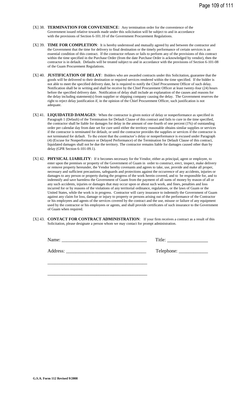- [X] 38. **TERMINATION FOR CONVENIENCE**: Any termination order for the convenience of the Government issued relative towards made under this solicitation will be subject to and in accordance with the provisions of Section 6-101.10 of the Government Procurement Regulations.
- [X] 39. **TIME FOR COMPLETION**: It is hereby understood and mutually agreed by and between the contractor and the Government that the time for delivery to final destination or the timely performance of certain services is an essential condition of this contract. If the contractor refuses or fails to perform any of the provisions of this contract within the time specified in the Purchase Order (from the date Purchase Order is acknowledged by vendor), then the contractor is in default. Defaults will be treated subject to and in accordance with the provisions of Section 6-101-08 of the Guam Procurement Regulations.
- [X] 40. **JUSTIFICATION OF DELAY**: Bidders who are awarded contracts under this Solicitation, guarantee that the goods will be delivered to their destination or required services rendered within the time specified. If the bidder is not able to meet the specified delivery date, he is required to notify the Chief Procurement Officer of such delay. Notification shall be in writing and shall be receive by the Chief Procurement Officer at least twenty-four (24) hours before the specified delivery date. Notification of delay shall include an explanation of the causes and reasons for the delay including statement(s) from supplier or shipping company causing the delay. The Government reserves the right to reject delay justification if, in the opinion of the Chief Procurement Officer, such justification is not adequate.
- [X] 41. **LIQUIDATED DAMAGES**: When the contractor is given notice of delay or nonperformance as specified in Paragraph 1 (Default) of the Termination for Default Clause of this contract and fails to cure in the time specified, the contractor shall be liable for damages for delay in the amount of one-fourth of one percent (1%) of outstanding order per calendar day from date set for cure until either the territory reasonable obtains similar supplies or services if the contractor is terminated for default, or until the contractor provides the supplies or services if the contractor is not terminated for default. To the extent that the contractor's delay or nonperformance is excused under Paragraph (4) (Excuse for Nonperformance or Delayed Performance) of the Termination for Default Clause of this contract, liquidated damages shall not be due the territory. The contractor remains liable for damages caused other than by delay (GPR Section 6-101-09.1).
- [X] 42. **PHYSICAL LIABILITY**: If it becomes necessary for the Vendor, either as principal, agent or employee, to enter upon the premises or property of the Government of Guam in order to construct, erect, inspect, make delivery or remove property hereunder, the Vendor hereby covenants and agrees to take, use, provide and make all proper, necessary and sufficient precautions, safeguards and protections against the occurrence of any accidents, injuries or damages to any person or property during the progress of the work herein covered, and to be responsible for, and to indemnify and save harmless the Government of Guam from the payment of all sums of money by reason of all or any such accidents, injuries or damages that may occur upon or about such work, and fines, penalties and loss incurred for or by reasons of the violations of any territorial ordinance, regulations, or the laws of Guam or the United States, while the work is in progress. Contractor will carry insurance to indemnify the Government of Guam against any claim for loss, damage or injury to property or persons arising out of the performance of the Contractor or his employees and agents of the services covered by the contract and the use, misuse or failure of any equipment used by the contractor or his employees or agents, and shall provide certificates of such insurance to the Government of Guam when required.
- [X] 43. **CONTACT FOR CONTRACT ADMINISTRATION**: If your firm receives a contract as a result of this Solicitation, please designate a person whom we may contact for prompt administration.

\_\_\_\_\_\_\_\_\_\_\_\_\_\_\_\_\_\_\_\_\_\_\_\_\_\_\_\_\_\_\_\_\_\_\_\_\_\_\_\_\_

\_\_\_\_\_\_\_\_\_\_\_\_\_\_\_\_\_\_\_\_\_\_\_\_\_\_\_\_\_\_\_\_\_\_\_\_\_\_\_\_\_

Name: \_\_\_\_\_\_\_\_\_\_\_\_\_\_\_\_\_\_\_\_\_\_\_\_\_\_\_\_\_\_\_\_\_\_\_ Title:

Address: \_\_\_\_\_\_\_\_\_\_\_\_\_\_\_\_\_\_\_\_\_\_\_\_\_\_\_\_\_\_\_\_\_ Telephone: \_\_\_\_\_\_\_\_\_\_\_\_

**G.S.A. Form 112 Revised 9/2008**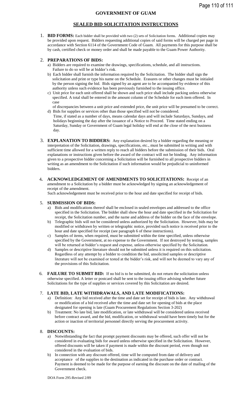# **SEALED BID SOLICITATION INSTRUCTIONS**

1. **BID FORMS:** Each bidder shall be provided with two (2) sets of Solicitation forms. Additional copies may be provided upon request. Bidders requesting additional copies of said forms will be charged per page in accordance with Section 6114 of the Government Code of Guam. All payments for this purpose shall be by cash, certified check or money order and shall be made payable to the Guam Power Authority.

## 2. **PREPARATIONS OF BIDS:**

- a) Bidders are required to examine the drawings, specifications, schedule, and all instructions. Failure to do so will be at bidder's risk.
- b) Each bidder shall furnish the information required by the Solicitation. The bidder shall sign the solicitation and print or type his name on the Schedule. Erasures or other changes must be initialed by the person signing the bid. Bids signed by an agent are to be accompanied by evidence of this authority unless such evidence has been previously furnished to the issuing office.
- c) Unit price for each unit offered shall be shown and such price shall include packing unless otherwise specified. A total shall be entered in the amount column of the Schedule for each item offered. In case
- of discrepancies between a unit price and extended price, the unit price will be presumed to be correct. d) Bids for supplies or services other than those specified will not be considered.
- Time, if stated as a number of days, means calendar days and will include Saturdays, Sundays, and holidays beginning the day after the issuance of a Notice to Proceed. Time stated ending on a Saturday, Sunday or Government of Guam legal holiday will end at the close of the next business day.
- 3. **EXPLANATION TO BIDDERS:** Any explanation desired by a bidder regarding the meaning or interpretation of the Solicitation, drawings, specifications, etc., must be submitted in writing and with sufficient time allowed for a written reply to reach all bidders before the submission of their bids. Oral explanations or instructions given before the award of the contract will not be binding. Any information given to a prospective bidder concerning a Solicitation will be furnished to all prospective bidders in writing as an amendment to the Solicitation if such information would be prejudicial to uninformed bidders.
- 4**. ACKNOWLEDGEMENT OF AMENDMENTS TO SOLICITATIONS:** Receipt of an amendment to a Solicitation by a bidder must be acknowledged by signing an acknowledgement of receipt of the amendment.

Such acknowledgement must be received prior to the hour and date specified for receipt of bids.

### 5. **SUBMISSION OF BIDS:**

- a) Bids and modifications thereof shall be enclosed in sealed envelopes and addressed to the office specified in the Solicitation. The bidder shall show the hour and date specified in the Solicitation for receipt, the Solicitation number, and the name and address of the bidder on the face of the envelope.
- b) Telegraphic bids will not be considered unless authorized by the Solicitation. However, bids may be modified or withdrawn by written or telegraphic notice, provided such notice is received prior to the hour and date specified for receipt (see paragraph 6 of these instructions).
- c) Samples of items, when required, must be submitted within the time specified, unless otherwise specified by the Government, at no expense to the Government. If not destroyed by testing, samples will be returned at bidder's request and expense, unless otherwise specified by the Solicitation.
- d) Samples or descriptive literature should not be submitted unless it is required on this solicitation. Regardless of any attempt by a bidder to condition the bid, unsolicited samples or descriptive literature will not be examined or tested at the bidder's risk, and will not be deemed to vary any of the provisions of this Solicitation.
- 6. **FAILURE TO SUBMIT BID:** If no bid is to be submitted, do not return the solicitation unless otherwise specified. A letter or postcard shall be sent to the issuing office advising whether future Solicitations for the type of supplies or services covered by this Solicitation are desired.

### 7. **LATE BID, LATE WITHDRAWALS, AND LATE MODIFICATIONS:**

- a) Definition: Any bid received after the time and date set for receipt of bids is late. Any withdrawal or modification of a bid received after the time and date set for opening of bids at the place designated for opening is late (Guam Procurement Regulations Section 3-202)
- b) Treatment: No late bid, late modification, or late withdrawal will be considered unless received before contract award, and the bid, modification, or withdrawal would have been timely but for the action or inaction of territorial personnel directly serving the procurement activity.

### 8. **DISCOUNTS:**

- a) Notwithstanding the fact that prompt payment discounts may be offered, such offer will not be considered in evaluating bids for award unless otherwise specified in the Solicitation. However, offered discounts will be taken if payment is made within the discount period, even though not considered in the evaluation of bids.
- b) In connection with any discount offered, time will be computed from date of delivery and acceptance of the supplies to the destination as indicated in the purchase order or contract. Payment is deemed to be made for the purpose of earning the discount on the date of mailing of the Government check.

DOA Form 295-Revised 2/89